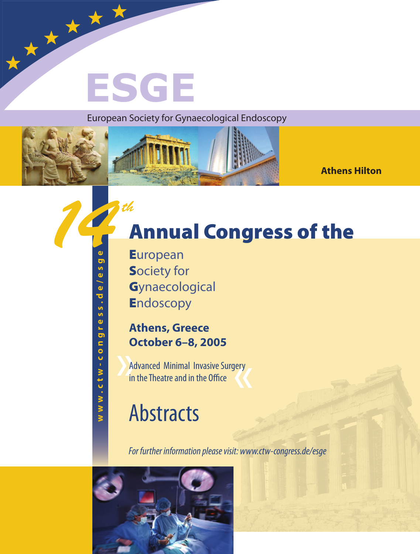# 大大大大大大 ESGE

European Society for Gynaecological Endoscopy



**Athens Hilton**

# **Annual Congress of the**

**E**uropean **S**ociety for **G**ynaecological **E**ndoscopy

# **Athens, Greece October 6–8, 2005**

Advanced Minimal Invasive Surgery in the Theatre and in the Office

# Abstracts

**www.ctw-congress.de/esge**

ww.ctw-congress.desg

 $\overline{\phantom{a}}$ 

For further information please visit: www.ctw-congress.de/esge

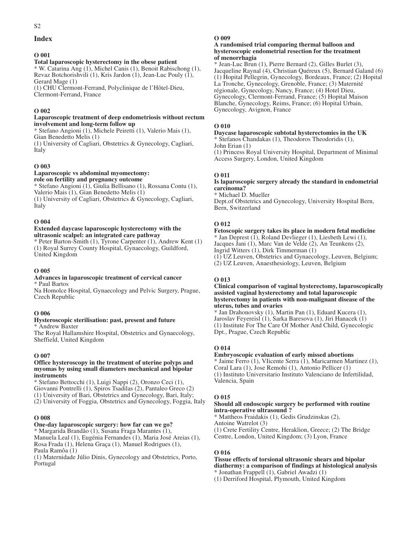# **Index**

# **O 001**

#### **Total laparoscopic hysterectomy in the obese patient**

\* W. Catarina Ang (1), Michel Canis (1), Benoit Rabischong (1), Revaz Botchorishvili (1), Kris Jardon (1), Jean-Luc Pouly (1), Gerard Mage (1)

(1) CHU Clermont-Ferrand, Polyclinique de l'Hôtel-Dieu, Clermont-Ferrand, France

# **O 002**

#### **Laparoscopic treatment of deep endometriosis without rectum involvement and long-term follow up**

\* Stefano Angioni (1), Michele Peiretti (1), Valerio Mais (1), Gian Benedetto Melis (1)

(1) University of Cagliari, Obstetrics & Gynecology, Cagliari, Italy

# **O 003**

#### **Laparoscopic vs abdominal myomectomy: role on fertility and pregnancy outcome**

\* Stefano Angioni (1), Giulia Bellisano (1), Rossana Contu (1), Valerio Mais (1), Gian Benedetto Melis (1) (1) University of Cagliari, Obstetrics & Gynecology, Cagliari, Italy

# **O 004**

#### **Extended daycase laparoscopic hysterectomy with the ultrasonic scalpel: an integrated care pathway**

\* Peter Barton-Smith (1), Tyrone Carpenter (1), Andrew Kent (1) (1) Royal Surrey County Hospital, Gynaecology, Guildford, United Kingdom

# **O 005**

#### **Advances in laparoscopic treatment of cervical cancer** \* Paul Bartos

Na Homolce Hospital, Gynaecology and Pelvic Surgery, Prague, Czech Republic

#### **O 006**

# **Hysteroscopic sterilisation: past, present and future**

\* Andrew Baxter

The Royal Hallamshire Hospital, Obstetrics and Gynaecology, Sheffield, United Kingdom

#### **O 007**

#### **Office hysteroscopy in the treatment of uterine polyps and myomas by using small diameters mechanical and bipolar instruments**

\* Stefano Bettocchi (1), Luigi Nappi (2), Oronzo Ceci (1), Giovanni Pontrelli (1), Spiros Tsadilas (2), Pantaleo Greco (2) (1) University of Bari, Obstetrics and Gynecology, Bari, Italy;

(2) University of Foggia, Obstetrics and Gynecology, Foggia, Italy

#### **O 008**

#### **One-day laparoscopic surgery: how far can we go?**

\* Margarida Brandão (1), Susana Fraga Marantes (1),

Manuela Leal (1), Eugénia Fernandes (1), Maria José Areias (1), Rosa Frada (1), Helena Graça (1), Manuel Rodrigues (1), Paula Ramôa (1)

(1) Maternidade Júlio Dinis, Gynecology and Obstetrics, Porto, Portugal

# **O 009**

#### **A randomised trial comparing thermal balloon and hysteroscopic endometrial resection for the treatment of menorrhagia**

\* Jean-Luc Brun (1), Pierre Bernard (2), Gilles Burlet (3), Jacqueline Raynal (4), Christian Quéreux (5), Bernard Galand (6) (1) Hopital Pellegrin, Gynecology, Bordeaux, France; (2) Hopital La Tronche, Gynecology, Grenoble, France; (3) Maternité régionale, Gynecology, Nancy, France; (4) Hotel Dieu, Gynecology, Clermont-Ferrand, France; (5) Hopital Maison Blanche, Gynecology, Reims, France; (6) Hopital Urbain, Gynecology, Avignon, France

#### **O 010**

# **Daycase laparoscopic subtotal hysterectomies in the UK** \* Stefanos Chandakas (1), Theodoros Theodoridis (1),

John Erian (1)

(1) Princess Royal University Hospital, Department of Minimal Access Surgery, London, United Kingdom

# **O 011**

#### **Is laparoscopic surgery already the standard in endometrial carcinoma?**

\* Michael D. Mueller Dept.of Obstetrics and Gynecology, University Hospital Bern, Bern, Switzerland

# **O 012**

#### **Fetoscopic surgery takes its place in modern fetal medicine** \* Jan Deprest (1), Roland Devlieger (1), Liesbeth Lewi (1),

Jacques Jani (1), Marc Van de Velde (2), An Teunkens (2),

Ingrid Witters (1), Dirk Timmerman (1)

(1) UZ Leuven, Obstetrics and Gynaecology, Leuven, Belgium;

(2) UZ Leuven, Anaesthesiology, Leuven, Belgium

# **O 013**

#### **Clinical comparison of vaginal hysterectomy, laparoscopically assisted vaginal hysterectomy and total laparoscopic hysterectomy in patients with non-malignant disease of the uterus, tubes and ovaries**

\* Jan Drahonovsky (1), Martin Pan (1), Eduard Kucera (1), Jaroslav Feyereisl (1), Sarka Baresova (1), Jiri Hanacek (1) (1) Institute For The Care Of Mother And Child, Gynecologic Dpt., Prague, Czech Republic

# **O 014**

# **Embryoscopic evaluation of early missed abortions**

\* Jaime Ferro (1), VIicente Serra (1), Maricarmen Martinez (1), Coral Lara (1), Jose Remohi (1), Antonio Pellicer (1) (1) Instituto Universitario Instituto Valenciano de Infertilidad, Valencia, Spain

# **O 015**

#### **Should all endoscopic surgery be performed with routine intra-operative ultrasound ?**

\* Mattheos Fraidakis (1), Gedis Grudzinskas (2), Antoine Watrelot (3)

(1) Crete Fertility Centre, Heraklion, Greece; (2) The Bridge Centre, London, United Kingdom; (3) Lyon, France

# **O 016**

# **Tissue effects of torsional ultrasonic shears and bipolar diathermy: a comparison of findings at histological analysis**

\* Jonathan Frappell (1), Gabriel Awadzi (1)

(1) Derriford Hospital, Plymouth, United Kingdom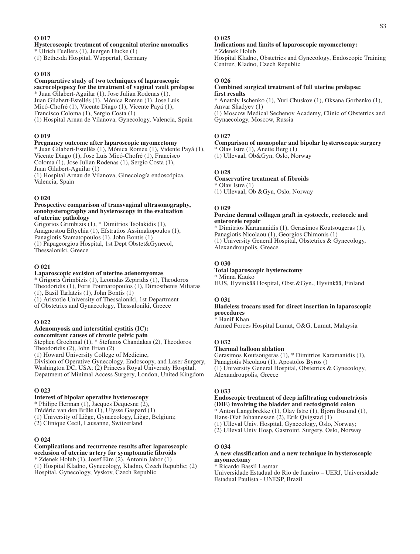#### **Hysteroscopic treatment of congenital uterine anomalies** \* Ulrich Fuellers (1), Juergen Hucke (1)

(1) Bethesda Hospital, Wuppertal, Germany

#### **O 018**

# **Comparative study of two techniques of laparoscopic**

**sacrocolpopexy for the treatment of vaginal vault prolapse** \* Juan Gilabert-Aguilar (1), Jose Julian Rodenas (1), Juan Gilabert-Estellés (1), Mónica Romeu (1), Jose Luis Micó-Chofré (1), Vicente Diago (1), Vicente Payá (1), Francisco Coloma (1), Sergio Costa (1) (1) Hospital Arnau de Vilanova, Gynecology, Valencia, Spain

#### **O 019**

#### **Pregnancy outcome after laparoscopic myomectomy**

\* Juan Gilabert-Estellés (1), Mónica Romeu (1), Vidente Payá (1), Vicente Diago (1), Jose Luis Micó-Chofré (1), Francisco Coloma (1), Jose Julian Rodenas (1), Sergio Costa (1), Juan Gilabert-Aguilar (1)

(1) Hospital Arnau de Vilanova, Ginecología endoscópica, Valencia, Spain

# **O 020**

#### **Prospective comparison of transvaginal ultrasonography, sonohysterography and hysteroscopy in the evaluation of uterine pathology**

Grigorios Grimbizis (1), \* Dimitrios Tsolakidis (1), Anagnostou Eftychia (1), Efstratios Assimakopoulos (1), Panagiotis Stamatopoulos (1), John Bontis (1) (1) Papageorgiou Hospital, 1st Dept Obstet&Gynecol, Thessaloniki, Greece

#### **O 021**

#### **Laparoscopic excision of uterine adenomyomas**

\* Grigoris Grimbizis (1), Leonidas Zepiridis (1), Theodoros Theodoridis (1), Fotis Pournaropoulos (1), Dimosthenis Miliaras (1), Basil Tarlatzis (1), John Bontis (1) (1) Aristotle University of Thessaloniki, 1st Department of Obstetrics and Gynaecology, Thessaloniki, Greece

#### **O 022**

#### **Adenomyosis and interstitial cystitis (IC): concomitant causes of chronic pelvic pain**

Stephen Grochmal (1), \* Stefanos Chandakas (2), Theodoros Theodoridis (2), John Erian (2)

(1) Howard University College of Medicine,

Division of Operative Gynecology, Endoscopy, and Laser Surgery, Washington DC, USA; (2) Princess Royal University Hospital, Depatment of Minimal Access Surgery, London, United Kingdom

# **O 023**

# **Interest of bipolar operative hysteroscopy**

\* Philipe Herman (1), Jacques Dequesne (2),

Frédéric van den Brûle (1), Ulysse Gaspard (1)

(1) University of Liège, Gynaecology, Liège, Belgium;

(2) Clinique Cecil, Lausanne, Switzerland

# **O 024**

#### **Complications and recurrence results after laparoscopic occlusion of uterine artery for symptomatic fibroids**

\* Zdenek Holub (1), Josef Eim (2), Antonin Jabor (1) (1) Hospital Kladno, Gynecology, Kladno, Czech Republic; (2) Hospital, Gynecology, Vyskov, Czech Republic

# **O 025**

#### **Indications and limits of laparoscopic myomectomy:** \* Zdenek Holub

Hospital Kladno, Obstetrics and Gynecology, Endoscopic Training Centrez, Kladno, Czech Republic

# **O 026**

# **Combined surgical treatment of full uterine prolapse: first results**

\* Anatoly Ischenko (1), Yuri Chuskov (1), Oksana Gorbenko (1), Anvar Shadyev (1) (1) Moscow Medical Sechenov Academy, Clinic of Obstetrics and Gynaecology, Moscow, Russia

# **O 027**

# **Comparison of monopolar and bipolar hysteroscopic surgery**

\* Olav Istre (1), Anette Berg (1) (1) Ullevaal, Ob&Gyn, Oslo, Norway

# **O 028**

#### **Conservative treatment of fibroids** \* Olav Istre (1)

(1) Ullevaal, Ob &Gyn, Oslo, Norway

# **O 029**

#### **Porcine dermal collagen graft in cystocele, rectocele and enterocele repair**

\* Dimitrios Karamanidis (1), Gerasimos Koutsougeras (1), Panagiotis Nicolaou (1), Georgios Chimonis (1) (1) University General Hospital, Obstetrics & Gynecology, Alexandroupolis, Greece

# **O 030**

#### **Total laparoscopic hysterectomy**

\* Minna Kauko HUS, Hyvinkää Hospital, Obst.&Gyn., Hyvinkää, Finland

#### **O 031**

#### **Bladeless trocars used for direct insertion in laparoscopic procedures** \* Hanif Khan

Armed Forces Hospital Lumut, O&G, Lumut, Malaysia

#### **O 032**

#### **Thermal balloon ablation**

Gerasimos Koutsougeras (1), \* Dimitrios Karamanidis (1), Panagiotis Nicolaou (1), Apostolos Byros () (1) University General Hospital, Obstetrics & Gynecology, Alexandroupolis, Greece

# **O 033**

# **Endoscopic treatment of deep infiltrating endometriosis (DIE) involving the bladder and rectosigmoid colon**

\* Anton Langebrekke (1), Olav Istre (1), Bjørn Busund (1), Hans-Olaf Johannessen (2), Erik Qvigstad (1) (1) Ulleval Univ. Hospital, Gynecology, Oslo, Norway;

(2) Ulleval Univ Hosp, Gastroint. Surgery, Oslo, Norway

# **O 034**

#### **A new classification and a new technique in hysteroscopic myomectomy**

\* Ricardo Bassil Lasmar

Universidade Estadual do Rio de Janeiro – UERJ, Universidade Estadual Paulista - UNESP, Brazil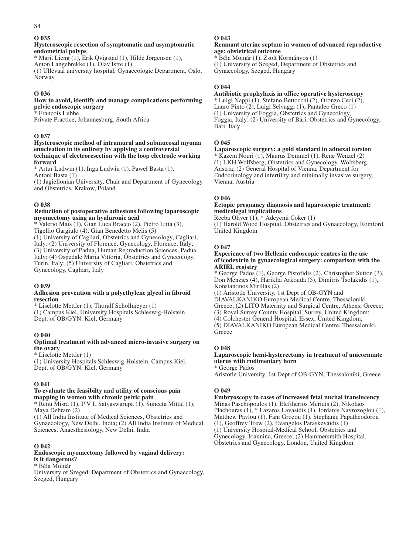#### **Hysteroscopic resection of symptomatic and asymptomatic endometrial polyps**

\* Marit Lieng (1), Erik Qvigstad (1), Hilde Jørgensen (1), Anton Langebrekke (1), Olav Istre (1)

(1) Ullevaal university hospital, Gynaecologic Department, Oslo, Norway

# **O 036**

# **How to avoid, identify and manage complications performing pelvic endoscopic surgery**

\* Francois Lubbe

Private Practice, Johannesburg, South Africa

# **O 037**

#### **Hysteroscopic method of intramural and submucosal myoma enucleation in its entirety by applying a controversial technique of electroresection with the loop electrode working forward**

\* Artur Ludwin (1), Inga Ludwin (1), Paweł Basta (1), Antoni Basta (1)

(1) Jagiellonian University, Chair and Department of Gynecology and Obstetrics, Krakow, Poland

# **O 038**

# **Reduction of postoperative adhesions following laparoscopic myomectomy using an hyaluronic acid**

\* Valerio Mais (1), Gian Luca Bracco (2), Pietro Litta (3), Tigellio Gargiulo (4), Gian Benedetto Melis (5)

(1) University of Cagliari, Obstetrics and Gynecology, Cagliari, Italy; (2) University of Florence, Gynecology, Florence, Italy; (3) University of Padua, Human Reproduction Sciences, Padua, Italy; (4) Ospedale Maria Vittoria, Obstetrics and Gynecology, Turin, Italy; (5) University of Cagliari, Obstetrics and Gynecology, Cagliari, Italy

# **O 039**

#### **Adhesion prevention with a polyethylene glycol in fibroid resection**

\* Liselotte Mettler (1), Thoralf Schollmeyer (1) (1) Campus Kiel, University Hospitals Schleswig-Holstein, Dept. of OB/GYN, Kiel, Germany

#### **O 040**

#### **Optimal treatment with advanced micro-invasive surgery on the ovary**

\* Liselotte Mettler (1) (1) University Hospitals Schleswig-Holstein, Campus Kiel, Dept. of OB/GYN, Kiel, Germany

#### **O 041**

#### **To evaluate the feasibilty and utility of conscious pain mapping in women with chronic pelvic pain**

\* Renu Misra (1), P V L Satyaswarupa (1), Suneeta Mittal (1), Maya Dehram (2)

(1) All India Institute of Medical Sciences, Obstetrics and Gynaecology, New Delhi, India; (2) All India Institute of Medical Sciences, Anaesthesiology, New Delhi, India

#### **O 042**

#### **Endoscopic myomectomy followed by vaginal delivery: is it dangerous?**

\* Béla Molnár

University of Szeged, Department of Obstetrics and Gynaecology, Szeged, Hungary

#### **O 043**

# **Remnant uterine septum in women of advanced reproductive age: obstetrical outcome**

\* Béla Molnár (1), Zsolt Kormányos (1) (1) University of Szeged, Department of Obstetrics and Gynaecology, Szeged, Hungary

# **O 044**

# **Antibiotic prophylaxis in office operative hysteroscopy**

\* Luigi Nappi (1), Stefano Bettocchi (2), Oronzo Ceci (2), Lauro Pinto (2), Luigi Selvaggi (1), Pantaleo Greco (1) (1) University of Foggia, Obstetrics and Gynecology, Foggia, Italy; (2) University of Bari, Obstetrics and Gynecology, Bari, Italy

# **O 045**

# **Laparoscopic surgery: a gold standard in adnexal torsion**

\* Kazem Nouri (1), Maurus Demmel (1), Rene Wenzel (2) (1) LKH Wolfsberg, Obstetrics and Gynecology, Wolfsberg, Austria; (2) General Hospital of Vienna, Department for Endocrinology and infertility and minimally invasive surgery, Vienna, Austria

# **O 046**

#### **Ectopic pregnancy diagnosis and laparoscopic treatment: medicolegal implications**

Reeba Oliver (1), \* Adeyemi Coker (1)

(1) Harold Wood Hospital, Obstetrics and Gynaecology, Romford, United Kingdom

# **O 047**

# **Experience of two Hellenic endoscopic centres in the use of icodextrin in gynaecological surgery: comparison with the ARIEL registry**

\* George Pados (1), George Pistofidis (2), Christopher Sutton (3), Don Menzies (4), Hariklia Arkouda (5), Dimitris Tsolakidis (1), Konstantinos Mirillas (2)

(1) Aristotle University, 1st Dept of OB-GYN and DIAVALKANIKO European Medical Centre, Thessaloniki, Greece; (2) LITO Maternity and Surgical Centre, Athens, Greece; (3) Royal Surrey County Hospital, Surrey, United Kingdom; (4) Colchester General Hospital, Essex, United Kingdom; (5) DIAVALKANIKO European Medical Centre, Thessaloniki, **Greece** 

#### **O 048**

#### **Laparoscopic hemi-hysterectomy in treatment of unicornuate uterus with rudimentary horn** \* George Pados

Aristotle University, 1st Dept of OB-GYN, Thessaloniki, Greece

# **O 049**

# **Embryoscopy in cases of increased fetal nuchal translucency**

Minas Paschopoulos (1), Eleftherios Meridis (2), Nikolaos Plachouras (1), \* Lazaros Lavasidis (1), Iordanis Navrozoglou (1), Matthew Pavlou (1), Fani Grozou (1), Stephanie Papatheodorou (1), Geoffrey Trew (2), Evangelos Paraskevaidis (1) (1) University Hospital-Medical School, Obstetrics and Gynecology, Ioannina, Greece; (2) Hammersmith Hospital, Obstetrics and Gynecology, London, United Kingdom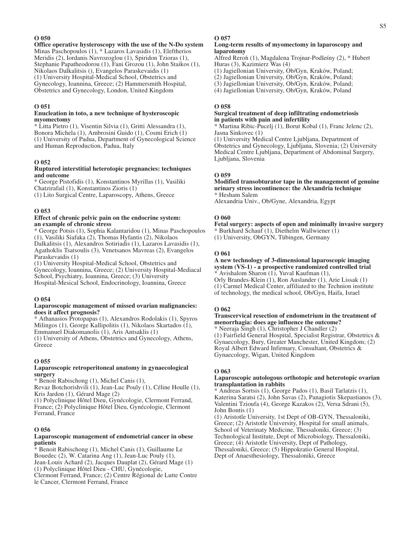**Office operative hysteroscopy with the use of the N-Do system** Minas Paschopoulos (1), \* Lazaros Lavasidis (1), Eleftherios Meridis (2), Iordanis Navrozoglou (1), Spiridon Tzioras (1), Stephanie Papatheodorou (1), Fani Grozou (1), John Staikos (1), Nikolaos Dalkalitsis (), Evangelos Paraskevaidis (1) (1) University Hospital-Medical School, Obstetrics and Gynecology, Ioannina, Greece; (2) Hammersmith Hospital, Obstetrics and Gynecology, London, United Kingdom

#### **O 051**

#### **Enucleation in toto, a new technique of hysteroscopic myomectomy**

\* Litta Pietro (1), Visentin Silvia (1), Gritti Alessandra (1), Bonora Michela (1), Ambrosini Guido (1), Cosmi Erich (1) (1) University of Padua, Department of Gynecological Science and Human Reproduction, Padua, Italy

#### **O 052**

#### **Ruptured interstitial heterotopic pregnancies: techniques and outcome**

\* George Pistofidis (1), Konstantinos Myrillas (1), Vasiliki Chatzirafail (1), Konstantinos Zioris (1) (1) Lito Surgical Centre, Laparoscopy, Athens, Greece

# **O 053**

#### **Effect of chronic pelvic pain on the endocrine system: an example of chronic stress**

\* George Potsis (1), Sophia Kalantaridou (1), Minas Paschopoulos (1), Vasiliki Siafaka (2), Thomas Hyfantis (2), Nikolaos Dalkalitsis (1), Alexandros Sotiriadis (1), Lazaros Lavasidis (1), Agathoklis Tsatsoulis (3), Venetsanos Mavreas (2), Evangelos Paraskevaidis (1)

(1) University Hospital-Medical School, Obstetrics and Gynecology, Ioannina, Greece; (2) University Hospital-Mediacal School, Psychiatry, Ioannina, Greece; (3) University Hospital-Mesical School, Endocrinology, Ioannina, Greece

#### **O 054**

#### **Laparoscopic management of missed ovarian malignancies: does it affect prognosis?**

\* Athanasios Protopapas (1), Alexandros Rodolakis (1), Spyros Milingos (1), George Kallipolitis (1), Nikolaos Skartados (1), Emmanuel Diakomanolis (1), Aris Antsaklis (1) (1) University of Athens, Obstetrics and Gynecology, Athens, Greece

#### **O 055**

#### **Laparoscopic retroperitoneal anatomy in gynaecological surgery**

\* Benoit Rabischong (1), Michel Canis (1),

Revaz Botchorishvili (1), Jean-Luc Pouly (1), Céline Houlle (1), Kris Jardon (1), Gérard Mage (2)

(1) Polyclinique Hôtel Dieu, Gynécologie, Clermont Ferrand, France; (2) Polyclinique Hôtel Dieu, Gynécologie, Clermont Ferrand, France

# **O 056**

#### **Laparoscopic management of endometrial cancer in obese patients**

\* Benoit Rabischong (1), Michel Canis (1), Guillaume Le Bouedec (2), W. Catarina Ang (1), Jean-Luc Pouly (1), Jean-Louis Achard (2), Jacques Dauplat (2), Gérard Mage (1) (1) Polyclinique Hôtel Dieu - CHU, Gynécologie, Clermont Ferrand, France; (2) Centre Régional de Lutte Contre

le Cancer, Clermont Ferrand, France

# **O 057**

#### **Long-term results of myomectomy in laparoscopy and laparotomy**

Alfred Reron<sup>(1)</sup>, Magdalena Trojnar-Podleśny (2), \* Hubert Huras (3), Kazimierz Was (4)

- (1) Jagiellonian University, Ob/Gyn, Kraków, Poland;
- (2) Jagiellonian University, Ob/Gyn, Kraków, Poland;
- (3) Jagiellonian University, Ob/Gyn, Kraków, Poland;
- (4) Jagiellonian University, Ob/Gyn, Kraków, Poland

# **O 058**

#### **Surgical treatment of deep infiltrating endometriosis in patients with pain and infertility**

\* Martina Ribic-Pucelj (1), Borut Kobal (1), Franc Jelenc (2), Jasna Sinkovec (1)

(1) University Medical Centre Ljubljana, Department of Obstetrics and Gynecology, Ljubljana, Slovenia; (2) University Medical Centre Ljubljana, Department of Abdominal Surgery, Ljubljana, Slovenia

# **O 059**

#### **Modified transobturator tape in the management of genuine urinary stress incontinence: the Alexandria technique** \* Hesham Salem

Alexandria Univ., Ob/Gyne, Alexandria, Egypt

# **O 060**

**Fetal surgery: aspects of open and minimally invasive surgery** \* Burkhard Schauf (1), Diethelm Wallwiener (1) (1) University, ObGYN, Tübingen, Germany

# **O 061**

# **A new technology of 3-dimensional laparoscopic imaging system (VS-1) - a prospective randomized controlled trial**

\* Avishalom Sharon (1), Yuval Kaufman (1), Orly Brandes-Klein (1), Ron Auslander (1), Arie Lissak (1) (1) Carmel Medical Center, affiliated to the Technion institute of technology, the medical school, Ob/Gyn, Haifa, Israel

#### **O 062**

# **Transcervical resection of endometrium in the treatment of menorrhagia: does age influence the outcome?**

\* Neeraja Singh (1), Christopher J Chandler (2) (1) Fairfield General Hospital, Specialist Registrar, Obstetrics & Gynaecology, Bury, Greater Manchester, United Kingdom; (2) Royal Albert Edward Infirmary, Consultant, Obstetrics & Gynaecology, Wigan, United Kingdom

#### **O 063**

#### **Laparoscopic autologous orthotopic and heterotopic ovarian transplantation in rabbits**

\* Andreas Sortsis (1), George Pados (1), Basil Tarlatzis (1), Katerina Saratsi (2), John Savas (2), Panagiotis Skepastianos (3), Valentini Tzioufa (4), George Kazakos (2), Versa Sdrani (5), John Bontis (1)

(1) Aristotle University, 1st Dept of OB-GYN, Thessaloniki, Greece; (2) Aristotle University, Hospital for small animals, School of Veterinaty Medicine, Thessaloniki, Greece; (3) Technological Institute, Dept of Microbiology, Thessaloniki, Greece; (4) Aristotle University, Dept of Pathology, Thessaloniki, Greece; (5) Hippokratio General Hospital, Dept of Anaesthesiology, Thessaloniki, Greece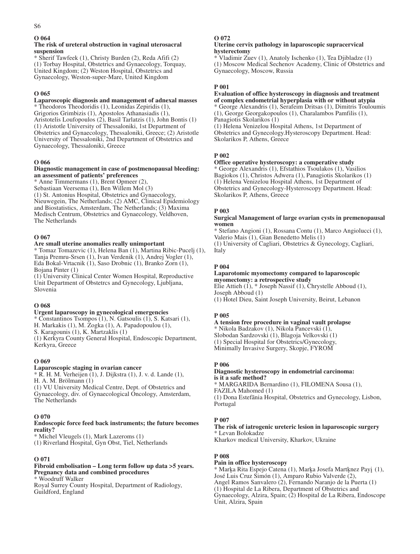# **The risk of ureteral obstruction in vaginal uterosacral suspension**

\* Sherif Tawfeek (1), Christy Burden (2), Reda Afifi (2) (1) Torbay Hospital, Obstetrics and Gynaecology, Torquay, United Kingdom; (2) Weston Hospital, Obstetrics and Gynaecology, Weston-super-Mare, United Kingdom

# **O 065**

#### **Laparoscopic diagnosis and management of adnexal masses**

\* Theodoros Theodoridis (1), Leonidas Zepiridis (1), Grigorios Grimbizis (1), Apostolos Athanasiadis (1), Aristotelis Loufopoulos (2), Basil Tarlatzis (1), John Bontis (1) (1) Aristotle University of Thessaloniki, 1st Department of Obstetrics and Gynaecology, Thessaloniki, Greece; (2) Aristotle University of Thessaloniki, 2nd Department of Obstetrics and Gynaecology, Thessaloniki, Greece

# **O 066**

# **Diagnostic management in case of postmenopausal bleeding: an assessment of patients' preferences**

\* Anne Timmermans (1), Brent Opmeer (2), Sebastiaan Veersema (1), Ben Willem Mol (3) (1) St. Antonius Hospital, Obstetrics and Gynaecology, Nieuwegein, The Netherlands; (2) AMC, Clinical Epidemiology and Biostatistics, Amsterdam, The Netherlands; (3) Maxima Medisch Centrum, Obstetrics and Gynaecology, Veldhoven, The Netherlands

# **O 067**

# **Are small uterine anomalies really unimportant**

\* Tomaz Tomazevic (1), Helena Ban (1), Martina Ribic-Pucelj (1), Tanja Premru-Srsen (1), Ivan Verdenik (1), Andrej Vogler (1), Eda Bokal-Vrtacnik (1), Saso Drobnic (1), Branko Zorn (1), Bojana Pinter (1)

(1) University Clinical Center Women Hospital, Reproductive Unit Department of Obstetrcs and Gynecology, Ljubljana, Slovenia

# **O 068**

# **Urgent laparoscopy in gynecological emergencies**

\* Constantinos Tsompos (1), N. Gatsoulis (1), S. Katsari (1),

H. Markakis (1), M. Zogka (1), A. Papadopoulou (1),

S. Karagounis (1), K. Martzaklis (1)

(1) Kerkyra County General Hospital, Endoscopic Department, Kerkyra, Greece

# **O 069**

# **Laparoscopic staging in ovarian cancer**

\* R. H. M. Verheijen (1), J. Dijkstra (1), J. v. d. Lande (1), H. A. M. Brölmann (1)

(1) VU University Medical Centre, Dept. of Obstetrics and Gynaecology, div. of Gynaecological Oncology, Amsterdam, The Netherlands

# **O 070**

#### **Endoscopic force feed back instruments; the future becomes reality?**

\* Michel Vleugels (1), Mark Lazeroms (1)

(1) Riverland Hospital, Gyn Obst, Tiel, Netherlands

# **O 071**

# **Fibroid embolisation – Long term follow up data >5 years. Pregnancy data and combined procedures**

\* Woodruff Walker Royal Surrey County Hospital, Department of Radiology,

Guildford, England

# **O 072**

#### **Uterine cervix pathology in laparoscopic supracervical hysterectomy**

\* Vladimir Zuev (1), Anatoly Ischenko (1), Tea Djibladze (1) (1) Moscow Medical Sechenov Academy, Clinic of Obstetrics and Gynaecology, Moscow, Russia

# **P 001**

#### **Evaluation of office hysteroscopy in diagnosis and treatment of complex endometrial hyperplasia with or without atypia**

\* George Alexandris (1), Serafeim Dritsas (1), Dimitris Touloumis (1), George Georgakopoulos (1), Charalambos Pamfilis (1), Panagiotis Skolarikos (1)

(1) Helena Venizelou Hospital Athens, 1st Department of Obstetrics and Gynecology.Hysteroscopy Department. Head: Skolarikos P, Athens, Greece

# **P 002**

# **Office operative hysteroscopy: a comperative study**

\* George Alexandris (1), Efstathios Tsoulakos (1), Vasilios Bagiokos (1), Christos Adwera (1), Panagiotis Skolarikos (1) (1) Helena Venizelou Hospital Athens, 1st Department of Obstetrics and Gynecology-Hysteroscopy Department. Head: Skolarikos P, Athens, Greece

# **P 003**

#### **Surgical Management of large ovarian cysts in premenopausal women**

\* Stefano Angioni (1), Rossana Contu (1), Marco Angiolucci (1), Valerio Mais (1), Gian Benedetto Melis (1) (1) University of Cagliari, Obstetrics & Gynecology, Cagliari, Italy

# **P 004**

#### **Laparotomic myomectomy compared to laparoscopic myomectomy: a retrospective study**

Elie Attieh (1), \* Joseph Nassif (1), Chrystelle Abboud (1), Joseph Abboud (1)

# (1) Hotel Dieu, Saint Joseph University, Beirut, Lebanon

# **P 005**

**A tension free procedure in vaginal vault prolapse** \* Nikola Badzakov (1), Nikola Pancevski (1), Slobodan Sardzovski (1), Blagoja Velkovski (1) (1) Special Hospital for Obstetrics/Gynecology, Minimally Invasive Surgery, Skopje, FYROM

# **P 006**

#### **Diagnostic hysteroscopy in endometrial carcinoma: is it a safe method?**

\* MARGARIDA Bernardino (1), FILOMENA Sousa (1), FAZILA Mahomed (1) (1) Dona Estefãnia Hospital, Obstetrics and Gynecology, Lisbon, Portugal

# **P 007**

#### **The risk of iatrogenic ureteric lesion in laparoscopic surgery**  \* Levan Bolokadze

Kharkov medical University, Kharkov, Ukraine

# **P 008**

# **Pain in office hysteroscopy**

\* Mark¸a Rita Espejo Catena (1), Mark¸a Josefa Martk¸nez Payi¸ (1), José Luis Cruz Simón (1), Amparo Rubio Valverde (2), Angel Ramos Sanvalero (2), Fernando Naranjo de la Puerta (1) (1) Hospital de La Ribera, Department of Obstetrics and Gynaecology, Alzira, Spain; (2) Hospital de La Ribera, Endoscope Unit, Alzira, Spain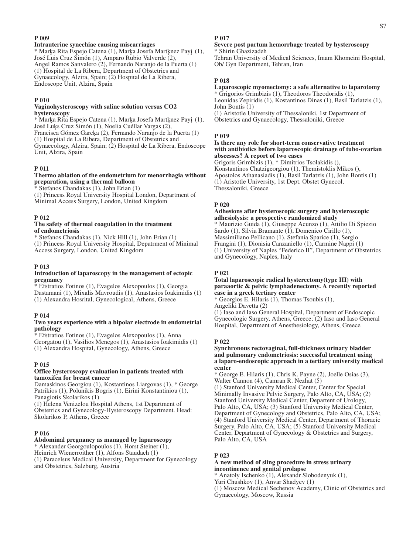#### **P 009**

# **Intrauterine synechiae causing miscarriages** \* Marka Rita Espejo Catena (1), Marka Josefa Martknez Payi (1),

José Luis Cruz Simón (1), Amparo Rubio Valverde (2), Angel Ramos Sanvalero (2), Fernando Naranjo de la Puerta (1) (1) Hospital de La Ribera, Department of Obstetrics and Gynaecology, Alzira, Spain; (2) Hospital de La Ribera, Endoscope Unit, Alzira, Spain

# **P 010**

#### **Vaginohysteroscopy with saline solution versus CO2 hysteroscopy**

\* Marka Rita Espejo Catena (1), Marka Josefa Martknez Payi (1), José Luk¸s Cruz Simón (1), Noelia Cuéllar Vargas (2), Francisca Gómez Garcka (2), Fernando Naranjo de la Puerta (1) (1) Hospital de La Ribera, Department of Obstetrics and Gynaecology, Alzira, Spain; (2) Hospital de La Ribera, Endoscope Unit, Alzira, Spain

# **P 011**

# **Thermo ablation of the endometrium for menorrhagia without preparation, using a thermal balloon**

\* Stefanos Chandakas (1), John Erian (1)

(1) Princess Royal University Hospital London, Department of Minimal Access Surgery, London, United Kingdom

# **P 012**

#### **The safety of thermal coagulation in the treatment of endometriosis**

\* Stefanos Chandakas (1), Nick Hill (1), John Erian (1) (1) Princess Royal University Hospital, Depatrment of Minimal Access Surgery, London, United Kingdom

#### **P 013**

# **Introduction of laparoscopy in the management of ectopic pregnancy**

\* Efstratios Fotinos (1), Evagelos Alexopoulos (1), Georgia Dastamani (1), Mixalis Mavroudis (1), Anastasios Ioakimidis (1) (1) Alexandra Hosrital, Gynecological, Athens, Greece

#### **P 014**

#### **Two years experience with a bipolar electrode in endometrial pathology**

\* Efstratios Fotinos (1), Evagelos Alexopoulos (1), Anna Georgatou (1), Vasilios Menegos (1), Anastasios Ioakimidis (1) (1) Alexandra Hospital, Gynecology, Athens, Greece

#### **P 015**

#### **Office hysteroscopy evaluation in patients treated with tamoxifen for breast cancer**

Damaskinos Georgiou (1), Kostantinos Liargovas (1), \* George Patrikios (1), Polunikis Bogris (1), Eirini Konstantiniou (1), Panagiotis Skolarikos (1)

(1) Helena Venizelou Hospital Athens, 1st Department of Obstetrics and Gynecology-Hysteroscopy Department. Head: Skolarikos P, Athens, Greece

# **P 016**

# **Abdominal pregnancy as managed by laparoscopy**

\* Alexander Georgoulopoulos (1), Horst Steiner (1),

Heinrich Wienerroither (1), Alfons Staudach (1)

(1) Paracelsus Medical University, Department for Gynecology and Obstetrics, Salzburg, Austria

# **P 017**

# **Severe post partum hemorrhage treated by hysteroscopy**  \* Shirin Ghazizadeh

Tehran University of Medical Sciences, Imam Khomeini Hospital, Ob/ Gyn Department, Tehran, Iran

# **P 018**

# **Laparoscopic myomectomy: a safe alternative to laparotomy**

\* Grigorios Grimbizis (1), Theodoros Theodoridis (1), Leonidas Zepiridis (1), Kostantinos Dinas (1), Basil Tarlatzis (1), John Bontis (1) (1) Aristotle University of Thessaloniki, 1st Department of

Obstetrics and Gynaecology, Thessaloniki, Greece

# **P 019**

#### **Is there any role for short-term conservative treatment with antibiotics before laparoscopic drainage of tubo-ovarian abscesses? A report of two cases**

Grigoris Grimbizis (1), \* Dimitrios Tsolakidis (), Konstantinos Chatzigeorgiou (1), Themistoklis Mikos (), Apostolos Athanasiadis (1), Basil Tarlatzis (1), John Bontis (1) (1) Aristotle University, 1st Dept. Obstet Gynecol, Thessaloniki, Greece

# **P 020**

# **Adhesions after hysteroscopic surgery and hysteroscopic adhesiolysis: a prospective randomized study**

\* Maurizio Guida (1), Giuseppe Acunzo (1), Attilio Di Spiezio Sardo (1), Silvia Bramante  $(1)$ , Domenico Cirillo (1), Massimiliano Pellicano (1), Stefania Sparice (1), Sergio Frangini (1), Dionisia Canzaniello (1), Carmine Nappi (1) (1) University of Naples "Federico II", Department of Obstetrics and Gynecology, Naples, Italy

# **P 021**

# **Total laparoscopic radical hysterectomy(type III) with paraaortic & pelvic lymphadenectomy. A recently reported case in a greek tertiary center**

\* Georgios E. Hilaris (1), Thomas Tsoubis (1), Angeliki Davetta (2) (1) Iaso and Iaso General Hospital, Department of Endoscopic

Gynecologic Surgery, Athens, Greece; (2) Iaso and Iaso General Hospital, Department of Anesthesiology, Athens, Greece

# **P 022**

# **Synchronous rectovaginal, full-thickness urinary bladder and pulmonary endometriosis: successful treatment using a laparo-endoscopic approach in a tertiary university medical center**

\* George E. Hilaris (1), Chris K. Payne (2), Joelle Osias (3), Walter Cannon (4), Camran R. Nezhat (5) (1) Stanford University Medical Center, Center for Special Minimally Invasive Pelvic Surgery, Palo Alto, CA, USA; (2) Stanford University Medical Center, Departent of Urology, Palo Alto, CA, USA; (3) Stanford University Medical Center, Department of Gynecology and Obstetrics, Palo Alto, CA, USA; (4) Stanford University Medical Center, Department of Thoracic Surgery, Palo Alto, CA, USA; (5) Stanford University Medical Center, Department of Gynecology & Obstetrics and Surgery, Palo Alto, CA, USA

# **P 023**

# **A new method of sling procedure in stress urinary incontinence and genital prolapse**

\* Anatoly Ischenko (1), Alexandr Slobodenyuk (1),

Yuri Chushkov (1), Anvar Shadyev (1)

(1) Moscow Medical Sechenov Academy, Clinic of Obstetrics and Gynaecology, Moscow, Russia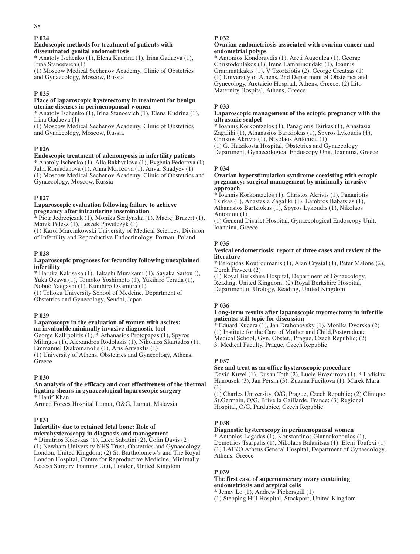# S8

# **P 024**

#### **Endoscopic methods for treatment of patients with disseminated genital endometriosis**

\* Anatoly Ischenko (1), Elena Kudrina (1), Irina Gadaeva (1), Irina Stanoevich (1)

(1) Moscow Medical Sechenov Academy, Clinic of Obstetrics and Gynaecology, Moscow, Russia

# **P 025**

#### **Place of laparoscopic hysterectomy in treatment for benign uterine diseases in perimenopausal women**

\* Anatoly Ischenko (1), Irina Stanoevich (1), Elena Kudrina (1), Irina Gadaeva (1)

(1) Moscow Medical Sechenov Academy, Clinic of Obstetrics and Gynaecology, Moscow, Russia

# **P 026**

# **Endoscopic treatment of adenomyosis in infertility patients**

\* Anatoly Ischenko (1), Alla Bakhvalova (1), Evgenia Fedorova (1), Julia Romadanova (1), Anna Morozova (1), Anvar Shadyev (1) (1) Moscow Medical Sechenov Academy, Clinic of Obstetrics and Gynaecology, Moscow, Russia

# **P 027**

# **Laparoscopic evaluation following failure to achieve pregnancy after intrauterine insemination**

\* Piotr Jedrzejczak (1), Monika Serdynska (1), Maciej Brazert (1), Marek Pelesz (1), Leszek Pawelczyk (1)

(1) Karol Marcinkowski University of Medical Sciences, Division of Infertility and Reproductive Endocrinology, Poznan, Poland

#### **P 028**

# **Laparoscopic prognoses for fecundity following unexplained infertility**

\* Haruka Kakisaka (1), Takashi Murakami (1), Sayaka Saitou (), Yuka Ozawa (1), Tomoko Yoshimoto (1), Yukihiro Terada (1), Nobuo Yaegashi (1), Kunihiro Okamura (1)

(1) Tohoku University School of Medcine, Department of Obstetrics and Gynecology, Sendai, Japan

# **P 029**

# **Laparoscopy in the evaluation of women with ascites: an invaluable minimally invasive diagnostic tool**

George Kallipolitis (1), \* Athanasios Protopapas (1), Spyros Milingos (1), Alexandros Rodolakis (1), Nikolaos Skartados (1), Emmanuel Diakomanolis (1), Aris Antsaklis (1) (1) University of Athens, Obstetrics and Gynecology, Athens,

Greece

#### **P 030**

#### **An analysis of the efficacy and cost effectiveness of the thermal ligating shears in gynaecological laparoscopic surgery** \* Hanif Khan

Armed Forces Hospital Lumut, O&G, Lumut, Malaysia

# **P 031**

#### **Infertility due to retained fetal bone: Role of microhysteroscopy in diagnosis and management**

\* Dimitrios Koleskas (1), Luca Sabatini (2), Colin Davis (2) (1) Newham University NHS Trust, Obstetrics and Gynaecology, London, United Kingdom; (2) St. Bartholomew's and The Royal London Hospital, Centre for Reproductive Medicine, Minimally Access Surgery Training Unit, London, United Kingdom

# **P 032**

# **Ovarian endometriosis associated with ovarian cancer and endometrial polyps**

\* Antonios Kondoravdis (1), Areti Augoulea (1), George Christodoulakos (1), Irene Lambrinoudaki (1), Ioannis Grammatikakis (1), V Tzortziotis (2), George Creatsas (1) (1) University of Athens, 2nd Department of Obstetrics and Gynecology, Aretaieio Hospital, Athens, Greece; (2) Lito Maternity Hospital, Athens, Greece

# **P 033**

#### **Laparoscopic management of the ectopic pregnancy with the ultrasonic scalpel**

\* Ioannis Korkontzelos (1), Panagiotis Tsirkas (1), Anastasia Zagaliki (1), Athanasios Bartziokas (1), Spyros Lykoudis (1), Christos Akrivis (1), Nikolaos Antoniou (1) (1) G. Hatzikosta Hospital, Obstetrics and Gynaecology Department, Gynaecological Endoscopy Unit, Ioannina, Greece

# **P 034**

#### **Ovarian hyperstimulation syndrome coexisting with ectopic pregnancy: surgical management by minimally invasive approach**

\* Ioannis Korkontzelos (1), Christos Akrivis (1), Panagiotis Tsirkas (1), Anastasia Zagaliki (1), Lambros Babatsias (1), Athanasios Bartziokas (1), Spyros Lykoudis (1), Nikolaos Antoniou (1)

(1) General District Hospital, Gynaecological Endoscopy Unit, Ioannina, Greece

# **P 035**

#### **Vesical endometriosis: report of three cases and review of the literature**

\* Pelopidas Koutroumanis (1), Alan Crystal (1), Peter Malone (2), Derek Fawcett (2)

(1) Royal Berkshire Hospital, Department of Gynaecology, Reading, United Kingdom; (2) Royal Berkshire Hospital, Department of Urology, Reading, United Kingdom

# **P 036**

#### **Long-term results after laparoscopic myomectomy in infertile patients: still topic for discussion**

\* Eduard Kucera (1), Jan Drahonovsky (1), Monika Dvorska (2) (1) Institute for the Care of Mother and Child,Postgraduate Medical School, Gyn. Obstet., Prague, Czech Republic; (2) 3. Medical Faculty, Prague, Czech Republic

# **P 037**

# **See and treat as an office hysteroscopic procedure**

David Kuzel (1), Dusan Toth (2), Lucie Hrazdirova (1), \* Ladislav Hanousek (3), Jan Persin (3), Zuzana Fucikova (1), Marek Mara (1)

(1) Charles University, O/G, Prague, Czech Republic; (2) Clinique St.Germain, O/G, Brive la Gaillarde, France; (3) Regional Hospital, O/G, Pardubice, Czech Republic

# **P 038**

# **Diagnostic hysteroscopy in perimenopausal women**

\* Antonios Lagadas (1), Konstantinos Giannakopoulos (1), Demetrios Tsarpalis (1), Nikolaos Balakitsas (1), Eleni Toufexi (1) (1) LAIKO Athens General Hospital, Department of Gynaecology, Athens, Greece

# **P 039**

# **The first case of supernumerary ovary containing endometriosis and atypical cells**

\* Jenny Lo (1), Andrew Pickersgill (1)

(1) Stepping Hill Hospital, Stockport, United Kingdom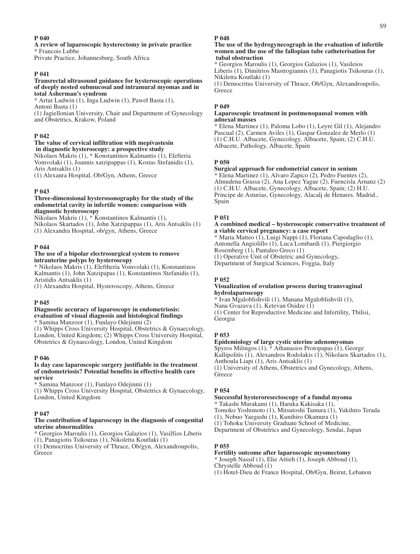#### **P 040**

#### **A review of laparoscopic hysterectomy in private practice** \* Francois Lubbe

Private Practice, Johannesburg, South Africa

#### **P 041**

#### **Transrectal ultrasound guidance for hysteroscopic operations of deeply nested submucosal and intramural myomas and in total Asherman's syndrom**

\* Artur Ludwin (1), Inga Ludwin (1), Paweł Basta (1), Antoni Basta (1)

(1) Jagiellonian University, Chair and Department of Gynecology and Obstetrics, Krakow, Poland

#### **P 042**

#### **The value of cervical infiltration with mepivastesin in diagnostic hysteroscopy: a prospective study**

Nikolaos Makris (1), \* Konstantinos Kalmantis (1), Elefteria Vomvolaki (1), Joannis xatzipappas (1), Kostas Stefanidis (1), Aris Antsaklis (1)

(1) Alexanra Hospital, Ob/Gyn, Athens, Greece

#### **P 043**

#### **Three-dimensional hysterosonography for the study of the endometrial cavity in infertile women: comparison with diagnostic hysteroscopy**

Nikolaos Makris (1), \* Konstantinos Kalmantis (1), Nikolaos Skartados (1), John Xatzipappas (1), Aris Antsaklis (1) (1) Alexandra Hospital, ob/gyn, Athens, Greece

#### **P 044**

#### **The use of a bipolar electrosurgical system to remove intrauterine polyps by hysteroscopy**

\* Nikolaos Makris (1), Eleftheria Vomvolaki (1), Konstantinos Kalmantis (1), John Xatzipapas (1), Konstantinos Stefanidis (1), Aristidis Antsaklis (1)

(1) Alexandra Hospital, Hysteroscopy, Athens, Greece

# **P 045**

# **Diagnostic accuracy of laparoscopy in endometriosis: evaluation of visual diagnosis and histological findings**

\* Samina Manzoor (1), Funlayo Odejinmi (2)

(1) Whipps Cross University Hospital, Obstetrics & Gynaecology, London, United Kingdom; (2) Whipps Cross University Hospital, Obstetrics & Gynaecology, London, United Kingdom

#### **P 046**

#### **Is day case laparoscopic surgery justifiable in the treatment of endometriosis? Potential benefits in effective health care service**

\* Samina Manzoor (1), Funlayo Odejinmi (1)

(1) Whipps Cross University Hospital, Obstetrics & Gynaecology, London, United Kingdom

#### **P 047**

#### **The contribution of laparoscopy in the diagnosis of congenital uterine abnormalities**

\* Georgios Maroulis (1), Georgios Galazios (1), Vasilfios Liberis (1), Panagiotis Tsikouras (1), Nikoletta Koutlaki (1)

(1) Democritus University of Thrace, Ob/gyn, Alexandroupolis, **Greece** 

# **P 048**

#### **The use of the hydrogynecograph in the evaluation of infertile women and the use of the fallopian tube catheterisation for tubal obstruction**

\* Georgios Maroulis (1), Georgios Galazios (1), Vasileios Liberis (1), Dimitrios Mastrogiannis (1), Panagiotis Tsikouras (1), Nikiletta Koutlaki (1)

(1) Democritus University of Thrace, Ob/Gyn, Alexandroupolis, **Greece** 

#### **P 049**

#### **Laparoscopic treatment in postmenopausal women with adnexal masses**

\* Elena Martinez (1), Paloma Lobo (1), Leyre Gil (1), Alejandro Pascual (2), Carmen Aviles (1), Gaspar Gonzalez de Merlo (1) (1) C.H.U. Albacete, Gynecology, Albacete, Spain; (2) C.H.U. Albacete, Pathology, Albacete, Spain

# **P 050**

# **Surgical approach for endometrial cancer in senium**

\* Elena Martinez (1), Alvaro Zapico (2), Pedro Fuentes (2), Almudena Grassa (2), Ana Lopez Yague (2), Fuencisla Arnanz (2) (1) C.H.U. Albacete, Gynecology, Albacete, Spain; (2) H.U. Principe de Asturias, Gynecology, Alacali de Henares. Madrid., Spain

#### **P 051**

#### **A combined medical – hysteroscopic conservative treatment of a viable cervical pregnancy: a case report**

\* Maria Matteo (1), Luigi Nappi (1), Floriana Capodaglio (1), Antonella Angiolillo (1), Luca Lombardi (1), Piergiorgio Rosemberg (1), Pantaleo Greco (1) (1) Operative Unit of Obstetric and Gynecology, Department of Surgical Sciences, Foggia, Italy

# **P 052**

#### **Visualization of ovulation process during transvaginal hydrolaparoscopy**

\* Ivan Mgaloblishvili (1), Manana Mgaloblishvili (1), Nana Gvazava (1), Ketevan Osidze (1) (1) Center for Reproductive Medicine and Infertility, Tbilisi, Georgia

#### **P 053**

# **Epidemiology of large cystic uterine adenomyomas**

Spyros Milingos (1), \* Athanasios Protopapas (1), George Kallipolitis (1), Alexandros Rodolakis (1), Nikolaos Skartados (1), Anthoula Liapi (1), Aris Antsaklis (1) (1) University of Athens, Obstetrics and Gynecology, Athens, Greece

#### **P 054**

#### **Successful hysteroresectoscopy of a fundal myoma**

\* Takashi Murakami (1), Haruka Kakisaka (1),

Tomoko Yoshimoto (1), Mitsutoshi Tamura (1), Yukihiro Terada (1), Nobuo Yaegashi (1), Kunihiro Okamura (1)

(1) Tohoku University Graduate School of Medicine,

Department of Obstetrics and Gynecology, Sendai, Japan

# **P 055**

# **Fertility outcome after laparoscopic myomectomy**

\* Joseph Nassif (1), Elie Attieh (1), Joseph Abboud (1), Chrystelle Abboud (1) (1) Hotel-Dieu de France Hospital, Ob/Gyn, Beirut, Lebanon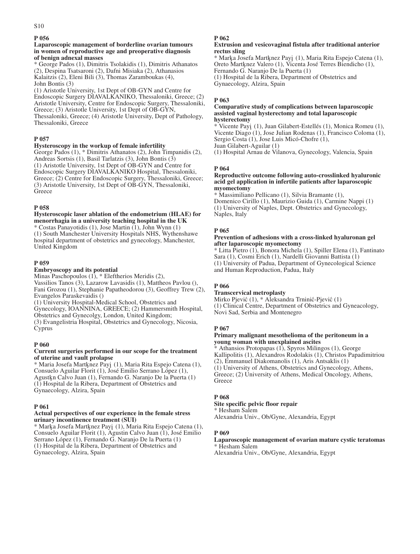# S10 **P 056**

# **Laparoscopic management of borderline ovarian tumours in women of reproductive age and preoperative diagnosis of benign adnexal masses**

\* George Pados (1), Dimitris Tsolakidis (1), Dimitris Athanatos (2), Despina Tsatsaroni (2), Dafni Misiaka (2), Athanasios Kalaitzis (2), Eleni Bili (3), Thomas Zaramboukas (4), John Bontis (3)

(1) Aristotle University, 1st Dept of OB-GYN and Centre for Endoscopic Surgery DIAVALKANIKO, Thessaloniki, Greece; (2) Aristotle University, Centre for Endoscopic Surgery, Thessaloniki, Greece; (3) Aristotle University, 1st Dept of OB-GYN, Thessaloniki, Greece; (4) Aristotle University, Dept of Pathology, Thessaloniki, Greece

# **P 057**

# **Hysteroscopy in the workup of female infertility**

George Pados (1), \* Dimitris Athanatos (2), John Timpanidis (2), Andreas Sortsis (1), Basil Tarlatzis (3), John Bontis (3) (1) Aristotle University, 1st Dept of OB-GYN and Centre for Endoscopic Surgery DIAVALKANIKO Hospital, Thessaloniki, Greece; (2) Centre for Endoscopic Surgery, Thessaloniki, Greece; (3) Aristotle University, 1st Dept of OB-GYN, Thessaloniki, **Greece** 

# **P 058**

# **Hysteroscopic laser ablation of the endometrium (HLAE) for menorrhagia in a university teaching hospital in the UK**

\* Costas Panayotidis (1), Jose Martin (1), John Wynn (1) (1) South Manchester University Hospitals NHS, Wythenshawe hospital department of obstetrics and gynecology, Manchester, United Kingdom

# **P 059**

# **Embryoscopy and its potential**

Minas Paschopoulos (1), \* Eleftherios Meridis (2), Vassilios Tanos (3), Lazarow Lavasidis (1), Mattheos Pavlou (), Fani Grozou (1), Stephanie Papatheodorou (3), Geoffrey Trew (2), Evangelos Paraskevaidis ()

(1) University Hospital-Medical School, Obstetrics and

Gynecology, IOANNINA, GREECE; (2) Hammersmith Hospital, Obstetrics and Gynecolgy, London, United Kingdom;

(3) Evangelistria Hospital, Obstetrics and Gynecology, Nicosia, Cyprus

# **P 060**

# **Current surgeries performed in our scope for the treatment of uterine and vault prolapse**

\* Maria Josefa Martk¸nez Payi¸ (1), Maria Rita Espejo Catena (1), Consuelo Aguilar Florit (1), José Emilio Serrano López (1), Agustkn Calvo Juan (1), Fernando G. Naranjo De la Puerta (1) (1) Hospital de la Ribera, Department of Obstetrics and Gynaecology, Alzira, Spain

# **P 061**

# **Actual perspectives of our experience in the female stress urinary incontinence treatment (SUI)**

\* Mark¸a Josefa Martk¸nez Payi¸ (1), Maria Rita Espejo Catena (1), Consuelo Aguilar Florit (1), Agustin Calvo Juan (1), José Emilio Serrano López (1), Fernando G. Naranjo De la Puerta (1) (1) Hospital de la Ribera, Department of Obstetrics and Gynaecology, Alzira, Spain

# **P 062**

# **Extrusion and vesicovaginal fistula after traditional anterior rectus sling**

\* Mark¸a Josefa Martk¸nez Payi¸ (1), Maria Rita Espejo Catena (1), Oreto Martknez Valero (1), Vicenta José Terres Biendicho (1), Fernando G. Naranjo De la Puerta (1) (1) Hospital de la Ribera, Department of Obstetrics and Gynaecology, Alzira, Spain

# **P 063**

#### **Comparative study of complications between laparoscopic assisted vaginal hysterectomy and total laparoscopic hysterectomy**

\* Vicente Payi¸ (1), Juan Gilabert-Estellés (1), Monica Romeu (1), Vicente Diago (1), Jose Julian Rodenas (1), Francisco Coloma (1), Sergio Costa (1), Jose Luis Micó-Chofre (1), Juan Gilabert-Aguilar (1)

(1) Hospital Arnau de Vilanova, Gynecology, Valencia, Spain

# **P 064**

#### **Reproductive outcome following auto-crosslinked hyaluronic acid gel application in infertile patients after laparoscopic myomectomy**

\* Massimiliano Pellicano (1), Silvia Bramante (1), Domenico Cirillo (1), Maurizio Guida (1), Carmine Nappi (1) (1) University of Naples, Dept. Obstetrics and Gynecology, Naples, Italy

# **P 065**

# **Prevention of adhesions with a cross-linked hyaluronan gel after laparoscopic myomectomy**

\* Litta Pietro (1), Bonora Michela (1), Spiller Elena (1), Fantinato Sara (1), Cosmi Erich (1), Nardelli Giovanni Battista (1) (1) University of Padua, Department of Gynecological Science and Human Reproduction, Padua, Italy

# **P 066**

# **Transcervical metroplasty**

Mirko Pjević (1), \* Aleksandra Trninić-Pjević (1) (1) Clinical Centre, Department of Obstetrics and Gyneacology, Novi Sad, Serbia and Montenegro

# **P 067**

# **Primary malignant mesothelioma of the peritoneum in a young woman with unexplained ascites**

Athansios Protopapas (1), Spyros Milingos (1), George Kallipolitis (1), Alexandros Rodolakis (1), Christos Papadimitriou (2), Emmanuel Diakomanolis (1), Aris Antsaklis (1) (1) University of Athens, Obstetrics and Gynecology, Athens, Greece; (2) University of Athens, Medical Oncology, Athens, Greece

# **P 068**

**Site specific pelvic floor repair** \* Hesham Salem

Alexandria Univ., Ob/Gyne, Alexandria, Egypt

# **P 069**

# **Laparoscopic management of ovarian mature cystic teratomas** \* Hesham Salem

Alexandria Univ., Ob/Gyne, Alexandria, Egypt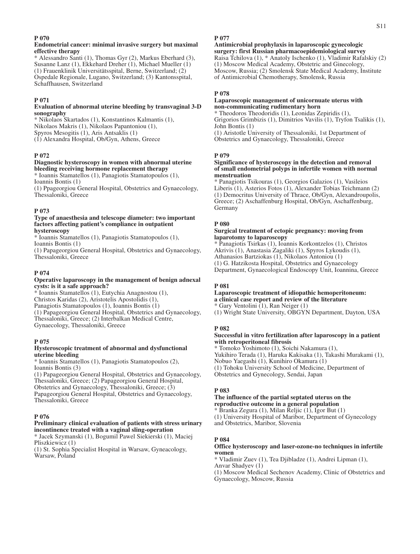#### **P 070**

#### **Endometrial cancer: minimal invasive surgery but maximal effective therapy**

\* Alessandro Santi (1), Thomas Gyr (2), Markus Eberhard (3), Susanne Lanz (1), Ekkehard Dreher (1), Michael Mueller (1) (1) Frauenklinik Universitätsspital, Berne, Switzerland; (2) Ospedale Regionale, Lugano, Switzerland; (3) Kantonsspital, Schaffhausen, Switzerland

# **P 071**

#### **Evaluation of abnormal uterine bleeding by transvaginal 3-D sonography**

\* Nikolaos Skartados (1), Konstantinos Kalmantis (1), Nikolaos Makris (1), Nikolaos Papantoniou (1), Spyros Mesogitis (1), Aris Antsaklis (1) (1) Alexandra Hospital, Ob/Gyn, Athens, Greece

# **P 072**

# **Diagnostic hysteroscopy in women with abnormal uterine bleeding receiving hormone replacement therapy**

\* Ioannis Stamatellos (1), Panagiotis Stamatopoulos (1), Ioannis Bontis (1)

(1) Ppageorgiou General Hospital, Obstetrics and Gynaecology, Thessaloniki, Greece

# **P 073**

#### **Type of anaesthesia and telescope diameter: two important factors affecting patient's compliance in outpatient hysteroscopy**

\* Ioannis Stamatellos (1), Panagiotis Stamatopoulos (1), Ioannis Bontis (1)

(1) Papageorgiou General Hospital, Obstetrics and Gynaecology, Thessaloniki, Greece

#### **P 074**

#### **Operative laparoscopy in the management of benign adnexal cysts: is it a safe approach?**

\* Ioannis Stamatellos (1), Eutychia Anagnostou (1),

Christos Karidas (2), Aristotelis Apostolidis (1),

Panagiotis Stamatopoulos (1), Ioannis Bontis (1)

(1) Papageorgiou General Hospital, Obstetrics and Gynaecology, Thessaloniki, Greece; (2) Interbalkan Medical Centre,

Gynaecology, Thessaloniki, Greece

#### **P 075**

#### **Hysteroscopic treatment of abnormal and dysfunctional uterine bleeding**

\* Ioannis Stamatellos (1), Panagiotis Stamatopoulos (2), Ioannis Bontis (3)

(1) Papageorgiou General Hospital, Obstetrics and Gynaecology, Thessaloniki, Greece; (2) Papageorgiou General Hospital, Obstetrics and Gynaecology, Thessaloniki, Greece; (3) Papageorgiou General Hospital, Obstetrics and Gynaecology, Thessaloniki, Greece

#### **P 076**

# **Preliminary clinical evaluation of patients with stress urinary incontinence treated with a vaginal sling-operation**

\* Jacek Szymanski (1), Bogumil Pawel Siekierski (1), Maciej Pliszkiewicz (1)

(1) St. Sophia Specialist Hospital in Warsaw, Gyneacology, Warsaw, Poland

# **P 077**

**Antimicrobial prophylaxis in laparoscopic gynecologic surgery: first Russian pharmacoepidemiological survey** Raisa Tchilova (1), \* Anatoly Ischenko (1), Vladimir Rafalskiy (2) (1) Moscow Medical Academy, Obstetric and Ginecology, Moscow, Russia; (2) Smolensk State Medical Academy, Institute of Antimicrobial Chemotherapy, Smolensk, Russia

# **P 078**

#### **Laparoscopic management of unicornuate uterus with non-communicating rudimentary horn**

\* Theodoros Theodoridis (1), Leonidas Zepiridis (1), Grigorios Grimbizis (1), Dimitrios Vavilis (1), Tryfon Tsalikis (1), John Bontis (1) (1) Aristotle University of Thessaloniki, 1st Department of

Obstetrics and Gynaecology, Thessaloniki, Greece

# **P 079**

# **Significance of hysteroscopy in the detection and removal of small endometrial polyps in infertile women with normal menstruation**

\* Panagiotis Tsikouras (1), Georgios Galazios (1), Vasileios Liberis (1), Asterios Fotos (1), Alexander Tobias Teichmann (2) (1) Democritus University of Thrace, Ob/Gyn, Alexandroupolis, Greece; (2) Aschaffenburg Hospital, Ob/Gyn, Aschaffenburg, Germany

# **P 080**

#### **Surgical treatment of ectopic pregnancy: moving from laparotomy to laparoscopy**

\* Panagiotis Tsirkas (1), Ioannis Korkontzelos (1), Christos Akrivis (1), Anastasia Zagaliki (1), Spyros Lykoudis (1), Athanasios Bartziokas (1), Nikolaos Antoniou (1) (1) G. Hatzikosta Hospital, Obstetrics and Gynaecology Department, Gynaecological Endoscopy Unit, Ioannina, Greece

# **P 081**

# **Laparoscopic treatment of idiopathic hemoperitoneum: a clinical case report and review of the literature**

\* Gary Ventolini (1), Ran Neiger (1)

(1) Wright State University, OBGYN Department, Dayton, USA

# **P 082**

#### **Successful in vitro fertilization after laparoscopy in a patient with retroperitoneal fibrosis**

\* Tomoko Yoshimoto (1), Soichi Nakamura (1), Yukihiro Terada (1), Haruka Kakisaka (1), Takashi Murakami (1), Nobuo Yaegashi (1), Kunihiro Okamura (1) (1) Tohoku University School of Medicine, Department of Obstetrics and Gynecology, Sendai, Japan

# **P 083**

# **The influence of the partial septated uterus on the reproductive outcome in a general population**

\* Branka Zegura (1), Milan Reljic (1), Igor But (1) (1) University Hospital of Maribor, Department of Gynecology and Obstetrics, Maribor, Slovenia

# **P 084**

#### **Office hysteroscopy and laser-ozone-no techniques in infertile women**

\* Vladimir Zuev (1), Tea Djibladze (1), Andrei Lipman (1), Anvar Shadyev (1)

(1) Moscow Medical Sechenov Academy, Clinic of Obstetrics and Gynaecology, Moscow, Russia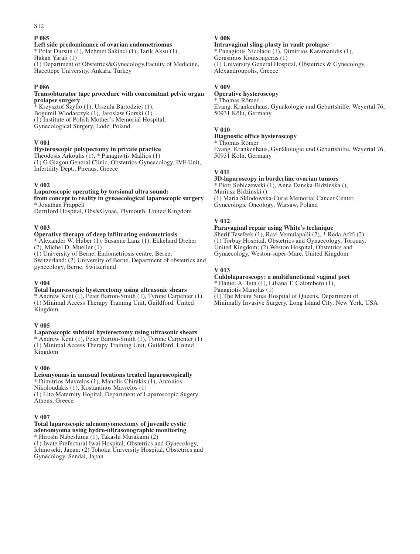# **P 085**

# **Left side predominance of ovarian endometriomas**

\* Polat Dursun (1), Mehmet Sakinci (1), Tarik Aksu (1), Hakan Yarali (1)

(1) Department of Obstetrics&Gynecology,Faculty of Medicine, Hacettepe University, Ankara, Turkey

# **P 086**

# **Transobturator tape procedure with concomitant pelvic organ prolapse surgery**

Krzysztof Szyllo (1), Urszula Bartodziej (1), Bogumil Wlodarczyk (1), Jaroslaw Gorski (1) (1) Institute of Polish Mother's Memorial Hospital,

Gynecological Surgery, Lodz, Poland

# **V 001**

# **Hysteroscopic polypectomy in private practice**

Theodosis Arkoulis (1), \* Panagiwtis Mallios (1) (1) G Giagou General Clinic, Obstetrics-Gyneacology, IVF Unit, Infertility Dept., Pireaus, Greece

# **V 002**

# **Laparoscopic operating by torsional ultra sound:**

**from concept to reality in gynaecological laparoscopic surgery** \* Jonathan Frappell

Derriford Hospital, Obs&Gynae, Plymouth, United Kingdom

# **V 003**

# **Operative therapy of deep infiltrating endometriosis**

\* Alexander W. Huber (1), Susanne Lanz (1), Ekkehard Dreher (2), Michel D. Mueller (1)

(1) University of Berne, Endometriosis centre, Berne,

Switzerland; (2) University of Berne, Department of obstetrics and gynecology, Berne, Switzerland

# **V 004**

# **Total laparoscopic hysterectomy using ultrasonic shears**

\* Andrew Kent (1), Peter Barton-Smith (1), Tyrone Carpenter (1) (1) Minimal Access Therapy Training Unit, Guildford, United Kingdom

# **V 005**

# **Laparoscopic subtotal hysterectomy using ultrasonic shears**

\* Andrew Kent (1), Peter Barton-Smith (1), Tyrone Carpenter (1) (1) Minimal Access Therapy Training Unit, Guildford, United Kingdom

# **V 006**

# **Leiomyomas in unusual locations treated laparoscopically**

\* Dimitrios Mavrelos (1), Manolis Chirakis (1), Antonios

Nikoloudakis (1), Kostantinos Mavrelos (1)

(1) Lito Maternity Hopital, Department of Laparoscopic Sugery, Athens, Greece

# **V 007**

# **Total laparoscopic adenomyomectomy of juvenile cystic adenomyoma using hydro-ultrasonographic monitoring**

\* Hiroshi Nabeshima (1), Takashi Murakami (2)

(1) Iwate Prefectural Iwai Hospital, Obstetrics and Gynecology, Ichinoseki, Japan; (2) Tohoku University Hospital, Obstetrics and Gynecology, Sendai, Japan

# **V 008**

# **Intravaginal sling-plasty in vault prolapse**

\* Panagiotis Nicolaou (1), Dimitrios Karamanidis (1), Gerasimos Koutsougeras (1) (1) University General Hospital, Obstetrics & Gynecology, Alexandroupolis, Greece

# **V 009**

#### **Operative hysteroscopy** \* Thomas Römer

Evang. Krankenhaus, Gynäkologie und Geburtshilfe, Weyertal 76, 50931 Köln, Germany

# **V 010**

# **Diagnostic office hysteroscopy**

\* Thomas Römer

Evang. Krankenhaus, Gynäkologie und Geburtshilfe, Weyertal 76, 50931 Köln, Germany

# **V 011**

# **3D-laparoscopy in borderline ovarian tumors**

\* Piotr Sobiczewski (1), Anna Danska-Bidzinska (), Mariusz Bidzinski () (1) Maria Sklodowska-Curie Memorial Cancer Center, Gynecologic Oncology, Warsaw, Poland

# **V 012**

# **Paravaginal repair using White's technique**

Sherif Tawfeek (1), Ravi Vemulapalli (2), \* Reda Afifi (2) (1) Torbay Hospital, Obstetrics and Gynaecology, Torquay, United Kingdom; (2) Weston Hospital, Obstetrics and Gynaecology, Weston-super-Mare, United Kingdom

# **V 013**

# **Culdolaparoscopy: a multifunctional vaginal port**

\* Daniel A. Tsin (1), Liliana T. Colombero (1),

Panagiotis Manolas (1)

(1) The Mount Sinai Hospital of Queens, Department of Minimally Invasive Surgery, Long Island City, New York, USA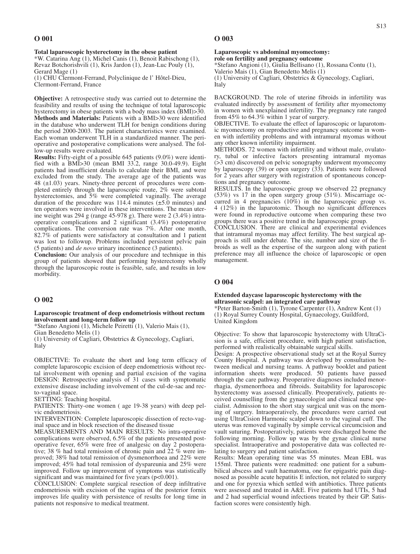#### **Total laparoscopic hysterectomy in the obese patient**

\*W. Catarina Ang (1), Michel Canis (1), Benoit Rabischong (1), Revaz Botchorishvili (1), Kris Jardon (1), Jean-Luc Pouly (1), Gerard Mage (1)

(1) CHU Clermont-Ferrand, Polyclinique de l' Hôtel-Dieu, Clermont-Ferrand, France

**Objective:** A retrospective study was carried out to determine the feasibility and results of using the technique of total laparoscopic hysterectomy in obese patients with a body mass index (BMI)>30. **Methods and Materials:** Patients with a BMI>30 were identified in the database who underwent TLH for benign conditions during the period 2000-2003. The patient characteristics were examined. Each woman underwent TLH in a standardized manner. The perioperative and postoperative complications were analysed. The follow-up results were evaluated.

**Results:** Fifty-eight of a possible 645 patients (9.0%) were identified with a BMI>30 (mean BMI 33.2, range 30.0-49.9). Eight patients had insufficient details to calculate their BMI, and were excluded from the study. The average age of the patients was  $48$  ( $\pm$ 1.03) years. Ninety-three percent of procedures were completed entirely through the laparoscopic route, 2% were subtotal hysterectomies, and 5% were completed vaginally. The average duration of the procedure was 114.4 minutes (±5.0 minutes) and ten operators were involved in these interventions. The mean uterine weight was 294 g (range 45-978 g). There were 2 (3.4%) intraoperative complications and 2 significant (3.4%) postoperative complications. The conversion rate was 7%. After one month, 82.7% of patients were satisfactory at consultation and 1 patient was lost to followup. Problems included persistent pelvic pain (5 patients) and *de novo* urinary incontinence (3 patients).

**Conclusion:** Our analysis of our procedure and technique in this group of patients showed that performing hysterectomy wholly through the laparoscopic route is feasible, safe, and results in low morbidity.

# **O 002**

**Laparoscopic treatment of deep endometriosis without rectum involvement and long-term follow up**

\*Stefano Angioni (1), Michele Peiretti (1), Valerio Mais (1), Gian Benedetto Melis (1)

(1) University of Cagliari, Obstetrics & Gynecology, Cagliari, Italy

OBJECTIVE: To evaluate the short and long term efficacy of complete laparoscopic excision of deep endometriosis without rectal involvement with opening and partial excision of the vagina DESIGN: Retrospective analysis of 31 cases with symptomatic extensive disease including involvement of the cul-de-sac and recto-vaginal space.

SETTING: Teaching hospital.

PATIENTS: Thirty-one women ( age 19-38 years) with deep pelvic endometriosis.

INTERVENTION: Complete laparoscopic dissection of recto-vaginal space and in block resection of the diseased tissue

MEASUREMENTS AND MAIN RESULTS: No intra-operative complications were observed, 6.5% of the patients presented postoperative fever, 65% were free of analgesic on day 2 postoperative; 38 % had total remission of chronic pain and 22 % were improved; 38% had total remission of dysmenorrhoea and 22% were improved; 45% had total remission of dyspareunia and 25% were improved. Follow up improvement of symptoms was statistically significant and was maintained for five years (p<0.001).

CONCLUSION: Complete surgical resection of deep infiltrative endometriosis with excision of the vagina of the posterior fornix improves life quality with persistence of results for long time in patients not responsive to medical treatment.

# **O 003**

#### **Laparoscopic vs abdominal myomectomy: role on fertility and pregnancy outcome**

\*Stefano Angioni (1), Giulia Bellisano (1), Rossana Contu (1), Valerio Mais (1), Gian Benedetto Melis (1)

(1) University of Cagliari, Obstetrics & Gynecology, Cagliari, Italy

BACKGROUND. The role of uterine fibroids in infertility was evaluated indirectly by assessment of fertility after myomectomy in women with unexplained infertility. The pregnancy rate ranged from 45% to 64.3% within 1 year of surgery.

OBJECTIVE. To evaluate the effect of laparoscopic or laparotomic myomectomy on reproductive and pregnancy outcome in women with infertility problems and with intramural myomas without any other known infertility impairment.

METHODS. 72 women with infertility and without male, ovulatory, tubal or infective factors presenting intramural myomas (>3 cm) discovered on pelvic sonography underwent myomecomy by laparoscopy (39) or open surgery (33). Patients were followed for 2 years after surgery with registration of spontaneous conceptions and pregnancy outcome.

RESULTS. In the laparoscopic group we observed 22 pregnancy (53%) vs 17 in the open surgery group (51%). Miscarriage occurred in 4 pregnancies (10%) in the laparoscopic group vs. 4 (12%) in the laparotomic. Though no significant differences were found in reproductive outcome when comparing these two groups there was a positive trend in the laparoscopic group.

CONCLUSION. There are clinical and experimental evidences that intramural myomas may affect fertility. The best surgical approach is still under debate. The site, number and size of the fibroids as well as the expertise of the surgeon along with patient preference may all influence the choice of laparoscopic or open management.

# **O 004**

#### **Extended daycase laparoscopic hysterectomy with the ultrasonic scalpel: an integrated care pathway**

\*Peter Barton-Smith (1), Tyrone Carpenter (1), Andrew Kent (1) (1) Royal Surrey County Hospital, Gynaecology, Guildford, United Kingdom

Objective: To show that laparoscopic hysterectomy with UltraCision is a safe, efficient procedure, with high patient satisfaction, performed with realistically obtainable surgical skills.

Design: A prospective observational study set at the Royal Surrey County Hospital. A pathway was developed by consultation between medical and nursing teams. A pathway booklet and patient information sheets were produced. 50 patients have passed through the care pathway. Preoperative diagnoses included menorrhagia, dysmenorrhoea and fibroids. Suitability for laparoscopic hysterectomy was assessed clinically. Preoperatively, patients received counselling from the gynaecologist and clinical nurse specialist. Admission to the short stay surgical unit was on the morning of surgery. Intraoperatively, the procedures were carried out using UltraCision Harmonic scalpel down to the vaginal cuff. The uterus was removed vaginally by simple cervical circumcision and vault suturing. Postoperatively, patients were discharged home the following morning. Follow up was by the gynae clinical nurse specialist. Intraoperative and postoperative data was collected relating to surgery and patient satisfaction.

Results: Mean operating time was 55 minutes. Mean EBL was 155ml. Three patients were readmitted: one patient for a subumbilical abscess and vault haematoma, one for epigastric pain diagnosed as possible acute hepatitis E infection, not related to surgery and one for pyrexia which settled with antibiotics. Three patients were assessed and treated in A&E. Five patients had UTIs, 5 had and 2 had superficial wound infections treated by their GP. Satisfaction scores were consistently high.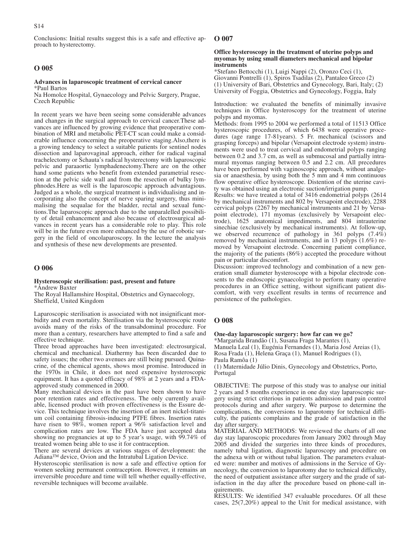Conclusions: Initial results suggest this is a safe and effective approach to hysterectomy.

# **O 005**

#### **Advances in laparoscopic treatment of cervical cancer** \*Paul Bartos

Na Homolce Hospital, Gynaecology and Pelvic Surgery, Prague, Czech Republic

In recent years we have been seeing some considerable advances and changes in the surgical approach to cervical cancer.These advances are influenced by growing evidence that preoperative combination of MRI and metabolic PET-CT scan could make a considerable influence concerning the preoperative staging.Also,there is a growing tendency to select a suitable patients for sentinel nodes dissection and laparovaginal approach, either for radical vaginal trachelectomy or Schauta's radical hysterectomy with laparoscopic pelvic and paraaortic lymphadenectomy.There are on the other hand some patients who benefit from extended parametrial resection at the pelvic side wall and from the resection of bulky lymphnodes.Here as well is the laparoscopic approach advantagious. Judged as a whole, the surgical treatment is individualising and incorporating also the concept of nerve sparing surgery, thus minimalising the sequalae for the bladder, rectal and sexual functions.The laparoscopic approach due to the unparalelled possibility of detail enhancement and also because of electrosurgical advances in recent years has a considerable role to play. This role will be in the future even more enhanced by the use of robotic surgery in the field of oncolaparoscopy. In the lecture the analysis and synthesis of these new developments are presented.

# **O 006**

#### **Hysteroscopic sterilisation: past, present and future** \*Andrew Baxter

The Royal Hallamshire Hospital, Obstetrics and Gynaecology, Sheffield, United Kingdom

Laparoscopic sterilisation is associated with not insignificant morbidity and even mortality. Sterilisation via the hysteroscopic route avoids many of the risks of the transabdominal procedure. For more than a century, researchers have attempted to find a safe and effective technique.

Three broad approaches have been investigated: electrosurgical, chemical and mechanical. Diathermy has been discarded due to safety issues; the other two avenues are still being pursued. Quinacrine, of the chemical agents, shows most promise. Introduced in the 1970s in Chile, it does not need expensive hysteroscopic equipment. It has a quoted efficacy of 98% at 2 years and a FDAapproved study commenced in 2000.

Many mechanical devices in the past have been shown to have poor retention rates and effectiveness. The only currently available, licensed product with proven effectiveness is the Essure device. This technique involves the insertion of an inert nickel-titanium coil containing fibrosis-inducing PTFE fibres. Insertion rates have risen to 98%, women report a 96% satisfaction level and complication rates are low. The FDA have just accepted data showing no pregnancies at up to 5 year's usage, with 99.74% of treated women being able to use it for contraception.

There are several devices at various stages of development: the Adiana™ device, Ovion and the Intratubal Ligation Device.

Hysteroscopic sterilisation is now a safe and effective option for women seeking permanent contraception. However, it remains an irreversible procedure and time will tell whether equally-effective, reversible techniques will become available.

# **O 007**

# **Office hysteroscopy in the treatment of uterine polyps and myomas by using small diameters mechanical and bipolar instruments**

\*Stefano Bettocchi (1), Luigi Nappi (2), Oronzo Ceci (1), Giovanni Pontrelli (1), Spiros Tsadilas (2), Pantaleo Greco (2) (1) University of Bari, Obstetrics and Gynecology, Bari, Italy; (2) University of Foggia, Obstetrics and Gynecology, Foggia, Italy

Introduction: we evaluated the benefits of minimally invasive techniques in Office hysteroscopy for the treatment of uterine polyps and myomas.

Methods: from 1995 to 2004 we performed a total of 11513 Office hysteroscopic procedures, of which 6438 were operative procedures (age range 17-81years). 5 Fr. mechanical (scissors and grasping forceps) and bipolar (Versapoint electrode system) instruments were used to treat cervical and endometrial polyps ranging between 0.2 and 3.7 cm, as well as submucosal and partially intramural myomas ranging between 0.5 and 2.2 cm. All precedures have been performed with vaginoscopic approach, without analgesia or anaesthesia, by using both the 5 mm and 4 mm continuous flow operative office hysteroscope. Distention of the uterine cavity was obtained using an electronic suction/irrigation pump.

Results: we have treated a total of 3416 endometrial polyps (2614 by mechanical instruments and 802 by Versapoint electrode), 2288 cervical polyps (2267 by mechanical instruments and 21 by Versapoint electrode), 171 myomas (exclusively by Versapoint electrode), 1625 anatomical impediments, and 804 intrauterine sinechiae (exclusively by mechanical instruments). At follow-up, we observed recurrence of pathology in 361 polyps  $(7.4\%)$ removed by mechanical instruments, and in 13 polyps (1.6%) removed by Versapoint electrode. Concerning patient compliance, the majority of the patients (86%) accepted the procedure without pain or particular discomfort.

Discussion: improved technology and combination of a new generation small diameter hysteroscope with a bipolar electrode consents to the endoscopic gynaecologist to perform many operative procedures in an Office setting, without significant patient discomfort, with very excellent results in terms of recurrence and persistence of the pathologies.

# **O 008**

**One-day laparoscopic surgery: how far can we go?**

\*Margarida Brandão (1), Susana Fraga Marantes (1), Manuela Leal (1), Eugénia Fernandes (1), Maria José Areias (1), Rosa Frada (1), Helena Graça (1), Manuel Rodrigues (1), Paula Ramôa (1)

(1) Maternidade Júlio Dinis, Gynecology and Obstetrics, Porto, Portugal

OBJECTIVE: The purpose of this study was to analyse our initial 2 years and 5 months experience in one day stay laparoscopic surgery using strict criterious in patients admission and pain control protocols during and after surgery. We purpose to determine the complications, the conversions to laparotomy for technical difficulty, the patients complains and the grade of satisfaction in the day after surgery.

MATERIAL AND METHODS: We reviewed the charts of all one day stay laparoscopic procedures from January 2002 through May 2005 and divided the surgeries into three kinds of procedures, namely tubal ligation, diagnostic laparoscopy and procedure on the adnexa with or without tubal ligation. The parameters evaluated were: number and motives of admissions in the Service of Gynecology, the conversion to laparotomy due to technical difficulty, the need of outpatient assistance after surgery and the grade of satisfaction in the day after the procedure based on phone-call inquirements.

RESULTS: We identified 347 evaluable procedures. Of all these cases, 25(7,20%) appeal to the Unit for medical assistance, with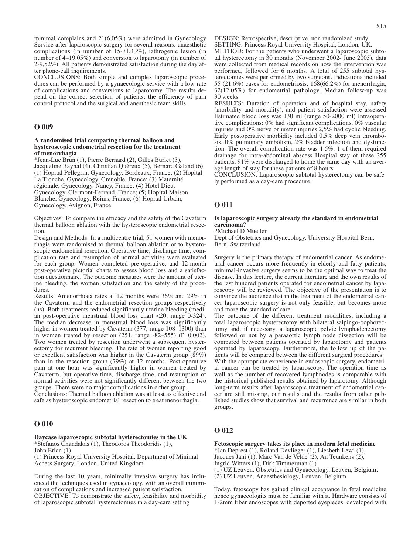minimal complains and 21(6,05%) were admitted in Gynecology Service after laparoscopic surgery for several reasons: anaesthetic complications (in number of 15-71,43%), iathrogenic lesion (in number of 4–19,05%) and conversion to laparotomy (in number of 2-9,52%). All patients demonstrated satisfaction during the day after phone-call inquirements.

CONCLUSIONS: Both simple and complex laparoscopic procedures can be performed by a gynaecologic service with a low rate of complications and conversions to laparotomy. The results depend on the correct selection of patients, the efficiency of pain control protocol and the surgical and anesthesic team skills.

#### **O 009**

#### **A randomised trial comparing thermal balloon and hysteroscopic endometrial resection for the treatment of menorrhagia**

\*Jean-Luc Brun (1), Pierre Bernard (2), Gilles Burlet (3), Jacqueline Raynal (4), Christian Quéreux (5), Bernard Galand (6) (1) Hopital Pellegrin, Gynecology, Bordeaux, France; (2) Hopital La Tronche, Gynecology, Grenoble, France; (3) Maternité régionale, Gynecology, Nancy, France; (4) Hotel Dieu, Gynecology, Clermont-Ferrand, France; (5) Hopital Maison Blanche, Gynecology, Reims, France; (6) Hopital Urbain, Gynecology, Avignon, France

Objectives: To compare the efficacy and the safety of the Cavaterm thermal balloon ablation with the hysteroscopic endometrial resection.

Design and Methods: In a multicentre trial, 51 women with menorrhagia were randomised to thermal balloon ablation or to hysteroscopic endometrial resection. Operative time, discharge time, complication rate and resumption of normal activities were evaluated for each group. Women completed pre-operative, and 12-month post-operative pictorial charts to assess blood loss and a satisfaction questionnaire. The outcome measures were the amount of uterine bleeding, the women satisfaction and the safety of the procedures.

Results: Amenorrhoea rates at 12 months were 36% and 29% in the Cavaterm and the endometrial resection groups respectively (ns). Both treatments reduced significantly uterine bleeding (median post-operative menstrual blood loss chart <20, range 0-324). The median decrease in menstrual blood loss was significantly higher in women treated by Cavaterm (377, range 108–1300) than in women treated by resection  $(251, \text{ range } -82 - 555)$   $(P=0.002)$ . Two women treated by resection underwent a subsequent hysterectomy for recurrent bleeding. The rate of women reporting good or excellent satisfaction was higher in the Cavaterm group (89%) than in the resection group (79%) at 12 months. Post-operative pain at one hour was significantly higher in women treated by Cavaterm, but operative time, discharge time, and resumption of normal activities were not significantly different between the two groups. There were no major complications in either group.

Conclusions: Thermal balloon ablation was at least as effective and safe as hysteroscopic endometrial resection to treat menorrhagia.

# **O 010**

#### **Daycase laparoscopic subtotal hysterectomies in the UK** \*Stefanos Chandakas (1), Theodoros Theodoridis (1),

John Erian (1)

(1) Princess Royal University Hospital, Department of Minimal Access Surgery, London, United Kingdom

During the last 10 years, minimally invasive surgery has influenced the techniques used in gynaecology, with an overall minimisation of complications and increased patient satisfaction. OBJECTIVE: To demonstrate the safety, feasibility and morbidity of laparoscopic subtotal hysterectomies in a day-care setting

DESIGN: Retrospective, descriptive, non randomized study SETTING: Princess Royal University Hospital, London, UK.

METHOD: For the patients who underwent a laparoscopic subtotal hysterectomy in 30 months (November 2002- June 2005), data were collected from medical records on how the intervention was performed, followed for 6 months. A total of 255 subtotal hysterectomies were performed by two surgeons. Indications included 55 (21.6%) cases for endometriosis, 168(66.2%) for menorrhagia, 32(12.05%) for endometrial pathology. Median follow-up was 30 weeks

RESULTS: Duration of operation and of hospital stay, safety (morbidity and mortality), and patient satisfaction were assessed Estimated blood loss was 130 ml (range 50-2000 ml) Intraoperative complications: 0% had significant complications. 0% vascular injuries and 0% nerve or ureter injuries.2,5% had cyclic bleeding. Early postoperative morbidity included 0.5% deep vein thrombosis, 0% pulmonary embolism, 2% bladder infection and dysfunction. The overall complication rate was 1.5%. 1 of them required drainage for intra-abdominal abscess Hospital stay of these 255 patients, 91% were discharged to home the same day with an average length of stay for these patients of 8 hours

CONCLUSION: Laparoscopic subtotal hysterectomy can be safely performed as a day-care procedure.

# **O 011**

#### **Is laparoscopic surgery already the standard in endometrial carcinoma?**

\*Michael D Mueller

Dept of Obstetrics and Gynecology, University Hospital Bern, Bern, Switzerland

Surgery is the primary therapy of endometrial cancer. As endometrial cancer occurs more frequently in elderly and fatty patients, minimal-invasive surgery seems to be the optimal way to treat the disease. In this lecture, the current literature and the own results of the last hundred patients operated for endometrial cancer by laparoscopy will be reviewed. The objective of the presentation is to convince the audience that in the treatment of the endometrial cancer laparoscopic surgery is not only feasible, but becomes more and more the standard of care.

The outcome of the different treatment modalities, including a total laparoscopic hysterectomy with bilateral salpingo-oophorectomy and, if necessary, a laparoscopic pelvic lymphadenectomy followed or not by a paraaortic lymph node dissection will be compared between patients operated by laparotomy and patients operated by laparoscopy. Furthermore, the follow up of the patients will be compared between the different surgical procedures. With the appropriate experience in endoscopic surgery, endometrial cancer can be treated by laparoscopy. The operation time as well as the number of recovered lymphnodes is comparable with the historical published results obtained by laparotomy. Although long-term results after laparoscopic treatment of endometrial cancer are still missing, our results and the results from other published studies show that survival and recurrence are similar in both groups.

# **O 012**

# **Fetoscopic surgery takes its place in modern fetal medicine**

\*Jan Deprest (1), Roland Devlieger (1), Liesbeth Lewi (1),

Jacques Jani (1), Marc Van de Velde (2), An Teunkens (2),

Ingrid Witters (1), Dirk Timmerman (1)

(1) UZ Leuven, Obstetrics and Gynaecology, Leuven, Belgium;

(2) UZ Leuven, Anaesthesiology, Leuven, Belgium

Today, fetoscopy has gained clinical acceptance in fetal medicine hence gynaecologits must be familiar with it. Hardware consists of 1-2mm fiber endoscopes with deported eyepieces, developed with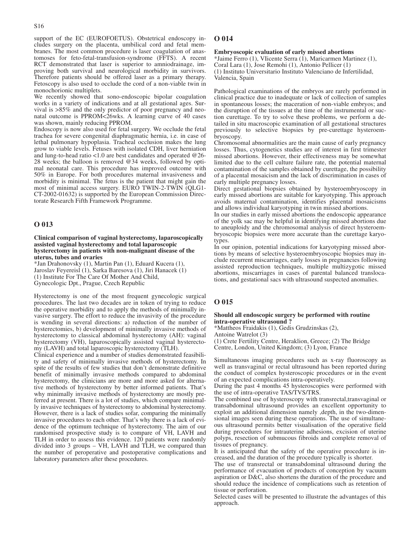support of the EC (EUROFOETUS). Obstetrical endoscopy includes surgery on the placenta, umbilical cord and fetal membranes. The most common procedure is laser coagulation of anastomoses for feto-fetal-transfusion-syndrome (FFTS). A recent RCT demonstrated that laser is superior to amniodrainage, improving both survival and neurological morbidity in survivors. Therefore patients should be offered laser as a primary therapy. Fetoscopy is also used to occlude the cord of a non-viable twin in monochorionic multiplets.

We recently showed that sono-endoscopic bipolar coagulation works in a variety of indications and at all gestational ages. Survival is >85% and the only predictor of poor pregnancy and neonatal outcome is PPROM<26wks. A learning curve of 40 cases was shown, mainly reducing PPROM.

Endoscopy is now also used for fetal surgery. We occlude the fetal trachea for severe congenital diaphragmatic hernia, i.e. in case of lethal pulmonary hypoplasia. Tracheal occlusion makes the lung grow to viable levels. Fetuses with isolated CDH, liver herniation and lung-to-head ratio <1.0 are best candidates and operated @26- 28 weeks; the balloon is removed @34 weeks, followed by optimal neonatal care. This procedure has improved outcome with 50% in Europe. For both procedures maternal invasiveness and morbidity is minimal. The fetus is the patient that might gain the most of minimal access surgery. EURO TWIN-2-TWIN (QLG1- CT-2002-01632) is supported by the European Commission Directorate Research Fifth Framework Programme.

# **O 013**

#### **Clinical comparison of vaginal hysterectomy, laparoscopically assisted vaginal hysterectomy and total laparoscopic hysterectomy in patients with non-malignant disease of the uterus, tubes and ovaries**

\*Jan Drahonovsky (1), Martin Pan (1), Eduard Kucera (1), Jaroslav Feyereisl (1), Sarka Baresova (1), Jiri Hanacek (1) (1) Institute For The Care Of Mother And Child, Gynecologic Dpt., Prague, Czech Republic

Hysterectomy is one of the most frequent gynecologic surgical procedures. The last two decades are in token of trying to reduce the operative morbidity and to apply the methods of minimally invasive surgery. The effort to reduce the invasivity of the procedure is wending in several directions: a) reduction of the number of hysterectomies, b) development of minimally invasive methods of hysterectomy to classical abdominal hysterectomy (AH): vaginal hysterectomy (VH), laparoscopically assisted vaginal hysterectomy (LAVH) and total laparoscopic hysterectomy (TLH).

Clinical experience and a number of studies demonstrated feasibility and safety of minimally invasive methods of hysterectomy. In spite of the results of few studies that don't demonstrate definitive benefit of minimally invasive methods compared to abdominal hysterectomy, the clinicians are more and more asked for alternative methods of hysterectomy by better informed patients. That's why minimally invasive methods of hysterectomy are mostly preferred at present. There is a lot of studies, which compare minimally invasive techniques of hysterectomy to abdominal hysterectomy. However, there is a lack of studies sofar, comparing the minimally invasive procedures to each other. That's why there is a lack of evidence of the optimum technique of hysterectomy. The aim of our randomised prospective study is to compare of VH, LAVH and TLH in order to assess this evidence. 120 patients were randomly divided into 3 groups – VH, LAVH and TLH, we compared than the number of peroperative and postoperative complications and laboratory parameters after these procedures.

# **O 014**

#### **Embryoscopic evaluation of early missed abortions**

\*Jaime Ferro (1), VIicente Serra (1), Maricarmen Martinez (1), Coral Lara (1), Jose Remohi (1), Antonio Pellicer (1) (1) Instituto Universitario Instituto Valenciano de Infertilidad, Valencia, Spain

Pathological examinations of the embryos are rarely performed in clinical practice due to inadequate or lack of collection of samples in spontaneous losses; the maceration of non-viable embryos; and the disruption of the tissues at the time of the instrumental or suction curettage. To try to solve these problems, we perform a detailed in situ macroscopic examination of all gestational structures previously to selective biopsies by pre-curettage hysteroembryoscopy.

Chromosomal abnormalities are the main cause of early pregnancy losses. Thus, cytogenetics studies are of interest in first trimester missed abortions. However, their effectiveness may be somewhat limited due to the cell culture failure rate, the potential maternal contamination of the samples obtained by curettage, the possibility of a placental mosaicism and the lack of discrimination in cases of early multiple pregnancy losses.

Direct gestational biopsies obtained by hysteroembryoscopy in early missed abortions are suitable for karyotyping. This approach avoids maternal contamination, identifies placental mosaicisms and allows individual karyotyping in twin missed abortions.

In our studies in early missed abortions the endoscopic appearance of the yolk sac may be helpful in identifying missed abortions due to aneuploidy and the chromosomal analysis of direct hysteroembryoscopic biopsies were more accurate than the curettage karyotypes.

In our opinion, potential indications for karyotyping missed abortions by means of selective hysteroembryoscopic biopsies may include recurrent miscarriages, early losses in pregnancies following assisted reproduction techniques, multiple multizygotic missed abortions, miscarriages in cases of parental balanced translocations, and gestational sacs with ultrasound suspected anomalies.

# **O 015**

#### **Should all endoscopic surgery be performed with routine intra-operative ultrasound ?**

\*Mattheos Fraidakis (1), Gedis Grudzinskas (2),

Antoine Watrelot (3)

(1) Crete Fertility Centre, Heraklion, Greece; (2) The Bridge Centre, London, United Kingdom; (3) Lyon, France

Simultaneous imaging procedures such as x-ray fluoroscopy as well as transvaginal or rectal ultrasound has been reported during the conduct of complex hysteroscopic procedures or in the event of an expected complications intra-operatively.

During the past 4 months 45 hysteroscopies were performed with the use of intra-operative TAS/TVS/TRS.

The combined use of hysteroscopy with transrectal,transvaginal or transabdominal ultrasound provides an excellent opportunity to exploit an additional dimension namely ,depth, in the two-dimensional images seen during these operations. The use of simultaneous ultrasound permits better visualisation of the operative field during procedures for intrauterine adhesions, excision of uterine polyps, resection of submucous fibroids and complete removal of tissues of pregnancy.

It is anticipated that the safety of the operative procedure is increased, and the duration of the procedure typically is shorter.

The use of transrectal or transabdominal ultrasound during the performance of evacuation of products of conception by vacuum aspiration or D&C, also shortens the duration of the procedure and should reduce the incidence of complications such as retention of tissue or perforation.

Selected cases will be presented to illustrate the advantages of this approach.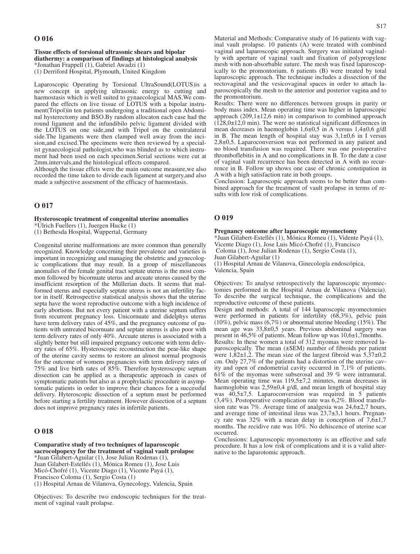# **Tissue effects of torsional ultrasonic shears and bipolar diathermy: a comparison of findings at histological analysis** \*Jonathan Frappell (1), Gabriel Awadzi (1)

(1) Derriford Hospital, Plymouth, United Kingdom

Laparoscopic Operating by Torsional UltraSound(LOTUS)is a new concept in applying ultrasonic energy to cutting and haemostasis which is well suited to gynaecological MAS.We compared the effects on live tissue of LOTUS with a bipolar instrument(Tripol)in ten patients undergoing a traditional open Abdominal hysterectomy and BSO.By random allocaton each case had the round ligament and the infundibilo pelvic ligament divided with the LOTUS on one side,and with Tripol on the contralateral side.The ligaments were then clamped well away from the incision,and excised.The specimens were then reviewed by a specialist gynaecological pathologist,who was blinded as to which instrument had been used on each specimen.Serial sections were cut at 2mm.intervals,and the histological effects compared.

Although the tissue effcts were the main outcome measure,we also recorded the time taken to divide each ligament at surgery,and also made a subjective assesment of the efficacy of haemostasis.

# **O 017**

**Hysteroscopic treatment of congenital uterine anomalies** \*Ulrich Fuellers (1), Juergen Hucke (1)

(1) Bethesda Hospital, Wuppertal, Germany

Congenital uterine malformations are more common than generally recognized. Knowledge concerning their prevalence and varieties is important in recognizing and managing the obstetric and gynecologic complications that may result. In a group of miscellaneous anomalies of the female genital tract septate uterus is the most common followed by bicornuate uterus and arcuate uterus caused by the insufficient resorption of the Müllerian ducts. It seems that malformed uterus and especially septate uterus is not an infertility factor in itself. Retrospective statistical analysis shows that the uterine septa have the worst reproductive outcome with a high incidence of early abortions. But not every patient with a uterine septum suffers from recurrent pregnancy loss. Unicornuate and didelphys uterus have term delivery rates of 45%, and the pregnancy outcome of patients with untreated bicornuate and septate uterus is also poor with term delivery rates of only 40%. Arcuate uterus is associated with a slightly better but still impaired pregnancy outcome with term delivery rates of 65%. Hysteroscopic reconstruction the pear-like shape of the uterine cavity seems to restore an almost normal prognosis for the outcome of womens pregnancies with term delivery rates of 75% and live birth rates of 85%. Therefore hysteroscopic septum dissection can be applied as a therapeutic approach in cases of symptomatic patients but also as a prophylactic procedure in asymptomatic patients in order to improve their chances for a successful delivery. Hyteroscopic dissection of a septum must be performed before starting a fertility treatment. However dissection of a septum does not improve pregnancy rates in infertile patients.

# **O 018**

# **Comparative study of two techniques of laparoscopic**

**sacrocolpopexy for the treatment of vaginal vault prolapse** \*Juan Gilabert-Aguilar (1), Jose Julian Rodenas (1), Juan Gilabert-Estellés (1), Mónica Romeu (1), Jose Luis Micó-Chofré (1), Vicente Diago (1), Vicente Payá (1), Francisco Coloma (1), Sergio Costa (1) (1) Hospital Arnau de Vilanova, Gynecology, Valencia, Spain

Objectives: To describe two endoscopic techniques for the treatment of vaginal vault prolapse.

Material and Methods: Comparative study of 16 patients with vaginal vault prolapse. 10 patients (A) were treated with combined vaginal and laparoscopic approach. Surgery was initiated vaginally with aperture of vaginal vault and fixation of polypropylene mesh with non-absorbable suture. The mesh was fixed laparoscopically to the promontorium. 6 patients (B) were treated by total laparoscopic approach. The technique includes a dissection of the rectovaginal and the vesicovaginal spaces in order to attach laparoscopically the mesh to the anterior and posterior vagina and to the promontorium.

Results: There were no differences between groups in parity or body mass index. Mean operating time was higher in laparoscopic approach  $(209,1\pm12,6 \text{ min})$  in comparison to combined approach  $(128,0\pm12,0 \text{ min})$ . The were no statistical significant differences in mean decreases in haemoglobin 1,6±0,5 in A versus 1,4±0,6 g/dl in B. The mean length of hospital stay was  $3,1\pm0,6$  in I versus 2,8±0,5. Laparoconversion was not performed in any patient and no blood transfusion was required. There was one postoperative thromboflebitis in A and no complications in B. To the date a case of vaginal vault recurrence has been detected in A with no recurrence in B. Follow up shows one case of chronic constipation in A with a high satisfaction rate in both groups.

Conclusion: Laparoscopic approach seems to be better than combined approach for the treatment of vault prolapse in terms of results with low risk of complications.

# **O 019**

# **Pregnancy outcome after laparoscopic myomectomy**

\*Juan Gilabert-Estellés (1), Mónica Romeu (1), Vidente Payá (1), Vicente Diago (1), Jose Luis Micó-Chofré (1), Francisco Coloma (1), Jose Julian Rodenas (1), Sergio Costa (1), Juan Gilabert-Aguilar (1) (1) Hospital Arnau de Vilanova, Ginecología endoscópica, Valencia, Spain

Objectives: To analyse retrospectively the laparoscopic myomectomies performed in the Hospital Arnau de Vilanova (Valencia). To describe the surgical technique, the complications and the reproductive outcome of these patients.

Design and methods: A total of 144 laparoscopic myomectomies were performed in patients for infertility (68,3%), pelvic pain  $(10\%)$ , pelvic mass  $(6,7\%)$  or abnormal uterine bleeding  $(15\%)$ . The mean age was 33,8±0,5 years. Previous abdominal surgery was present in 46,5% of patients. Mean follow up was 10,6±1,7months.

Results: In these women a total of 312 myomas were removed laparoscopically. The mean (±SEM) number of fibroids per patient were  $1,82\pm1,2$ . The mean size of the largest fibroid was  $5,\overline{37}\pm0,2$ cm. Only 27,7% of the patients had a distortion of the uterine cavity and open of endometrial cavity occurred in 7,1% of patients. 61% of the myomas were subserosal and 39 % were intramural. Mean operating time was  $119.5\pm7.2$  minutes, mean decreases in haemoglobin was 2,59±0,4 g/dl, and mean length of hospital stay was  $40,5\pm7,5$ . Laparoconversion was required in 5 patients (3,4%). Postoperative complication rate was 6,2%. Blood transfusion rate was 7%. Average time of analgesia was 24,6±2,7 hours, and average time of intestinal ileus was 23,7±3,1 hours. Pregnancy rate was 32% with a mean delay in conception of  $7,6\pm1,7$ months. The recidive rate was 10%. No dehiscence of uterine scar occurred.

Conclusions: Laparoscopic myomectomy is an effective and safe procedure. It has a low risk of complications and it is a valid alternative to the laparotomic approach.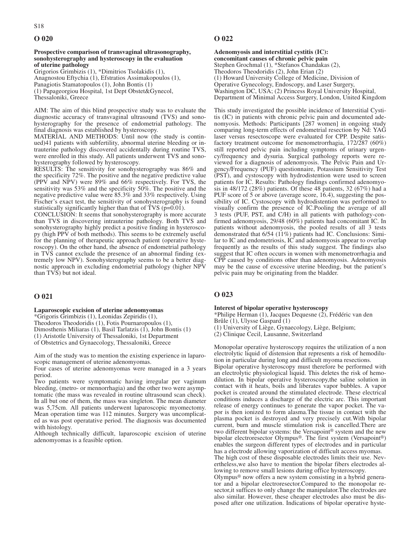# S18

# **O 020**

# **Prospective comparison of transvaginal ultrasonography, sonohysterography and hysteroscopy in the evaluation of uterine pathology**

Grigorios Grimbizis (1), \*Dimitrios Tsolakidis (1), Anagnostou Eftychia (1), Efstratios Assimakopoulos (1), Panagiotis Stamatopoulos (1), John Bontis (1) (1) Papageorgiou Hospital, 1st Dept Obstet&Gynecol,

Thessaloniki, Greece

AIM: The aim of this blind prospective study was to evaluate the diagnostic accuracy of transvaginal ultrasound (TVS) and sonohysterography for the presence of endometrial pathology. The final diagnosis was established by hysteroscopy.

MATERIAL AND METHODS: Until now (the study is continued)41 patients with subfertility, abnormal uterine bleeding or intrauterine pathology discovered accidentally during routine TVS, were enrolled in this study. All patients underwent TVS and sonohysterography followed by hysteroscopy.

RESULTS: The sensitivity for sonohysterography was 86% and the specificity 72%. The positive and the negative predictive value (PPV and NPV) were 89% and 66% respectively. For TVS, the sensitivity was 53% and the specificity 50%. The positive and the negative predictive value were 85.3% and 33% respectively. Using Fischer's exact test, the sensitivity of sonohysterography is found statistically significantly higher than that of TVS (p=0.01).

CONCLUSION: It seems that sonohysterography is more accurate than TVS in discovering intrauterine pathology. Both TVS and sonohysterography highly predict a positive finding in hysteroscopy (high PPV of both methods). This seems to be extremely useful for the planning of therapeutic approach patient (operative hysteroscopy). On the other hand, the absence of endometrial pathology in TVS cannot exclude the presence of an abnormal finding (extremely low NPV). Sonohysterography seems to be a better diagnostic approach in excluding endometrial pathology (higher NPV than TVS) but not ideal.

# **O 021**

**Laparoscopic excision of uterine adenomyomas**

\*Grigoris Grimbizis (1), Leonidas Zepiridis (1),

Theodoros Theodoridis (1), Fotis Pournaropoulos (1), Dimosthenis Miliaras (1), Basil Tarlatzis (1), John Bontis (1) (1) Aristotle University of Thessaloniki, 1st Department

of Obstetrics and Gynaecology, Thessaloniki, Greece

Aim of the study was to mention the existing experience in laparoscopic management of uterine adenomyomas.

Four cases of uterine adenomyomas were managed in a 3 years period.

Two patients were symptomatic having irregular per vaginum bleeding, (metro- or mennorrhagia) and the other two were asymptomatic (the mass was revealed in routine ultrasound scan check). In all but one of them, the mass was singleton. The mean diameter was 5,75cm. All patients underwent laparoscopic myomectomy. Mean operation time was 112 minutes. Surgery was uncomplicated as was post operatative period. The diagnosis was documented with histology.

Although technically difficult, laparoscopic excision of uterine adenomyomas is a feasible option.

# **O 022**

**Adenomyosis and interstitial cystitis (IC): concomitant causes of chronic pelvic pain** Stephen Grochmal (1), \*Stefanos Chandakas (2), Theodoros Theodoridis (2), John Erian (2) (1) Howard University College of Medicine, Division of Operative Gynecology, Endoscopy, and Laser Surgery, Washington DC, USA; (2) Princess Royal University Hospital, Department of Minimal Access Surgery, London, United Kingdom

This study investigated the possible incidence of Interstitial Cystitis (IC) in patients with chronic pelvic pain and documented adenomyosis. Methods: Participants [287 women] in ongoing study comparing long-term effects of endometrial resection by Nd: YAG laser versus resectoscope were evaluated for CPP. Despite satisfactory treatment outcome for menometrorrhagia, 172/287 (60%) still reported pelvic pain including symptoms of urinary urgency/frequency and dysuria. Surgical pathology reports were reviewed for a diagnosis of adenomyosis. The Pelvic Pain and Urgency/Frequency (PUF) questionnaire, Potassium Sensitivity Test (PST), and cystoscopy with hydrodistention were used to screen patients for IC. Results: Pathology findings confirmed adenomyosis in  $48/172$  (28%) patients. Of these 48 patients, 32 (67%) had a PUF score of 5 or above (average score, 16.4), suggesting the possibility of IC. Cystoscopy with hydrodistention was performed to visually confirm the presence of IC.Pooling the average of all 3 tests (PUF, PST, and C/H) in all patients with pathology-confirmed adenomyosis, 29/48 (60%) patients had concomitant IC. In patients without adenomyosis, the pooled results of all 3 tests demonstrated that 6/54 (11%) patients had IC. Conclusions: Similar to IC and endometriosis, IC and adenomyosis appear to overlap frequently as the results of this study suggest. The findings also suggest that IC often occurs in women with menometrorrhagia and CPP caused by conditions other than adenomyosis. Adenomyosis may be the cause of excessive uterine bleeding, but the patient's pelvic pain may be originating from the bladder.

# **O 023**

# **Interest of bipolar operative hysteroscopy**

\*Philipe Herman (1), Jacques Dequesne (2), Frédéric van den Brûle (1), Ulysse Gaspard (1)

(1) University of Liège, Gynaecology, Liège, Belgium;

(2) Clinique Cecil, Lausanne, Switzerland

Monopolar operative hysteroscopy requires the utilization of a non electrolytic liquid of distension that represents a risk of hemodilution in particular during long and difficult myoma resections.

Bipolar operative hysteroscopy must therefore be performed with an electrolytic physiological liquid. This deletes the risk of hemodilution. In bipolar operative hysteroscopy,the saline solution in contact with it heats, boils and liberates vapor bubbles. A vapor pocket is created around the stimulated electrode. These electrical conditions induces a discharge of the electric arc. This important release of energy continues to generate the vapor pocket. The vapor is then ionized to form alasma.The tissue in contact with the plasma pocket is destroyed and very precisely cut.With bipolar current, burn and muscle stimulation risk is cancelled.There are two different bipolar systems: the Versapoint® system and the new bipolar electroresector Olympus®. The first system (Versapoint®) enables the surgeon different types of electrodes and in particular has a electrode allowing vaporization of difficult access myomas.

The high cost of these disposable electrodes limits their use. Nevertheless,we also have to mention the bipolar fibers electrodes allowing to remove small lesions during office hysteroscopy.

Olympus® now offers a new system consisting in a hybrid generator and a bipolar electroresector.Compared to the monopolar resector,it suffices to only change the manipulator.The electrodes are also similar. However, these cheaper electrodes also must be disposed after one utilization. Indications of bipolar operative hyste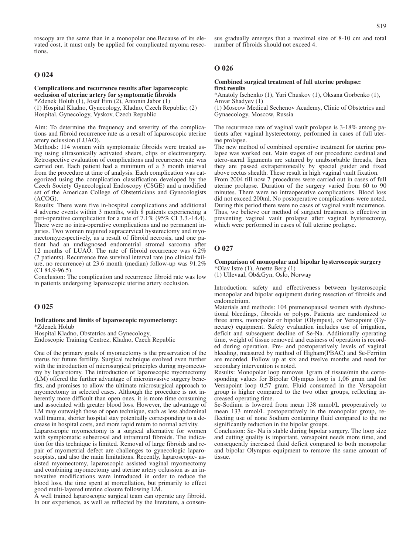roscopy are the same than in a monopolar one.Because of its elevated cost, it must only be applied for complicated myoma resections.

# **O 024**

#### **Complications and recurrence results after laparoscopic occlusion of uterine artery for symptomatic fibroids** \*Zdenek Holub (1), Josef Eim (2), Antonin Jabor (1)

(1) Hospital Kladno, Gynecology, Kladno, Czech Republic; (2) Hospital, Gynecology, Vyskov, Czech Republic

Aim: To determine the frequency and severity of the complications and fibroid recurrence rate as a result of laparoscopic uterine artery oclussion (LUAO).

Methods: 114 women with symptomatic fibroids were treated using using ultrasonically activated shears, clips or electrosurgery. Retrospective evaluation of complications and recurrence rate was carried out. Each patient had a minimum of a 3 month interval from the procedure at time of analysis. Each complication was categorized using the complication classification developed by the Czech Society Gynecological Endoscopy (CSGE) and a modified set of the American College of Obstetricians and Gynecologists  $(ACOG)$ 

Results: There were five in-hospital complications and additional 4 adverse events within 3 months, with 8 patients experiencing a peri-operative complication for a rate of 7.1% (95% CI 3.3.-14.4). There were no intra-operative complications and no permanent injuries. Two women required supracervical hysterectomy and myomectomy,respectively, as a result of fibroid necrosis, and one patient had an undiagnosed endometrial stromal sarcoma after 12 months of LUAO. The rate of fibroid recurrence was 6.2% (7 patients). Recurrence free survival interval rate (no clinical failure, no recurrence) at 23.6 month (median) follow-up was 91.2% (CI 84.9-96.5).

Conclusion: The complication and recurrence fibroid rate was low in patients undergoing laparoscopic uterine artery occlusion.

# **O 025**

#### **Indications and limits of laparoscopic myomectomy:** \*Zdenek Holub

Hospital Kladno, Obstetrics and Gynecology, Endoscopic Training Centrez, Kladno, Czech Republic

One of the primary goals of myomectomy is the preservation of the uterus for future fertility. Surgical technique evolved even further with the introduction of microsurgical principles during myomectomy by laparotomy. The introduction of laparoscopic myomectomy (LM) offered the further advantage of microinvasive surgery benefits, and promises to allow the ultimate microsurgical approach to myomectomy in selected cases. Although the procedure is not inherently more difficult than open ones, it is more time consuming and associated with greater blood loss. However, the advantage of LM may outweigh those of open technique, such as less abdominal wall trauma, shorter hospital stay potentially corresponding to a decrease in hospital costs, and more rapid return to normal activity.

Laparoscopic myomectomy is a surgical alternative for women with symptomatic subserosal and intramural fibroids. The indication for this technique is limited. Removal of large fibroids and repair of myometrial defect are challenges to gynecologic laparoscopists, and also the main limitations. Recently, laparoscopic- assisted myomectomy, laparoscopic assisted vaginal myomectomy and combining myomectomy and uterine artery oclussion as an innovative modifications were introduced in order to reduce the blood loss, the time spent at morcellation, but primarily to effect good multi-layered uterine closure following LM.

A well trained laparoscopic surgical team can operate any fibroid. In our experience, as well as reflected by the literature, a consen-

sus gradually emerges that a maximal size of 8-10 cm and total number of fibroids should not exceed 4.

# **O 026**

#### **Combined surgical treatment of full uterine prolapse: first results**

\*Anatoly Ischenko (1), Yuri Chuskov (1), Oksana Gorbenko (1), Anvar Shadyev (1)

(1) Moscow Medical Sechenov Academy, Clinic of Obstetrics and Gynaecology, Moscow, Russia

The recurrence rate of vaginal vault prolapse is 3-18% among patients after vaginal hysterectomy, performed in cases of full uterine prolapse.

The new method of combined operative treatment for uterine prolapse was worked out. Main stages of our procedure: cardinal and utero-sacral ligaments are sutured by unabsorbable threads, then they are passed extraperitoneally by special guider and fixed above rectus shealth. These result in high vaginal vault fixation.

From 2004 till now 7 procedures were carried out in cases of full uterine prolapse. Duration of the surgery varied from 60 to 90 minutes. There were no intraoperative complications. Blood loss did not exceed 200ml. No postoperative complications were noted. During this period there were no cases of vaginal vault recurrence. Thus, we believe our method of surgical treatment is effective in preventing vaginal vault prolapse after vaginal hysterectomy, which were performed in cases of full uterine prolapse.

# **O 027**

# **Comparison of monopolar and bipolar hysteroscopic surgery**

\*Olav Istre (1), Anette Berg (1)

(1) Ullevaal, Ob&Gyn, Oslo, Norway

Introduction: safety and effectiveness between hysteroscopic monopolar and bipolar equipment during resection of fibroids and endometrium.

Materials and methods: 104 premenopausal women with dysfunctional bleedings, fibroids or polyps. Patients are randomized to three arms, monopolar or bipolar (Olympus), or Versapoint (Gynecare) equipment. Safety evaluation includes use of irrigation, deficit and subsequent decline of Se-Na. Additionally operating time, weight of tissue removed and easiness of operation is recorded during operation. Pre- and postoperatively levels of vaginal bleeding, measured by method of Higham(PBAC) and Se-Ferritin are recorded. Follow up at six and twelve months and need for secondary intervention is noted.

Results: Monopolar loop removes 1gram of tissue/min the corresponding values for Bipolar Olympus loop is 1,06 gram and for Versapoint loop 0,57 gram. Fluid consumed in the Versapoint group is higher compared to the two other groups, reflecting increased operating time.

Se-Sodium is lowered from mean 138 mmol/L preoperatively to mean 133 mmol/L postoperatively in the monopolar group, reflecting use of none Sodium containing fluid compared to the no significantly reduction in the bipolar groups.

Conclusion: Se- Na is stable during bipolar surgery. The loop size and cutting quality is important, versapoint needs more time, and consequently increased fluid deficit compared to both monopolar and bipolar Olympus equipment to remove the same amount of tissue.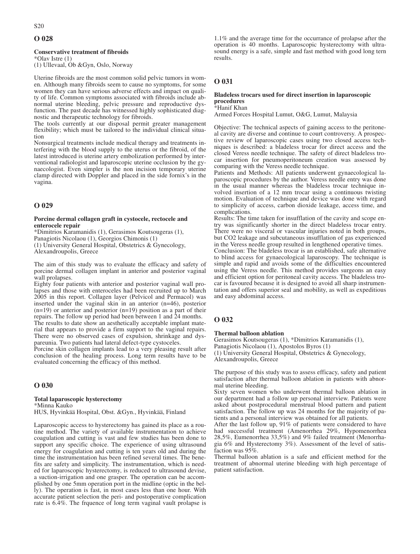# **Conservative treatment of fibroids**

\*Olav Istre (1)

(1) Ullevaal, Ob &Gyn, Oslo, Norway

Uterine fibroids are the most common solid pelvic tumors in women. Although many fibroids seem to cause no symptoms, for some women they can have serious adverse effects and impact on quality of life. Common symptoms associated with fibroids include abnormal uterine bleeding, pelvic pressure and reproductive dysfunction. The past decade has witnessed highly sophisticated diagnostic and therapeutic technology for fibroids.

The tools currently at our disposal permit greater management flexibility; which must be tailored to the individual clinical situation

Nonsurgical treatments include medical therapy and treatments interfering with the blood supply to the uterus or the fibroid, of the latest introduced is uterine artery embolization performed by interventional radiologist and laparoscopic uterine occlusion by the gynaecologist. Even simpler is the non incision temporary uterine clamp directed with Doppler and placed in the side fornix's in the vagina.

# **O 029**

#### **Porcine dermal collagen graft in cystocele, rectocele and enterocele repair**

\*Dimitrios Karamanidis (1), Gerasimos Koutsougeras (1), Panagiotis Nicolaou (1), Georgios Chimonis (1) (1) University General Hospital, Obstetrics & Gynecology, Alexandroupolis, Greece

The aim of this study was to evaluate the efficacy and safety of porcine dermal collagen implant in anterior and posterior vaginal wall prolapses.

Eighty four patients with anterior and posterior vaginal wall prolapses and those with enteroceles had been recruited up to March 2005 in this report. Collagen layer (Pelvicol and Permacol) was inserted under the vaginal skin in an anterior (n=46), posterior  $(n=19)$  or anterior and posterior  $(n=19)$  position as a part of their repairs. The follow up period had been between 1 and 24 months. The results to date show an aesthetically acceptable implant mate-

rial that appears to provide a firm support to the vaginal repairs. There were no observed cases of expulsion, shrinkage and dyspareunia. Two patients had lateral defect-type cystoceles.

Porcine skin collagen implants lead to a very pleasing result after conclusion of the healing process. Long term results have to be evaluated concerning the efficacy of this method.

# **O 030**

#### **Total laparoscopic hysterectomy**

\*Minna Kauko

HUS, Hyvinkää Hospital, Obst. &Gyn., Hyvinkää, Finland

Laparoscopic access to hysterectomy has gained its place as a routine method. The variety of available instrumentation to achieve coagulation and cutting is vast and few studies has been done to support any specific choice. The experience of using ultrasound energy for coagulation and cutting is ten years old and during the time the instrumentation has been refined several times. The benefits are safety and simplicity. The instrumentation, which is needed for laparoscopic hysterectomy, is reduced to ultrasound devise, a suction-irrigation and one grasper. The operation can be accomplished by one 5mm operation port in the midline (optic in the belly). The operation is fast, in most cases less than one hour. With accurate patient selection the peri- and postoperative complication rate is 6.4%. The frquence of long term vaginal vault prolapse is

1.1% and the average time for the occurrance of prolapse after the operation is 40 months. Laparoscopic hysterectomy with ultrasound energy is a safe, simple and fast method with good long tern results.

# **O 031**

# **Bladeless trocars used for direct insertion in laparoscopic procedures**

\*Hanif Khan

Armed Forces Hospital Lumut, O&G, Lumut, Malaysia

Objective: The technical aspects of gaining access to the peritoneal cavity are diverse and continue to court controversy. A prospective review of laparoscopic cases using two closed access techniques is described: a bladeless trocar for direct access and the closed Veress needle technique. The safety of direct bladeless trocar insertion for pneumoperitoneum creation was assessed by comparing with the Veress needle technique.

Patients and Methods: All patients underwent gynaecological laparoscopic procedures by the author. Veress needle entry was done in the usual manner whereas the bladeless trocar technique involved insertion of a 12 mm trocar using a continuous twisting motion. Evaluation of technique and device was done with regard to simplicity of access, carbon dioxide leakage, access time, and complications.

Results: The time taken for insufflation of the cavity and scope entry was significantly shorter in the direct bladeless trocar entry. There were no visceral or vascular injuries noted in both groups, but CO2 leakage and subcutaneous insufflation of gas experienced in the Veress needle group resulted in lengthened operative times.

Conclusion: The bladeless trocar is an established, safe alternative to blind access for gynaecological laparoscopy. The technique is simple and rapid and avoids some of the difficulties encountered using the Veress needle. This method provides surgeons an easy and efficient option for peritoneal cavity access. The bladeless trocar is favoured because it is designed to avoid all sharp instrumentation and offers superior seal and mobility, as well as expeditious and easy abdominal access.

# **O 032**

#### **Thermal balloon ablation**

Gerasimos Koutsougeras (1), \*Dimitrios Karamanidis (1), Panagiotis Nicolaou (1), Apostolos Byros (1) (1) University General Hospital, Obstetrics & Gynecology, Alexandroupolis, Greece

The purpose of this study was to assess efficacy, safety and patient satisfaction after thermal balloon ablation in patients with abnormal uterine bleeding.

Sixty seven women who underwent thermal balloon ablation in our department had a follow up personal interview. Patients were asked about postprocedural menstrual blood pattern and patient satisfaction. The follow up was 24 months for the majority of patients and a personal interview was obtained for all patients.

After the last follow up, 91% of patients were considered to have had successful treatment (Amenorrhea 29%, Hypomenorrhea 28,5%, Eumenorrhea 33,5%) and 9% failed treatment (Menorrhagia 6% and Hysterectomy 3%). Assessment of the level of satisfaction was 95%.

Thermal balloon ablation is a safe and efficient method for the treatment of abnormal uterine bleeding with high percentage of patient satisfaction.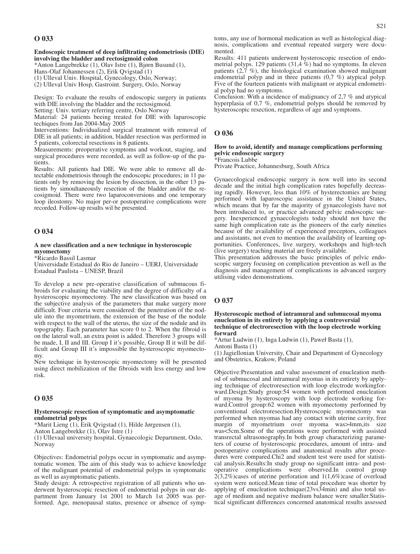#### **Endoscopic treatment of deep infiltrating endometriosis (DIE) involving the bladder and rectosigmoid colon**

\*Anton Langebrekke (1), Olav Istre (1), Bjørn Busund (1),

Hans-Olaf Johannessen (2), Erik Qvigstad (1)

(1) Ulleval Univ. Hospital, Gynecology, Oslo, Norway;

(2) Ulleval Univ Hosp, Gastroint. Surgery, Oslo, Norway

Design: To evaluate the results of endoscopic surgery in patients with DIE involving the bladder and the rectosigmoid.

Setting: Univ. tertiary referring centre, Oslo Norway

Material: 24 patients beeing treated for DIE with laparoscopic techiques from Jan 2004-May 2005

Interventions: Individualized surgical treatment with removal of DIE in all patients; in addition, bladder resection was performed in 5 patients, colorectal resections in 8 patients.

Measurements: preoperative symptoms and workout, staging, and surgical procedures were recorded, as well as follow-up of the patients.

Results: All patients had DIE. We were able to remove all detectable endometriosis through the endoscopic procedures; in 11 patients only by removing the lesion by dissection, in the other 13 patients by simoultaneously resection of the bladder and/or the recosigmoid. There were two laparoconversions and one temporary loop ileostomy. No major per-or postoperative complications were recorded. Follow-up results wil be presented.

# **O 034**

#### **A new classification and a new technique in hysteroscopic myomectomy**

\*Ricardo Bassil Lasmar

Universidade Estadual do Rio de Janeiro – UERJ, Universidade Estadual Paulista – UNESP, Brazil

To develop a new pre-operative classification of submucous fibroids for evaluating the viability and the degree of difficulty of a hysteroscopic myomectomy. The new classification was based on the subjective analysis of the parameters that make surgery more difficult. Four criteria were considered: the penetration of the nodule into the myometrium, the extension of the base of the nodule with respect to the wall of the uterus, the size of the nodule and its topography. Each parameter has score 0 to 2. When the fibroid is on the lateral wall, an extra point is added. Therefore 3 groups will be made, I, II and III. Group I it's possible, Group II it will be difficult and Group III it's impossible the hysteroscopic myomectomy.

New technique in hysteroscopic myomectomy will be presented using direct mobilization of the fibroids with less energy and low risk.

# **O 035**

#### **Hysteroscopic resection of symptomatic and asymptomatic endometrial polyps**

\*Marit Lieng (1), Erik Qvigstad (1), Hilde Jørgensen (1),

Anton Langebrekke (1), Olav Istre (1)

(1) Ullevaal university hospital, Gynaecologic Department, Oslo, Norway

Objectives: Endometrial polyps occur in symptomatic and asymptomatic women. The aim of this study was to achieve knowledge of the malignant potential of endometrial polyps in symptomatic as well as asymptomatic patients.

Study design: A retrospective registration of all patients who underwent hysteroscopic resection of endometrial polyps in our department from January 1st 2001 to March 1st 2005 was performed. Age, menopausal status, presence or absence of symptoms, any use of hormonal medication as well as histological diagnosis, complications and eventual repeated surgery were documented.

Results: 411 patients underwent hysteroscopic resection of endometrial polyps. 129 patients (31,4 %) had no symptoms. In eleven patients (2,7 %), the histological examination showed malignant endometrial polyp and in three patients (0,7 %) atypical polyp. Five of the fourteen patients with malignant or atypical endometrial polyp had no symptoms.

Conclusion: With a incidence of malignancy of 2,7 % and atypical hyperplasia of 0,7 %, endometrial polyps should be removed by hysteroscopic resection, regardless of age and symptoms.

# **O 036**

# **How to avoid, identify and manage complications performing pelvic endoscopic surgery**

\*Francois Lubbe

Private Practice, Johannesburg, South Africa

Gynaecological endoscopic surgery is now well into its second decade and the initial high complication rates hopefully decreasing rapidly. However, less than 10% of hysterectomies are being performed with laparoscopic assistance in the United States, which means that by far the majority of gynaecologists have not been introduced to, or practice advanced pelvic endoscopic surgery. Inexperienced gynaecologists today should not have the same high complication rate as the pioneers of the early nineties because of the availability of experienced preceptors, colleagues and assistants, not even to mention the availability of learning opportunities. Conferences, live surgery, workshops and high-tech (live surgery) teaching material are freely available.

This presentation addresses the basic principles of pelvic endoscopic surgery focusing on complication prevention as well as the diagnosis and management of complications in advanced surgery utilising video demonstrations.

# **O 037**

#### **Hysteroscopic method of intramural and submucosal myoma enucleation in its entirety by applying a controversial technique of electroresection with the loop electrode working forward**

\*Artur Ludwin (1), Inga Ludwin (1), Paweł Basta (1),

Antoni Basta (1)

(1) Jagiellonian University, Chair and Department of Gynecology and Obstetrics, Krakow, Poland

Objective:Presentation and value assessment of enucleation method of submucosal and intramural myomas in its entirety by applying technique of electroresection with loop electrode workingforward.Design:Study group:54 women with performed enucleation of myoma by hysteroscopy with loop electrode working forward.Control group:62 women with myomectomy performed by conventional electroresection.Hysteroscopic myomectomy was performed when myomas had any contact with uterine cavity, free margin of myometrium over myoma was>4mm,its size was<5cm.Some of the operations were performed with assisted transrectal ultrasonography.In both group characterizing parameters of course of hysteroscopic procedures, amount of intra- and postoperative complications and anatomical results after procedures were compared.Chi2 and student test were used for statistical analysis.Results:In study group no significant intra- and postoperative complications were observed.In control group  $2(3,2\%)$ cases of uterine perforation and  $1(1,6\%)$ case of overload system were noticed.Mean time of total procedure was shorter by applying of enucleation technique(23vs34min) and also total usage of medium and negative medium balance were smaller.Statistical significant differences concerned anatomical results assessed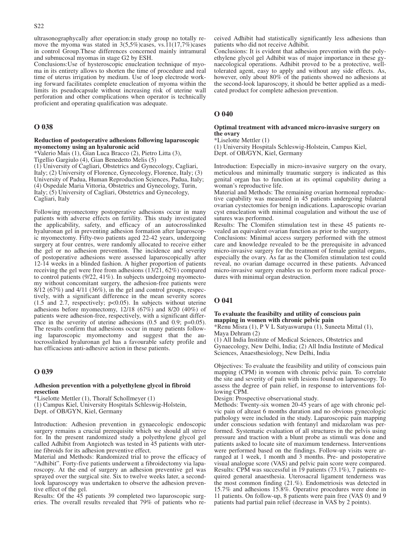ultrasonographycally after operation:in study group no totally remove the myoma was stated in 3(5,5%)cases, vs.11(17,7%)cases in control Group.These differences concerned mainly intramural and submucosal myomas in stage G2 by ESH.

Conclusions:Use of hysteroscopic enucleation technique of myoma in its entirety allows to shorten the time of procedure and real time of uterus irrigation by medium. Use of loop electrode working forward facilitates complete enucleation of myoma within the limits its pseudocapsule without increasing risk of uterine wall perforation and other complications when operator is technically proficient and operating qualification was adequate.

# **O 038**

#### **Reduction of postoperative adhesions following laparoscopic myomectomy using an hyaluronic acid**

\*Valerio Mais (1), Gian Luca Bracco (2), Pietro Litta (3),

Tigellio Gargiulo (4), Gian Benedetto Melis (5)

(1) University of Cagliari, Obstetrics and Gynecology, Cagliari, Italy; (2) University of Florence, Gynecology, Florence, Italy; (3) University of Padua, Human Reproduction Sciences, Padua, Italy; (4) Ospedale Maria Vittoria, Obstetrics and Gynecology, Turin, Italy; (5) University of Cagliari, Obstetrics and Gynecology, Cagliari, Italy

Following myomectomy postoperative adhesions occur in many patients with adverse effects on fertility. This study investigated the applicability, safety, and efficacy of an autocrosslinked hyaluronan gel in preventing adhesion formation after laparoscopic myomectomy. Fifty-two patients aged 22-42 years, undergoing surgery at four centres, were randomly allocated to receive either the gel or no adhesion prevention. The incidence and severity of postoperative adhesions were assessed laparoscopically after 12-14 weeks in a blinded fashion. A higher proportion of patients receiving the gel were free from adhesions (13/21, 62%) compared to control patients (9/22, 41%). In subjects undergoing myomectomy without concomitant surgery, the adhesion-free patients were 8/12 (67%) and 4/11 (36%), in the gel and control groups, respectively, with a significant difference in the mean severity scores  $(1.5 \text{ and } 2.7, \text{ respectively}; \text{ p<0.05}).$  In subjects without uterine adhesions before myomectomy, 12/18 (67%) and 8/20 (40%) of patients were adhesion-free, respectively, with a significant difference in the severity of uterine adhesions (0.5 and 0.9; p=0.05). The results confirm that adhesions occur in many patients following laparoscopic myomectomy and suggest that the autocrosslinked hyaluronan gel has a favourable safety profile and has efficacious anti-adhesive action in these patients.

# **O 039**

#### **Adhesion prevention with a polyethylene glycol in fibroid resection**

\*Liselotte Mettler (1), Thoralf Schollmeyer (1) (1) Campus Kiel, University Hospitals Schleswig-Holstein, Dept. of OB/GYN, Kiel, Germany

Introduction: Adhesion prevention in gynaecologic endoscopic surgery remains a crucial prerequisite which we should all strive for. In the present randomized study a polyethylene glycol gel called Adhibit from Angiotech was tested in 45 patients with uterine fibroids for its adhesion preventive effect.

Material and Methods: Randomized trial to prove the efficacy of "Adhibit". Forty-five patients underwent a fibroidectomy via laparoscopy. At the end of surgery an adhesion preventive gel was sprayed over the surgical site. Six to twelve weeks later, a secondlook laparoscopy was undertaken to observe the adhesion preventive effect of the gel.

Results: Of the  $\overline{45}$  patients 39 completed two laparoscopic surgeries. The overall results revealed that 79% of patients who received Adhibit had statistically significantly less adhesions than patients who did not receive Adhibit.

Conclusions: It is evident that adhesion prevention with the polyethylene glycol gel Adhibit was of major importance in these gynaecological operations. Adhibit proved to be a protective, welltolerated agent, easy to apply and without any side effects. As, however, only about 80% of the patients showed no adhesions at the second-look laparoscopy, it should be better applied as a medicated product for complete adhesion prevention.

# **O 040**

#### **Optimal treatment with advanced micro-invasive surgery on the ovary**

\*Liselotte Mettler (1)

(1) University Hospitals Schleswig-Holstein, Campus Kiel, Dept. of OB/GYN, Kiel, Germany

Introduction: Especially in micro-invasive surgery on the ovary, meticulous and minimally traumatic surgery is indicated as this genital organ has to function at its optimal capability during a woman's reproductive life.

Material and Methods: The remaining ovarian hormonal reproductive capability was measured in 45 patients undergoing bilateral ovarian cystectomies for benign indications. Laparoscopic ovarian cyst enucleation with minimal coagulation and without the use of sutures was performed.

Results: The Clomifen stimulation test in these 45 patients revealed an equivalent ovarian function as prior to the surgery.

Conclusions: Minimal access surgery performed with the utmost care and knowledge revealed to be the prerequisite in advanced micro-invasive surgery for the treatment of female genital organs, especially the ovary. As far as the Clomifen stimulation test could reveal, no ovarian damage occurred in these patients. Advanced micro-invasive surgery enables us to perform more radical procedures with minimal organ destruction.

# **O 041**

#### **To evaluate the feasibilty and utility of conscious pain mapping in women with chronic pelvic pain**

\*Renu Misra (1), P V L Satyaswarupa (1), Suneeta Mittal (1), Maya Dehram (2)

(1) All India Institute of Medical Sciences, Obstetrics and Gynaecology, New Delhi, India; (2) All India Institute of Medical Sciences, Anaesthesiology, New Delhi, India

Objectives: To evaluate the feasibility and utility of conscious pain mapping (CPM) in women with chronic pelvic pain. To correlate the site and severity of pain with lesions found on laparoscopy. To assess the degree of pain relief, in response to interventions following CPM.

Design: Prospective observational study.

Methods: Twenty-six women 20-45 years of age with chronic pelvic pain of alteast 6 months duration and no obvious gynecologic pathology were included in the study. Laparoscopic pain mapping under conscious sedation with fentanyl and midazolam was performed. Systematic evaluation of all structures in the pelvis using pressure and traction with a blunt probe as stimuli was done and patients asked to locate site of maximum tenderness. Interventions were performed based on the findings. Follow-up visits were arranged at 1 week, 1 month and 3 months. Pre- and postoperative visual analogue score (VAS) and pelvic pain score were compared. Results: CPM was successful in 19 patients (73.1%), 7 patients required general anaesthesia. Uterosacral ligament tenderness was the most common finding (21.%). Endometriosis was detected in 15.7% and adhesions 15.8%. Operative procedures were done in 11 patients. On follow-up, 8 patients were pain free (VAS 0) and 9 patients had partial pain relief (decrease in VAS by 2 points).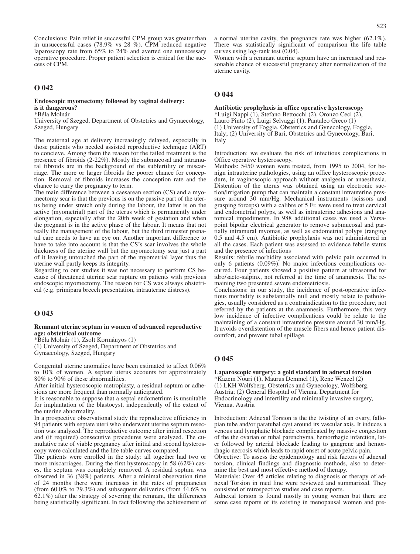Conclusions: Pain relief in successful CPM group was greater than in unsuccessful cases (78.9% vs 28 %). CPM reduced negative laparoscopy rate from 65% to 24% and averted one unnecessary operative procedure. Proper patient selection is critical for the success of CPM.

# **O 042**

#### **Endoscopic myomectomy followed by vaginal delivery: is it dangerous?**

\*Béla Molnár

University of Szeged, Department of Obstetrics and Gynaecology, Szeged, Hungary

The maternal age at delivery increasingly delayed, especially in those patients who needed assisted reproductive technique (ART) to concieve. Among them the reason for the failed treatment is the presence of fibroids (2-22%). Mostly the submucosal and intramural fibroids are in the background of the subfertility or miscarriage. The more or larger fibroids the poorer chance for conception. Removal of fibroids increases the conception rate and the chance to carry the pregnancy to term.

The main difference between a caesarean section (CS) and a myomectomy scar is that the previous is on the passive part of the uterus being under stretch only during the labour, the latter is on the active (myometrial) part of the uterus which is permanently under elongation, especially after the 20th week of gestation and when the pregnant is in the active phase of the labour. It means that not really the management of the labour, but the third trimester prenatal care needs to have an eye on. Another important difference to have to take into account is that the CS's scar involves the whole thickness of the uterine wall but the myomectomy scar just a part of it leaving untouched the part of the myometrial layer thus the uterine wall partly keeps its integrity.

Regarding to our studies it was not necessary to perform CS because of threatened uterine scar rupture on patients with previous endoscopic myomectomy. The reason for CS was always obstetrical (e.g. primipara breech presentation, intrauterine distress).

# **O 043**

#### **Remnant uterine septum in women of advanced reproductive age: obstetrical outcome**

\*Béla Molnár (1), Zsolt Kormányos (1) (1) University of Szeged, Department of Obstetrics and Gynaecology, Szeged, Hungary

Congenital uterine anomalies have been estimated to affect 0.06% to 10% of women. A septate uterus accounts for approximately 80% to 90% of these abnormalities.

After initial hysteroscopic metroplasty, a residual septum or adhesions are more frequent than normally anticipated.

It is reasonable to suppose that a septal endometrium is unsuitable for implantation of the blastocyst, independently of the extent of the uterine abnormality.

In a prospective observational study the reproductive efficiency in 94 patients with septate uteri who underwent uterine septum resection was analyzed. The reproductive outcome after initial resection and (if required) consecutive procedures were analyzed. The cumulative rate of viable pregnancy after initial and second hysteroscopy were calculated and the life table curves compared.

The patients were enrolled in the study: all together had two or more miscarriages. During the first hysteroscopy in 58 (62%) cases, the septum was completely removed. A residual septum was observed in 36 (38%) patients. After a minimal observation time of 24 months there were increases in the rates of pregnancies (from 60.0% to 79.3%) and subsequent deliveries (from 44.6% to 62.1%) after the strategy of severing the remnant, the differences being statistically significant. In fact following the achievement of a normal uterine cavity, the pregnancy rate was higher (62.1%). There was statistically significant of comparison the life table curves using log-rank test (0.04).

Women with a remnant uterine septum have an increased and reasonable chance of successful pregnancy after normalization of the uterine cavity.

# **O 044**

# **Antibiotic prophylaxis in office operative hysteroscopy**

\*Luigi Nappi (1), Stefano Bettocchi (2), Oronzo Ceci (2), Lauro Pinto (2), Luigi Selvaggi (1), Pantaleo Greco (1) (1) University of Foggia, Obstetrics and Gynecology, Foggia, Italy; (2) University of Bari, Obstetrics and Gynecology, Bari, Italy

Introduction: we evaluate the risk of infectious complications in Office operative hysteroscopy.

Methods: 5450 women were treated, from 1995 to 2004, for benign intrauterine pathologies, using an office hysteroscopic procedure, in vaginoscopic approach without analgesia or anaesthesia. Distention of the uterus was obtained using an electronic suction/irrigation pump that can maintain a constant intrauterine pressure around 30 mm/Hg. Mechanical instruments (scissors and grasping forceps) with a calibre of 5 Fr. were used to treat cervical and endometrial polyps, as well as intrauterine adhesions and anatomical impediments. In 988 additional cases we used a Versapoint bipolar electrical generator to remove submucosal and partially intramural myomas, as well as endometrial polyps (ranging 0.5 and 4.5 cm). Antibiotic prophylaxis was not administered in all the cases. Each patient was assessed to evidence febrile status and the presence of infections

Results: febrile morbidity associated with pelvic pain occurred in only 6 patients (0.09%). No major infectious complications occurred. Four patients showed a positive pattern at ultrasound for idro/sacto-salpinx, not referred at the time of anamnesis. The remaining two presented severe endometriosis.

Conclusions: in our study, the incidence of post-operative infectious morbidity is substantially null and mostly relate to pathologies, usually considered as a contraindication to the procedure, not referred by the patients at the anamnesis. Furthermore, this very low incidence of infective complications could be relate to the maintaining of a constant intrauterine pressure around 30 mm/Hg. It avoids overdistention of the muscle fibers and hence patient discomfort, and prevent tubal spillage.

# **O 045**

**Laparoscopic surgery: a gold standard in adnexal torsion** \*Kazem Nouri (1), Maurus Demmel (1), Rene Wenzel (2) (1) LKH Wolfsberg, Obstetrics and Gynecology, Wolfsberg, Austria; (2) General Hospital of Vienna, Department for Endocrinology and infertility and minimally invasive surgery, Vienna, Austria

Introduction: Adnexal Torsion is the the twisting of an ovary, fallopian tube and/or paratubal cyst around its vascular axis. It induces a venous and lymphatic blockade complicated by massive congestion of the the ovarian or tubal parenchyma, hemorrhagic infarction, later followed by arterial blockade leading to gangrene and hemorrhagic necrosis which leads to rapid onset of acute pelvic pain.

Objective: To assess the epidemiology and risk factors of adnexal torsion, clinical findings and diagnostic methods, also to determine the best and most effective method of therapy.

Materials: Over 45 articles relating to diagnosis or therapy of adnexal Torsion in med line were reviewed and summarized. They consisted of retrospective studies and case reports.

Adnexal torsion is found mostly in young women but there are some case reports of its existing in menopausal women and pre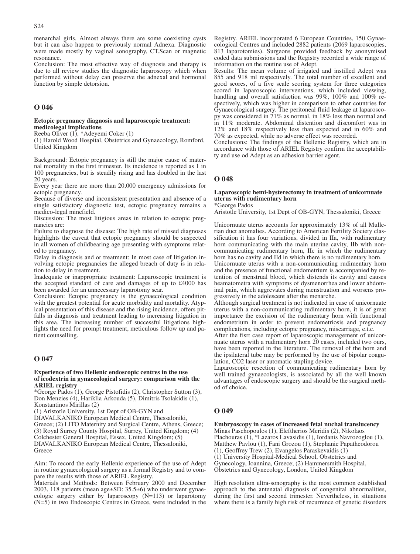menarchal girls. Almost always there are some coexisting cysts but it can also happen to previously normal Adnexa. Diagnostic were made mostly by vaginal sonography, CT.Scan or magnetic resonance.

Conclusion: The most effective way of diagnosis and therapy is due to all review studies the diagnostic laparoscopy which when performed without delay can preserve the adnexal and hormonal function by simple detorsion.

# **O 046**

#### **Ectopic pregnancy diagnosis and laparoscopic treatment: medicolegal implications**

Reeba Oliver (1), \*Adeyemi Coker (1)

(1) Harold Wood Hospital, Obstetrics and Gynaecology, Romford, United Kingdom

Background: Ectopic pregnancy is still the major cause of maternal mortality in the first trimester. Its incidence is reported as 1 in 100 pregnancies, but is steadily rising and has doubled in the last 20 years.

Every year there are more than 20,000 emergency admissions for ectopic pregnancy.

Because of diverse and inconsistent presentation and absence of a single satisfactory diagnostic test, ectopic pregnancy remains a medico-legal minefield.

Discussion: The most litigious areas in relation to ectopic pregnancies are:

Failure to diagnose the disease: The high rate of missed diagnoses highlights the caveat that ectopic pregnancy should be suspected in all women of childbearing age presenting with symptoms related to pregnancy.

Delay in diagnosis and or treatment: In most case of litigation involving ectopic pregnancies the alleged breach of duty is in relation to delay in treatment.

Inadequate or inappropriate treatment: Laparoscopic treatment is the accepted standard of care and damages of up to £4000 has been awarded for an unnecessary laparotomy scar.

Conclusion: Ectopic pregnancy is the gynaecological condition with the greatest potential for acute morbidity and mortality. Atypical presentation of this disease and the rising incidence, offers pitfalls in diagnosis and treatment leading to increasing litigation in this area. The increasing number of successful litigations highlights the need for prompt treatment, meticulous follow up and patient counselling.

# **O 047**

#### **Experience of two Hellenic endoscopic centres in the use of icodextrin in gynaecological surgery: comparison with the ARIEL registry**

\*George Pados (1), George Pistofidis (2), Christopher Sutton (3), Don Menzies (4), Hariklia Arkouda (5), Dimitris Tsolakidis (1), Konstantinos Mirillas (2)

(1) Aristotle University, 1st Dept of OB-GYN and

DIAVALKANIKO European Medical Centre, Thessaloniki, Greece; (2) LITO Maternity and Surgical Centre, Athens, Greece; (3) Royal Surrey County Hospital, Surrey, United Kingdom; (4) Colchester General Hospital, Essex, United Kingdom; (5) DIAVALKANIKO European Medical Centre, Thessaloniki, **Greece** 

Aim: To record the early Hellenic experience of the use of Adept in routine gynaecological surgery as a formal Registry and to compare the results with those of ARIEL Registry.

Materials and Methods: Between February 2000 and December 2003, 118 patients (mean age±SD: 35.5±6) who underwent gynaecologic surgery either by laparoscopy (N=113) or laparotomy (N=5) in two Endoscopic Centres in Greece, were included in the Registry. ARIEL incorporated 6 European Countries, 150 Gynaecological Centres and included 2882 patients (2069 laparoscopies, 813 laparotomies). Surgeons provided feedback by anonymised coded data submissions and the Registry recorded a wide range of information on the routine use of Adept.

Results: The mean volume of irrigated and instilled Adept was 855 and 918 ml respectively. The total number of excellent and good scores, of a five scale scoring system for three categories scored in laparoscopic interventions, which included viewing, handling and overall satisfaction was 99%, 100% and 100% respectively, which was higher in comparison to other countries for Gynaecological surgery. The peritoneal fluid leakage at laparoscopy was considered in 71% as normal, in 18% less than normal and in 11% moderate. Abdominal distention and discomfort was in 12% and 18% respectively less than expected and in 60% and 70% as expected, while no adverse effect was recorded.

Conclusions: The findings of the Hellenic Registry, which are in accordance with those of ARIEL Registry confirm the acceptability and use od Adept as an adhesion barrier agent.

# **O 048**

#### **Laparoscopic hemi-hysterectomy in treatment of unicornuate uterus with rudimentary horn** \*George Pados

Aristotle University, 1st Dept of OB-GYN, Thessaloniki, Greece

Unicornuate uterus accounts for approximately 13% of all Mullerian duct anomalies. According to American Fertility Society classification it has four variations, divided in IIa, with rudimentary horn communicating with the main uterine cavity, IIb with noncommunicating rudimentary horn, IIc in which the rudimentary horn has no cavity and IId in which there is no rudimentary horn.

Unicornuate uterus with a non-communicating rudimentary horn and the presence of functional endometrium is accompanied by retention of menstrual blood, which distends its cavity and causes heamatometra with symptoms of dysmenorrhea and lower abdominal pain, which aggrevates during menstruation and worsens progressively in the adolescent after the menarche.

Although surgical treatment is not indicated in case of unicornuate uterus with a non-communicating rudimentary horn, it is of great importance the excision of the rudimentary horn with functional endometrium in order to prevent endometriosis and pregnancy complications, including ectopic pregnancy, miscarriage, e.t.c.

After the fisrt case report of laparoscopic management of unicornuate uterus with a rudimentary horn 20 cases, included two ours, have been reported in the literature. The removal of the horn and the ipsilateral tube may be performed by the use of bipolar coagulation, CO2 laser or automatic stapling device.

Laparoscopic resection of communicating rudimentary horn by well trained gynaecologists, is associated by all the well known advantages of endoscopic surgery and should be the surgical method of choice.

# **O 049**

#### **Embryoscopy in cases of increased fetal nuchal translucency**

Minas Paschopoulos (1), Eleftherios Meridis (2), Nikolaos Plachouras (1), \*Lazaros Lavasidis (1), Iordanis Navrozoglou (1), Matthew Pavlou (1), Fani Grozou (1), Stephanie Papatheodorou (1), Geoffrey Trew (2), Evangelos Paraskevaidis (1) (1) University Hospital-Medical School, Obstetrics and Gynecology, Ioannina, Greece; (2) Hammersmith Hospital, Obstetrics and Gynecology, London, United Kingdom

High resolution ultra-sonography is the most common established approach to the antenatal diagnosis of congenital abnormalities, during the first and second trimester. Nevertheless, in situations where there is a family high risk of recurrence of genetic disorders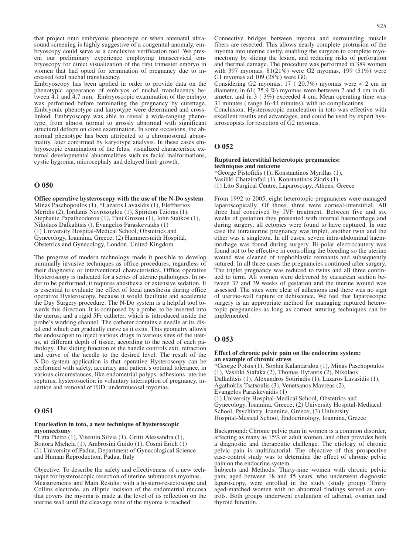that project onto embryonic phenotype or when antenatal ultrasound screening is highly suggestive of a congenital anomaly, embryoscopy could serve as a conclusive verification tool. We present our preliminary experience employing transcervical embryoscopy for direct visualization of the first trimester embryo in women that had opted for termination of pregnancy due to increased fetal nuchal translucency.

Embryoscopy has been applied in order to provide data on the phenotypic appearance of embryos of nuchal translucency between 4.1 and 4.7 mm. Embryoscopic examination of the embryo was performed before terminating the pregnancy by curettage. Embryonic phenotype and karyotype were determined and crosslinked. Embryoscopy was able to reveal a wide-ranging phenotype, from almost normal to grossly abnormal with significant structural defects on close examination. In some occasions, the abnormal phenotype has been attributed to a chromosomal abnormality, later confirmed by karyotype analysis. In these cases embryoscopic examination of the fetus, visualized characteristic external developmental abnormalities such us facial malformations, cystic hygroma, microcephaly and delayed limb growth.

# **O 050**

**Office operative hysteroscopy with the use of the N-Do system** Minas Paschopoulos (1), \*Lazaros Lavasidis (1), Eleftherios Meridis (2), Iordanis Navrozoglou (1), Spiridon Tzioras (1), Stephanie Papatheodorou (1), Fani Grozou (1), John Staikos (1), Nikolaos Dalkalitsis (), Evangelos Paraskevaidis (1) (1) University Hospital-Medical School, Obstetrics and Gynecology, Ioannina, Greece; (2) Hammersmith Hospital, Obstetrics and Gynecology, London, United Kingdom

The progress of modern technology made it possible to develop minimally invasive techniques as office procedures, regardless of their diagnostic or interventional characteristics. Office operative Hysteroscopy is indicated for a series of uterine pathologies. In order to be performed, it requires anesthesia or extensive sedation. It is essential to evaluate the effect of local anesthesia during office operative Hysteroscopy, because it would facilitate and accelerate the Day Surgery procedure. The N-Do system is a helpful tool towards this direction. It is composed by a probe, to be inserted into the uterus, and a rigid 5Fr catheter, which is introduced inside the probe's working channel. The catheter contains a needle at its distal end which can gradually curve as it exits. This geometry allows the endoscopist to inject various drugs in various sites of the uterus, at different depth of tissue, according to the need of each pathology. The sliding function of the handle controls exit, retraction and curve of the needle to the desired level. The result of the N-Do system application is that operative Hysteroscopy can be performed with safety, accuracy and patient's optimal tolerance, in various circumstances, like endometrial polyps, adhesions, uterine septums, hysterosuction in voluntary interruption of pregnancy, insertion and removal of IUD, undermucosal myomas.

# **O 051**

#### **Enucleation in toto, a new technique of hysteroscopic myomectomy**

\*Litta Pietro (1), Visentin Silvia (1), Gritti Alessandra (1), Bonora Michela (1), Ambrosini Guido (1), Cosmi Erich (1) (1) University of Padua, Department of Gynecological Science and Human Reproduction, Padua, Italy

Objective. To describe the safety and effectiveness of a new technique for hysteroscopic resection of uterine submucous myomas. Measurements and Main Results: with a hystero-resectoscope and Collins electrode, an elliptic incision of the endometrial mucosa that covers the myoma is made at the level of its reflection on the uterine wall until the cleavage zone of the myoma is reached.

Connective bridges between myoma and surrounding muscle fibers are resected. This allows nearly complete protrusion of the myoma into uterine cavity, enabling the surgeon to complete myomectomy by slicing the lesion, and reducing risks of perforation and thermal damage. The procedure was performed in 389 women with 397 myomas. 81(21%) were G2 myomas, 199 (51%) were G1 myomas ad 109 (28%) were G0.

Considering G2 myomas,  $17$  ( $20.7\%$ ) myomas were < 2 cm in diameter, in 61( 75.9 %) myomas were between 2 and 4 cm in diameter, and in 3 ( 3%) exceeded 4 cm. Mean operating time was 31 minutes ( range 16-44 minutes), with no complications.

Conclusion: Hysteroscopic enucleation in toto was effective with excellent results and advantages, and could be used by expert hysteroscopists for resection of G2 myomas.

# **O 052**

#### **Ruptured interstitial heterotopic pregnancies: techniques and outcome**

\*George Pistofidis (1), Konstantinos Myrillas (1), Vasiliki Chatzirafail (1), Konstantinos Zioris (1) (1) Lito Surgical Centre, Laparoscopy, Athens, Greece

From 1992 to 2005, eight heterotopic pregnancies were managed laparoscopically. Of those, three were corneal-interstitial. All three had conceived by IVF treatment. Between five and six weeks of gestation they presented with internal haemorrhage and during surgery, all ectopics were found to have ruptured. In one case the intrauterine pregnancy was triplet, another twin and the other was a singleton. In all cases, severe intra-abdominal haemmorhage was found during surgery. Bi-polar electrocautery was found not to be effective in controlling the bleeding so the uterine wound was cleaned of trophoblastic remnants and subsequently sutured. In all three cases the pregnancies continued after surgery. The triplet pregnancy was reduced to twins and all three continued to term. All women were delivered by caesarean section between 37 and 39 weeks of gestation and the uterine wound was assessed. The sites were clear of adhesions and there was no sign of uterine-wall rupture or dehiscence. We feel that laparoscopic surgery is an appropriate method for managing ruptured heterotopic pregnancies as long as correct suturing techniques can be implemented.

# **O 053**

#### **Effect of chronic pelvic pain on the endocrine system: an example of chronic stress**

\*George Potsis (1), Sophia Kalantaridou (1), Minas Paschopoulos (1), Vasiliki Siafaka (2), Thomas Hyfantis (2), Nikolaos Dalkalitsis (1), Alexandros Sotiriadis (1), Lazaros Lavasidis (1), Agathoklis Tsatsoulis (3), Venetsanos Mavreas (2), Evangelos Paraskevaidis (1) (1) University Hospital-Medical School, Obstetrics and

Gynecology, Ioannina, Greece; (2) University Hospital-Mediacal School, Psychiatry, Ioannina, Greece; (3) University Hospital-Mesical School, Endocrinology, Ioannina, Greece

Background: Chronic pelvic pain in women is a common disorder, affecting as many as 15% of adult women, and often provides both a diagnostic and therapeutic challenge. The etiology of chronic pelvic pain is multifactorial. The objective of this prospective case-control study was to determine the effect of chronic pelvic pain on the endocrine system.

Subjects and Methods: Thirty-nine women with chronic pelvic pain, aged between 18 and 45 years, who underwent diagnostic laparoscopy, were enrolled in the study (study group). Thirty aged-matched women with no abnormal findings served as controls. Both groups underwent evaluation of adrenal, ovarian and thyroid function.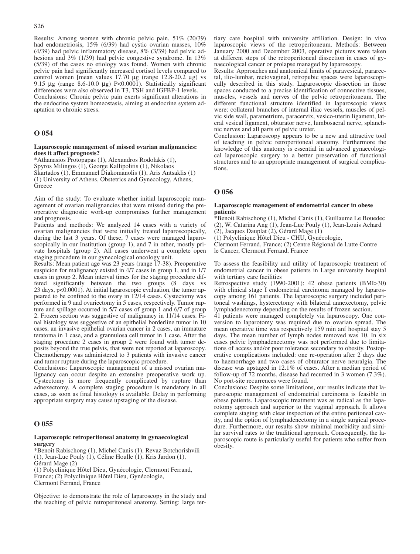Results: Among women with chronic pelvic pain, 51% (20/39) had endometriosis, 15% (6/39) had cystic ovarian masses, 10% (4/39) had pelvic inflammatory disease, 8% (3/39) had pelvic adhesions and 3% (1/39) had pelvic congestive syndrome. In 13% (5/39) of the cases no etiology was found. Women with chronic pelvic pain had significantly increased cortisol levels compared to control women [mean values 17.70 µg (range 12.8-20.2 µg) vs 9.15  $\mu$ g (range 8.6-10.0  $\mu$ g) P<0.0001). Statistically significant differences were also observed in T3, TSH and IGFBP-1 levels. Conclusions: Chronic pelvic pain exerts significant alterations in the endocrine system homeostasis, aiming at endocrine system adaptation to chronic stress.

# **O 054**

#### **Laparoscopic management of missed ovarian malignancies: does it affect prognosis?**

\*Athanasios Protopapas (1), Alexandros Rodolakis (1), Spyros Milingos (1), George Kallipolitis (1), Nikolaos Skartados (1), Emmanuel Diakomanolis (1), Aris Antsaklis (1) (1) University of Athens, Obstetrics and Gynecology, Athens, Greece

Aim of the study: To evaluate whether initial laparoscopic management of ovarian malignancies that were missed during the preoperative diagnostic work-up compromises further management and prognosis.

Patients and methods: We analyzed 14 cases with a variety of ovarian malignancies that were initially treated laparoscopically, during the last 3 years. Of these, 7 cases were managed laparoscopically in our Institution (group 1), and 7 in other, mostly private hospitals (group 2). All cases underwent a complete open staging procedure in our gynecological oncology unit.

Results: Mean patient age was 23 years (range 17-38). Preoperative suspicion for malignancy existed in 4/7 cases in group 1, and in 1/7 cases in group 2. Mean interval times for the staging procedure differed significantly between the two groups (8 days vs 23 days, p<0.0001). At initial laparoscopic evaluation, the tumor appeared to be confined to the ovary in 12/14 cases. Cystectomy was performed in 9 and ovariectomy in 5 cases, respectively. Tumor rupture and spillage occurred in 5/7 cases of group 1 and 6/7 of group 2. Frozen section was suggestive of malignancy in 11/14 cases. Final histology was suggestive of an epithelial borderline tumor in 10 cases, an invasive epithelial ovarian cancer in 2 cases, an immature teratoma in 1 case, and a grannulosa cell tumor in 1 case. After the staging procedure 2 cases in group 2 were found with tumor deposits beyond the true pelvis, that were not reported at laparoscopy. Chemotherapy was administered to 3 patients with invasive cancer and tumor rupture during the laparoscopic procedure.

Conclusions: Laparoscopic management of a missed ovarian malignancy can occur despite an extensive preoperative work up. Cystectomy is more frequently complicated by rupture than adnexectomy. A complete staging procedure is mandatory in all cases, as soon as final histology is available. Delay in performing appropriate surgery may cause upstaging of the disease.

# **O 055**

#### **Laparoscopic retroperitoneal anatomy in gynaecological surgery**

\*Benoit Rabischong (1), Michel Canis (1), Revaz Botchorishvili (1), Jean-Luc Pouly (1), Céline Houlle (1), Kris Jardon (1), Gérard Mage (2)

(1) Polyclinique Hôtel Dieu, Gynécologie, Clermont Ferrand, France; (2) Polyclinique Hôtel Dieu, Gynécologie, Clermont Ferrand, France

Objective: to demonstrate the role of laparoscopy in the study and the teaching of pelvic retroperitoneal anatomy. Setting: large tertiary care hospital with university affiliation. Design: in vivo laparoscopic views of the retroperitoneum. Methods: Between January 2000 and December 2003, operative pictures were taken at different steps of the retroperitoneal dissection in cases of gynaecological cancer or prolapse managed by laparoscopy.

Results: Approaches and anatomical limits of paravesical, pararectal, ilio-lumbar, rectovaginal, retropubic spaces were laparoscopically described in this study. Laparoscopic dissection in those spaces conducted to a precise identification of connective tissues, muscles, vessels and nerves of the pelvic retroperitoneum. The different functional structure identified in laparoscopic views were: collateral branches of internal iliac vessels, muscles of pelvic side wall, parametrium, paracervix, vesico-uterin ligament, lateral vesical ligament, obturator nerve, lumbosacral nerve, splanchnic nerves and all parts of pelvic ureter.

Conclusion: Laparoscopy appears to be a new and attractive tool of teaching in pelvic retroperitoneal anatomy. Furthermore the knowledge of this anatomy is essential in advanced gynaecological laparoscopic surgery to a better preservation of functional structures and to an appropriate management of surgical complications.

# **O 056**

#### **Laparoscopic management of endometrial cancer in obese patients**

\*Benoit Rabischong (1), Michel Canis (1), Guillaume Le Bouedec (2), W. Catarina Ang (1), Jean-Luc Pouly (1), Jean-Louis Achard

(2), Jacques Dauplat (2), Gérard Mage (1)

(1) Polyclinique Hôtel Dieu - CHU, Gynécologie,

Clermont Ferrand, France; (2) Centre Régional de Lutte Contre le Cancer, Clermont Ferrand, France

To assess the feasibility and utility of laparoscopic treatment of endometrial cancer in obese patients in Large university hospital with tertiary care facilities

Retrospective study (1990-2001): 42 obese patients (BMI>30) with clinical stage I endometrial carcinoma managed by laparoscopy among 161 patients. The laparoscopic surgery included peritoneal washings, hysterectomy with bilateral annexectomy, pelvic lymphadenectomy depending on the results of frozen section.

41 patients were managed completely via laparoscopy. One conversion to laparotomy was required due to ovarian spread. The mean operative time was respectively 159 min anf hospital stay 5 days. The mean number of lymph nodes removed was 10. In six cases pelvic lymphadenectomy was not performed due to limitations of access and/or poor tolerance secondary to obesity. Postoperative complications included: one re-operation after 2 days due to haemorrhage and two cases of obturator nerve neuralgia. The disease was upstaged in 12.1% of cases. After a median period of follow-up of 72 months, disease had recurred in 3 women (7.3%). No port-site recurrences were found.

Conclusions: Despite some limitations, our results indicate that laparoscopic management of endometrial carcinoma is feasible in obese patients. Laparoscopic treatment was as radical as the laparotomy approach and superior to the vaginal approach. It allows complete staging with clear inspection of the entire peritoneal cavity, and the option of lymphadenectomy in a single surgical procedure. Furthermore, our results show minimal morbidity and similar survival rates to the traditional approach. Consequently, the laparoscopic route is particularly useful for patients who suffer from obesity.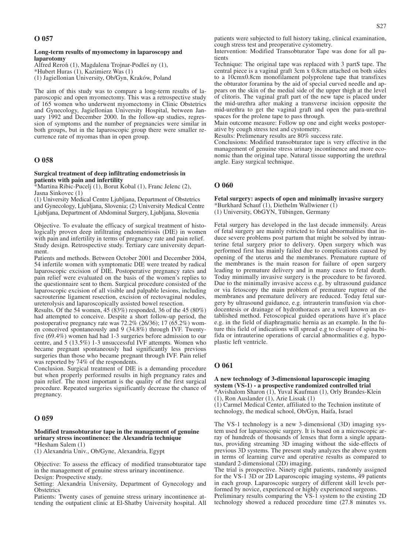#### **Long-term results of myomectomy in laparoscopy and laparotomy**

Alfred Reroń (1), Magdalena Trojnar-Podleś ny (1), \*Hubert Huras (1), Kazimierz Was (1) (1) Jagiellonian University, Ob/Gyn, Kraków, Poland

The aim of this study was to compare a long-term results of laparoscopic and open myomectomy. This was a retrospective study of 165 women who underwent myomectomy in Clinic Obstetrics and Gynecology, Jagiellonian University Hospital, between January 1992 and December 2000. In the follow-up studies, regression of symptoms and the number of pregnancies were similar in both groups, but in the laparoscopic group there were smaller recurrence rate of myomas than in open group.

# **O 058**

# **Surgical treatment of deep infiltrating endometriosis in patients with pain and infertility**

\*Martina Ribic-Pucelj (1), Borut Kobal (1), Franc Jelenc (2), Jasna Sinkovec (1)

(1) University Medical Centre Ljubljana, Department of Obstetrics and Gynecology, Ljubljana, Slovenia; (2) University Medical Centre Ljubljana, Department of Abdominal Surgery, Ljubljana, Slovenia

Objective. To evaluate the efficacy of surgical treatment of histologically proven deep infiltrating endometriosis (DIE) in women with pain and infertility in terms of pregnancy rate and pain relief. Study design. Retrospective study. Tertiary care university department.

Patients and methods. Between October 2001 and December 2004, 54 infertile women with symptomatic DIE were treated by radical laparoscopic excision of DIE. Postoperative pregnancy rates and pain relief were evaluated on the basis of the women's replies to the questionnaire sent to them. Surgical procedure consisted of the laparoscopic excision of all visible and palpable lesions, including sacrouterine ligament resection, excision of rectovaginal nodules, ureterolysis and laparoscopically assisted bowel resection.

Results. Of the 54 women, 45 (83%) responded, 36 of the 45 (80%) had attempted to conceive. Despite a short follow-up period, the postoperative pregnancy rate was  $72.2\%$  (26/36); 17 (65.2%) women conceived spontaneously and 9 (34.8%) through IVF. Twentyfive (69.4%) women had had 1-3 surgeries before admission to our centre, and 5 (13.5%) 1-3 unsuccessful IVF attempts. Women who became pregnant spontaneously had significantly less previous surgeries than those who became pregnant through IVF. Pain relief was reported by 74% of the respondents.

Conclusion. Surgical treatment of DIE is a demanding procedure but when properly performed results in high pregnancy rates and pain relief. The most important is the quality of the first surgical procedure. Repeated surgeries significantly decrease the chance of pregnancy.

# **O 059**

#### **Modified transobturator tape in the management of genuine urinary stress incontinence: the Alexandria technique** \*Hesham Salem (1)

(1) Alexandria Univ., Ob/Gyne, Alexandria, Egypt

Objective: To assess the efficacy of modified transobturator tape in the management of genuine stress urinary incontinence. Design: Prospective study.

Setting: Alexandria University, Department of Gynecology and **Obstetrics** 

Patients: Twenty cases of genuine stress urinary incontinence attending the outpatient clinic at El-Shatby University hospital. All patients were subjected to full history taking, clinical examination, cough stress test and preoperative cystometry.

Intervention: Modified Transobturator Tape was done for all patients

Technique: The original tape was replaced with 3 partS tape. The central piece is a vaginal graft 3cm x 0.8cm attached on both sides to a 10cmx0.8cm monofilament polyprolene tape that transfixes the obturator foramina by the aid of special curved needle and appears on the skin of the medial side of the upper thigh at the level of clitoris. The vaginal graft part of the new tape is placed under the mid-urethra after making a transverse incision opposite the mid-urethra to get the vaginal graft and open the para-urethral spaces for the prolene tape to pass through.

Main outcome measure: Follow up one and eight weeks postoperative by cough stress test and cystometry.

Results: Prelimenary results are 80% success rate.

Conclusions: Modified transobturator tape is very effective in the management of genuine stress urinary incontinence and more economic than the original tape. Natural tissue supporting the urethral angle. Easy surgical technique.

#### **O 060**

#### **Fetal surgery: aspects of open and minimally invasive surgery** \*Burkhard Schauf (1), Diethelm Wallwiener (1)

(1) University, ObGYN, Tübingen, Germany

Fetal surgery has developed in the last decade immensily. Areas of fetal surgery are mainly rstricted to fetal abnormalities that induce severe problems post partum that might be solved by intrauterine fetal surgery prior to delivery. Open surgery which was performed first has mainly failed due to complications caused by opening of the uterus and the membranes. Premature rupture of the membranes is the main reason for failure of open surgery leading to premature delivery and in many cases to fetal death. Today minimally invasive surgery is the procedure to be favored. Due to the minimally invasive access e.g. by ultrasound guidance or via fetoscopy the main problem of premature rupture of the membranes and premature delivery are reduced. Today fetal surgery by ultrasound guidance, e.g. intrauterin transfusion via chordocentesis or drainage of hydrothoraces are a well known an established method. Fetoscopical guided operations have it's place e.g. in the field of diaphragmatic hernia as an example. In the future this field of indications will spread e.g to closure of spina bifida or intrauterine operations of carcial abnormalities e.g. hypoplastic left ventricle.

# **O 061**

# **A new technology of 3-dimensional laparoscopic imaging system (VS-1) - a prospective randomized controlled trial**

\*Avishalom Sharon (1), Yuval Kaufman (1), Orly Brandes-Klein (1), Ron Auslander (1), Arie Lissak (1)

(1) Carmel Medical Center, affiliated to the Technion institute of technology, the medical school, Ob/Gyn, Haifa, Israel

The VS-1 technology is a new 3-dimensional (3D) imaging system used for laparoscopic surgery. It is based on a microscopic array of hundreds of thousands of lenses that form a single apparatus, providing streaming 3D imaging without the side-effects of previous 3D systems. The present study analyzes the above system in terms of learning curve and operative results as compared to standard 2-dimensional (2D) imaging.

The trial is prospective. Ninety eight patients, randomly assigned for the VS-1 3D or 2D Laparoscopic imaging systems, 49 patients in each group. Laparoscopic surgery of different skill levels performed by novice, experienced or highly experienced surgeons.

Preliminary results comparing the VS-1 system to the existing 2D technology showed a reduced procedure time (27.8 minutes vs.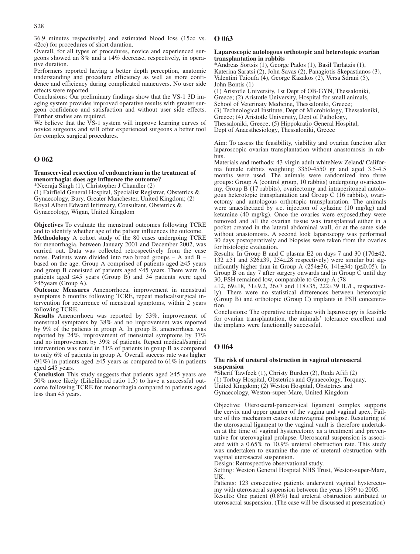36.9 minutes respectively) and estimated blood loss (15cc vs. 42cc) for procedures of short duration.

Overall, for all types of procedures, novice and experienced surgeons showed an 8% and a 14% decrease, respectively, in operative duration.

Performers reported having a better depth perception, anatomic understanding and procedure efficiency as well as more confidence and efficiency during complicated maneuvers. No user side effects were reported.

Conclusions: Our preliminary findings show that the VS-1 3D imaging system provides improved operative results with greater surgeon confidence and satisfaction and without user side effects. Further studies are required.

We believe that the VS-1 system will improve learning curves of novice surgeons and will offer experienced surgeons a better tool for complex surgical procedures.

# **O 062**

**Transcervical resection of endometrium in the treatment of menorrhagia: does age influence the outcome?**

\*Neeraja Singh (1), Christopher J Chandler (2)

(1) Fairfield General Hospital, Specialist Registrar, Obstetrics & Gynaecology, Bury, Greater Manchester, United Kingdom; (2) Royal Albert Edward Infirmary, Consultant, Obstetrics & Gynaecology, Wigan, United Kingdom

**Objectives** To evaluate the menstrual outcomes following TCRE and to identify whether age of the patient influences the outcome. **Methodology** A cohort study of the 80 cases undergoing TCRE for menorrhagia, between January 2001 and December 2002, was carried out. Data was collected retrospectively from the case notes. Patients were divided into two broad groups – A and B – based on the age. Group A comprised of patients aged ≥45 years and group B consisted of patients aged ≤45 years. There were 46 patients aged  $\leq 45$  years (Group B) and 34 patients were aged ≥45years (Group A).

**Outcome Measures** Amenorrhoea, improvement in menstrual symptoms 6 months following TCRE, repeat medical/surgical intervention for recurrence of menstrual symptoms, within 2 years following TCRE.

**Results** Amenorrhoea was reported by 53%, improvement of menstrual symptoms by 38% and no improvement was reported by 9% of the patients in group A. In group B, amenorrhoea was reported by 24%, improvement of menstrual symptoms by 37% and no improvement by 39% of patients. Repeat medical/surgical intervention was noted in 31% of patients in group B as compared to only 6% of patients in group A. Overall success rate was higher (91%) in patients aged  $\geq$ 45 years as compared to 61% in patients aged ≤45 years.

**Conclusion** This study suggests that patients aged ≥45 years are 50% more likely (Likelihood ratio 1.5) to have a successful outcome following TCRE for menorrhagia compared to patients aged less than 45 years.

# **O 063**

#### **Laparoscopic autologous orthotopic and heterotopic ovarian transplantation in rabbits**

\*Andreas Sortsis (1), George Pados (1), Basil Tarlatzis (1), Katerina Saratsi (2), John Savas (2), Panagiotis Skepastianos (3), Valentini Tzioufa (4), George Kazakos (2), Versa Sdrani (5), John Bontis (1)

(1) Aristotle University, 1st Dept of OB-GYN, Thessaloniki, Greece; (2) Aristotle University, Hospital for small animals, School of Veterinaty Medicine, Thessaloniki, Greece; (3) Technological Institute, Dept of Microbiology, Thessaloniki, Greece; (4) Aristotle University, Dept of Pathology, Thessaloniki, Greece; (5) Hippokratio General Hospital, Dept of Anaesthesiology, Thessaloniki, Greece

Aim: To assess the feasibility, viability and ovarian function after laparoscopic ovarian transplantation without anastomosis in rabbits.

Materials and methods: 43 virgin adult whiteNew Zeland/ California female rabbits weighting 3350-4550 gr and aged 3.5-4.5 months were used. The animals were randomized into three groups: Group A (control group, 10 rabbits) undergoing ovariectomy, Group B (17 rabbits), ovariectomy and intraperitoneal autologous heterotopic transplantation and Group C (16 rabbits), ovariectomy and autologous orthotopic transplantation. The animals were anaesthetized by s.c. injection of xylazine (10 mg/kg) and ketamine (40 mg/kg). Once the ovaries were exposed,they were removed and all the ovarian tissue was transplanted either in a pocket created in the lateral abdominal wall, or at the same side without anastomosis. A second look laparoscopy was performed 30 days postoperatively and biopsies were taken from the ovaries for histologic evaluation.

Results: In Group B and C plasma E2 on days 7 and 30 (170±42, 132  $\pm$ 51 and 326 $\pm$ 39, 254 $\pm$ 28 respectively) were similar but significantly higher than in Group A  $(254\pm36, 141\pm34)$  (p≤0.05). In Group B on day 7 after surgery onwards and in Group C until day 30, FSH remained low, comparable to Group A (78

±12, 69±18, 31±9.2, 26±7 and 118±35, 222±39 IU/L, respectively). There were no statistical differences between heterotopic (Group B) and orthotopic (Group C) implants in FSH concentration.

Conclusions: The operative technique with laparoscopy is feasible for ovarian transplantation, the animals' tolerance excellent and the implants were functionally successful.

# **O 064**

#### **The risk of ureteral obstruction in vaginal uterosacral suspension**

\*Sherif Tawfeek (1), Christy Burden (2), Reda Afifi (2) (1) Torbay Hospital, Obstetrics and Gynaecology, Torquay, United Kingdom; (2) Weston Hospital, Obstetrics and Gynaecology, Weston-super-Mare, United Kingdom

Objective: Uterosacral-paracervical ligament complex supports the cervix and upper quarter of the vagina and vaginal apex. Failure of this mechanism causes uterovaginal prolapse. Resuturing of the uterosacral ligament to the vaginal vault is therefore undertaken at the time of vaginal hysterectomy as a treatment and preventative for uterovaginal prolapse. Uterosacral suspension is associated with a  $0.65\%$  to  $10.9\%$  ureteral obstruction rate. This study was undertaken to examine the rate of ureteral obstruction with vaginal uterosacral suspension.

Design: Retrospective observational study.

Setting: Weston General Hospital NHS Trust, Weston-super-Mare, UK.

Patients: 123 consecutive patients underwent vaginal hysterectomy with uterosacral suspension between the years 1999 to 2005.

Results: One patient (0.8%) had ureteral obstruction attributed to uterosacral suspension. (The case will be discussed at presentation)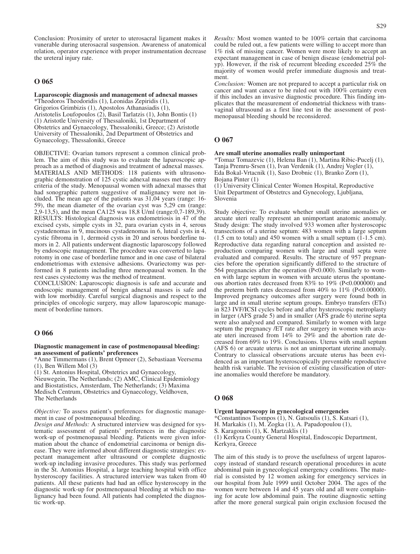Conclusion: Proximity of ureter to uterosacral ligament makes it vunerable during uterosacral suspension. Awareness of anatomical relation, operator experience with proper instrumentation decrease the ureteral injury rate.

# **O 065**

# **Laparoscopic diagnosis and management of adnexal masses**

\*Theodoros Theodoridis (1), Leonidas Zepiridis (1), Grigorios Grimbizis (1), Apostolos Athanasiadis (1), Aristotelis Loufopoulos (2), Basil Tarlatzis (1), John Bontis (1) (1) Aristotle University of Thessaloniki, 1st Department of Obstetrics and Gynaecology, Thessaloniki, Greece; (2) Aristotle University of Thessaloniki, 2nd Department of Obstetrics and Gynaecology, Thessaloniki, Greece

OBJECTIVE: Ovarian tumors represent a common clinical problem. The aim of this study was to evaluate the laparoscopic approach as a method of diagnosis and treatment of adnexal masses. MATERIALS AND METHODS: 118 patients with ultrasonographic demonstration of 125 cystic adnexal masses met the entry criteria of the study. Menopausal women with adnexal masses that had sonographic pattern suggestive of malignancy were not included. The mean age of the patients was 31,04 years (range: 16- 59), the mean diameter of the ovarian cyst was 5,29 cm (range: 2,9-13,5), and the mean CA125 was 18,8 U/ml (range:0,7-189,39). RESULTS: Histological diagnosis was endometriosis in 47 of the excised cysts, simple cysts in 32, para ovarian cysts in 4, serous cystadenomas in 9, mucinous cystadenomas in 6, luteal cysts in 4, cystic fibroma in 1, dermoid cysts in 20 and serous borderline tumors in 2. All patients underwent diagnostic laparoscopy followed by endoscopic management. The procedure was converted to laparotomy in one case of borderline tumor and in one case of bilateral endometriomas with extensive adhesions. Ovariectomy was performed in 8 patients including three menopausal women. In the rest cases cystectomy was the method of treatment.

CONCLUSION: Laparoscopic diagnosis is safe and accurate and endoscopic management of benign adnexal masses is safe and with low morbidity. Careful surgical diagnosis and respect to the principles of oncologic surgery, may allow laparoscopic management of borderline tumors.

# **O 066**

#### **Diagnostic management in case of postmenopausal bleeding: an assessment of patients' preferences**

\*Anne Timmermans (1), Brent Opmeer (2), Sebastiaan Veersema (1), Ben Willem Mol (3)

(1) St. Antonius Hospital, Obstetrics and Gynaecology, Nieuwegein, The Netherlands; (2) AMC, Clinical Epidemiology and Biostatistics, Amsterdam, The Netherlands; (3) Maxima Medisch Centrum, Obstetrics and Gynaecology, Veldhoven, The Netherlands

*Objective:* To assess patient's preferences for diagnostic management in case of postmenopausal bleeding.

*Design and Methods:* A structured interview was designed for systematic assessment of patients' preferences in the diagnostic work-up of postmenopausal bleeding. Patients were given information about the chance of endometrial carcinoma or benign disease. They were informed about different diagnostic strategies: expectant management after ultrasound or complete diagnostic work-up including invasive procedures. This study was performed in the St. Antonius Hospital, a large teaching hospital with office hysteroscopy facilities. A structured interview was taken from 40 patients. All these patients had had an office hysteroscopy in the diagnostic work-up for postmenopausal bleeding at which no malignancy had been found. All patients had completed the diagnostic work-up.

*Results:* Most women wanted to be 100% certain that carcinoma could be ruled out, a few patients were willing to accept more than 1% risk of missing cancer. Women were more likely to accept an expectant management in case of benign disease (endometrial polyp). However, if the risk of recurrent bleeding exceeded 25% the majority of women would prefer immediate diagnosis and treatment.

*Conclusion:* Women are not prepared to accept a particular risk on cancer and want cancer to be ruled out with 100% certainty even if this includes an invasive diagnostic procedure. This finding implicates that the measurement of endometrial thickness with transvaginal ultrasound as a first line test in the assessment of postmenopausal bleeding should be reconsidered.

# **O 067**

#### **Are small uterine anomalies really unimportant**

\*Tomaz Tomazevic (1), Helena Ban (1), Martina Ribic-Pucelj (1), Tanja Premru-Srsen (1), Ivan Verdenik (1), Andrej Vogler (1), Eda Bokal-Vrtacnik (1), Saso Drobnic (1), Branko Zorn (1), Bojana Pinter (1) (1) University Clinical Center Women Hospital, Reproductive

Unit Department of Obstetrcs and Gynecology, Ljubljana, Slovenia

Study objective: To evaluate whether small uterine anomalies or arcuate uteri really represent an unimportant anatomic anomaly. Study design: The study involved 933 women after hysteroscopic transections of a uterine septum: 483 women with a large septum  $(1.5 \text{ cm})$  to total) and 450 women with a small septum  $(1-1.5 \text{ cm})$ . Reproductive data regarding natural conception and assisted reproduction comparing women with large and small septa were evaluated and compared. Results. The structure of 957 pregnancies before the operation significantly differed to the structure of 564 pregnancies after the operation (P<0.000). Similarly to women with large septum in women with arcuate uterus the spontaneous abortion rates decreased from 83% to 19% (P<0.000000) and the preterm birth rates decreased from 40% to 11% (P<0.00000). Improved pregnancy outcomes after surgery were found both in large and in small uterine septum groups. Embryo transfers (ETs) in 823 IVF/ICSI cycles before and after hysteroscopic metroplasty in larger (AFS grade 5) and in smaller (AFS grade 6) uterine septa were also analysed and compared. Similarly to women with large septum the pregnancy /ET rate after surgery in women with arcuate uteri increased from 14% to 29% and the abortion rate decreased from 69% to 19%. Conclusions. Uterus with small septum (AFS 6) or arcuate uterus is not an unimportant uterine anomaly. Contrary to classical observations arcuate uterus has been evidenced as an important hysteroscopically preventable reproductive health risk variable. The revision of existing classification of uterine anomalies would therefore be mandatory.

# **O 068**

#### **Urgent laparoscopy in gynecological emergencies**

\*Constantinos Tsompos (1), N. Gatsoulis (1), S. Katsari (1), H. Markakis (1), M. Zogka (1), A. Papadopoulou (1), S. Karagounis (1), K. Martzaklis (1) (1) Kerkyra County General Hospital, Endoscopic Department, Kerkyra, Greece

The aim of this study is to prove the usefulness of urgent laparoscopy instead of standard research operational procedures in acute abdominal pain in gynecological emergency conditions. The material is consisted by 12 women asking for emergency services in our hospital from Jule 1999 until October 2004. The ages of the women were between 14 and 45 years old and all were complaining for acute low abdominal pain. The routine diagnostic setting after the more general surgical pain origin exclusion focused the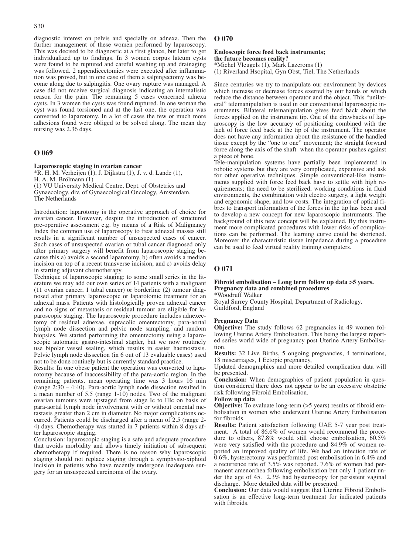diagnostic interest on pelvis and specially on adnexa. Then the further management of these women performed by laparoscopy. This was decised to be diagnostic at a first glance, but later to get individualized up to findings. In 3 women corpus lateum cysts were found to be ruptured and careful washing up and drainaging was followed. 2 appendicectomies were executed after inflammation was proved, but in one case of them a salpingectomy was become along due to salpingitis. One ovary rupture was managed. A case did not receive surgical diagnosis indicating an internalistic reason for the pain. The remaining 5 cases concerned adnexa cysts. In 3 women the cysts was found ruptured. In one woman the cyst was found torsioned and at the last one, the operation was converted to laparotomy. In a lot of cases the few or much more adhesions found were obliged to be solved along. The mean day nursing was 2.36 days.

# **O 069**

# **Laparoscopic staging in ovarian cancer**

\*R. H. M. Verheijen (1), J. Dijkstra (1), J. v. d. Lande (1), H. A. M. Brölmann (1)

(1) VU University Medical Centre, Dept. of Obstetrics and Gynaecology, div. of Gynaecological Oncology, Amsterdam, The Netherlands

Introduction: laparotomy is the operative approach of choice for ovarian cancer. However, despite the introduction of structured pre-operative assessment e.g. by means of a Risk of Malignancy Index the common use of laparoscopy to treat adnexal masses still results in a significant number of unsuspected cases of cancer. Such cases of unsuspected ovarian or tubal cancer diagnosed only after primary surgery will benefit from laparoscopic staging because this a) avoids a second laparotomy, b) often avoids a median incision on top of a recent transverse incision, and c) avoids delay in starting adjuvant chemotherapy.

Technique of laparoscopic staging: to some small series in the literature we may add our own series of 14 patients with a malignant (11 ovarian cancer, 1 tubal cancer) or borderline (2) tumour diagnosed after primary laparoscopic or laparotomic treatment for an adnexal mass. Patients with histologically proven adnexal cancer and no signs of metastasis or residual tumour are eligible for laparoscopic staging. The laparoscopic procedure includes adnexectomy of residual adnexae, supracolic omentectomy, para-aortal lymph node dissection and pelvic node sampling, and random biopsies. We started performing the omentectomy using a laparoscopic automatic gastro-intestinal stapler, but we now routinely use bipolar vessel sealing, which results in easier haemostasis. Pelvic lymph node dissection (in 6 out of 13 evaluable cases) used not to be done routinely but is currently standard practice.

Results: In one obese patient the operation was converted to laparotomy because of inaccessibility of the para-aortic region. In the remaining patients, mean operating time was 3 hours 16 min (range 2:30 – 4:40). Para-aortic lymph node dissection resulted in a mean number of 5.5 (range 1-10) nodes. Two of the malignant ovarian tumours were upstaged from stage Ic to IIIc on basis of para-aortal lymph node involvement with or without omental metastasis greater than 2 cm in diameter. No major complications occurred. Patients could be discharged after a mean of 2.5 (range 2- 4) days. Chemotherapy was started in 7 patients within 8 days after laparoscopic staging.

Conclusion: laparoscopic staging is a safe and adequate procedure that avoids morbidity and allows timely initiation of subsequent chemotherapy if required. There is no reason why laparoscopic staging should not replace staging through a symphysio-xiphoid incision in patients who have recently undergone inadequate surgery for an unsuspected carcinoma of the ovary.

# **O 070**

#### **Endoscopic force feed back instruments; the future becomes reality?**

\*Michel Vleugels (1), Mark Lazeroms (1)

(1) Riverland Hsopital, Gyn Obst, Tiel, The Netherlands

Since centuries we try to manipulate our environment by devices which increase or decrease forces exerted by our hands or which reduce the distance between operator and the object. This "unilateral" telemanipulation is used in our conventional laparoscopic instruments. Bilateral telemanipulation gives feed back about the forces applied on the instrument tip. One of the drawbacks of laparoscopy is the low accuracy of positioning combined with the lack of force feed back at the tip of the instrument. The operator does not have any information about the resistance of the handled tissue except by the "one to one" movement; the straight forward force along the axis of the shaft when the operator pushes against a piece of bone.

Tele-manipulation systems have partially been implemented in robotic systems but they are very complicated, expensive and ask for other operative techniques. Simple conventional-like instruments supplied with force feed back have to settle with high requirements; the need to be sterilized, working conditions in fluid environments, the combination with electro surgery, a light weight and ergonomic shape, and low costs. The integration of optical fibres to transport information of the forces in the tip has been used to develop a new concept for new laparoscopic instruments. The background of this new concept will be explained. By this instrument more complicated procedures with lower risks of complications can be performed. The learning curve could be shortened. Moreover the characteristic tissue impedance during a procedure can be used to feed virtual reality training computers.

# **O 071**

#### **Fibroid embolisation – Long term follow up data >5 years. Pregnancy data and combined procedures** \*Woodruff Walker

Royal Surrey County Hospital, Department of Radiology, Guildford, England

#### **Pregnancy Data**

**Objective:** The study follows 62 pregnancies in 49 women following Uterine Artery Embolisation. This being the largest reported series world wide of pregnancy post Uterine Artery Embolisation.

**Results:** 32 Live Births, 5 ongoing pregnancies, 4 terminations, 18 miscarriages, 1 Ectopic pregnancy,

Updated demographics and more detailed complication data will be presented.

**Conclusion:** When demographics of patient population in question considered there does not appear to be an excessive obstetric risk following Fibroid Embolisation.

# **Follow up data**

**Objective:** To evaluate long-term ( $>5$  years) results of fibroid embolisation in women who underwent Uterine Artery Embolisation for fibroids.

**Results:** Patient satisfaction following UAE 5-7 year post treatment. A total of 86.6% of women would recommend the procedure to others, 87.8% would still choose embolisation, 60.5% were very satisfied with the procedure and 84.9% of women reported an improved quality of life. We had an infection rate of 0.6%, hysterectomy was performed post embolisation in 6.4% and a recurrence rate of 3.5% was reported. 7.6% of women had permanent amenorrhea following embolisation but only 1 patient under the age of 45. 2.3% had hysteroscopy for persistent vaginal discharge. More detailed data will be presented.

**Conclusion:** Our data would suggest that Uterine Fibroid Embolisation is an effective long-term treatment for indicated patients with fibroids.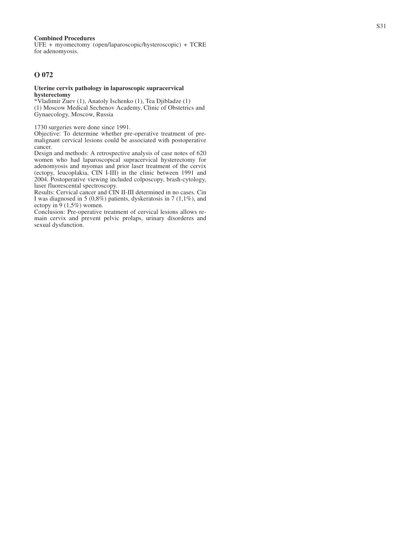#### **Combined Procedures**

UFE + myomectomy (open/laparoscopic/hysteroscopic) + TCRE for adenomyosis.

# **O 072**

# **Uterine cervix pathology in laparoscopic supracervical hysterectomy**

\*Vladimir Zuev (1), Anatoly Ischenko (1), Tea Djibladze (1) (1) Moscow Medical Sechenov Academy, Clinic of Obstetrics and Gynaecology, Moscow, Russia

1730 surgeries were done since 1991.

Objective: To determine whether pre-operative treatment of premalignant cervical lesions could be associated with postoperative cancer.

Design and methods: A retrospective analysis of case notes of 620 women who had laparoscopical supracervical hysterectomy for adenomyosis and myomas and prior laser treatment of the cervix (ectopy, leucoplakia, CIN I-III) in the clinic between 1991 and 2004. Postoperative viewing included colposcopy, brash-cytology, laser fluorescental spectroscopy.

Results: Cervical cancer and CIN II-III determined in no cases. Cin I was diagnosed in 5 (0,8%) patients, dyskeratosis in 7 (1,1%), and ectopy in 9 (1,5%) women.

Conclusion: Pre-operative treatment of cervical lesions allows remain cervix and prevent pelvic prolaps, urinary disorderes and sexual dysfunction.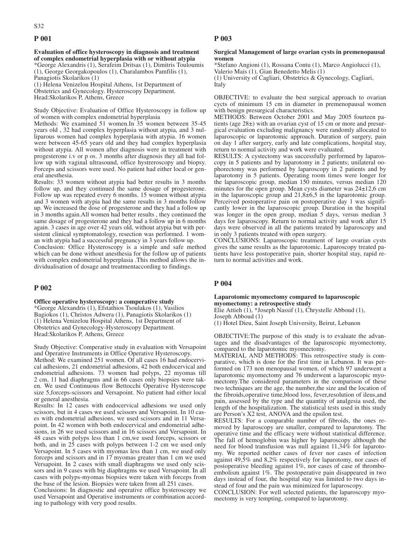# **P 001**

# **Evaluation of office hysteroscopy in diagnosis and treatment of complex endometrial hyperplasia with or without atypia**

\*George Alexandris (1), Serafeim Dritsas (1), Dimitris Touloumis (1), George Georgakopoulos (1), Charalambos Pamfilis (1), Panagiotis Skolarikos (1)

(1) Helena Venizelou Hospital Athens, 1st Department of Obstetrics and Gynecology. Hysteroscopy Department. Head:Skolarikos P, Athens, Greece

Study Objective: Evaluation of Office Hysteroscopy in follow up of women with complex endometrial hyperplasia

Methods: We examined 51 women.In 35 women between 35-45 years old , 32 had complex hyperplasia without atypia, and 3 nulliparous women had complex hyperplasia with atypia. 16 women were between 45-65 years old and they had complex hyperplasia without atypia. All women after diagnosis were in treatment with progesterone i.v or p os. 3 months after diagnosis they all had follow up with vaginal ultrasound, office hystreroscopy and biopsy. Forceps and scissors were used. No patient had either local or general anesthesia.

Results: 33 women without atypia had better results in 3 months follow up, and they continued the same dosage of progesterone. Follow up was repeated every 6 months. 15 women without atypia and 3 women with atypia had the same results in 3 months follow up. We increased the dose of progesterone and they had a follow up in 3 months again.All women had better results , they continued the same dosage of progesterone and they had a follow up in 6 months again. 3 cases in age over 42 years old, without atypia but with persistent clinical symptomatology, resection was performed. 1 woman with atypia had a successful pregnancy in 3 years follow up.

Conclusion: Office Hysteroscopy is a simple and safe method which can be done without anesthesia for the follow up of patients with complex endometrial hyperplasia .This method allows the individualisation of dosage and treatmentaccording to findings.

# **P 002**

# **Office operative hysteroscopy: a comperative study**

\*George Alexandris (1), Efstathios Tsoulakos (1), Vasilios Bagiokos (1), Christos Adwera (1), Panagiotis Skolarikos (1) (1) Helena Venizelou Hospital Athens, 1st Department of Obstetrics and Gynecology-Hysteroscopy Department. Head:Skolarikos P, Athens, Greece

Study Objective: Comperative study in evaluation with Versapoint and Operative Instruments in Office Operative Hysteroscopy.

Method: We examined 251 women. Of all cases 16 had endocervical adhesions, 21 endometrial adhesions, 42 both endocervical and endometrial adhesions. 73 women had polyps, 22 myomas till 2 cm, 11 had diaphragms and in 66 cases only biopsies were taken. We used Continuous flow Bettocchi Operative Hysteroscope size 5,forceps-scissors and Versapoint. No patient had either local or general anesthesia.

Results: In 12 cases with endocervical adhesions we used only scissors, but in 4 cases we used scissors and Versapoint. In 10 cases with endometrial adhesions, we used scissors and in 11 Versapoint. In 42 women with both endocervical and endometrial adhesions, in 26 we used scissors and in 16 scissors and Versapoint. In 48 cases with polyps less than 1 cm,we used forceps, scissors or both, and in 25 cases with polyps between 1-2 cm we used only Versapoint. In 5 cases with myomas less than 1 cm, we used only forceps and scissors and in 17 myomas greater than 1 cm we used Versapoint. In 2 cases with small diaphragms we used only scissors and in 9 cases with big diaphragms we used Versapoint. In all cases with polyps-myomas biopsies were taken with forceps from the base of the lesion. Biopsies were taken from all 251 cases.

Conclusions: In diagnostic and operative office hysteroscopy we used Versapoint and Operative instruments or combination according to pathology with very good results.

# **P 003**

# **Surgical Management of large ovarian cysts in premenopausal women**

\*Stefano Angioni (1), Rossana Contu (1), Marco Angiolucci (1), Valerio Mais (1), Gian Benedetto Melis (1)

(1) University of Cagliari, Obstetrics & Gynecology, Cagliari, Italy

OBJECTIVE: to evaluate the best surgical approach to ovarian cycts of minimum 15 cm in diameter in premenopausal women with benign presurgical characteristics.

METHODS: Between October 2001 and May 2005 fourteen patients (age 28±) with an ovarian cyst of 15 cm or more and presurgical evaluation excluding malignancy were randomly allocated to laparoscopic or laparotomic approach. Duration of surgery, pain on day 1 after surgery, early and late complications, hospital stay, return to normal activity and work were evaluated.

RESULTS: A cystectomy was successfully performed by laparoscopy in 5 patients and by laparotomy in 2 patients; unilateral oophorectomy was performed by laparoscopy in 2 patients and by laparotomy in 5 patients. Operating room times were longer for the laparoscopic group, median 150 minutes, versus median 120 minutes for the open group. Mean cysts diameter was 24±12,6 cm in the laparoscopic group and 21,8±6,5 in the laparotomic group. Perceived postoperative pain on postoperative day 1 was significantly lower in the laparoscopic group. Duration in the hospital was longer in the open group, median 5 days, versus median 3 days for laparoscopy. Return to normal activity and work after 15 days were observed in all the patients treated by laparoscopy and in only 3 patients treated with open surgery.

CONCLUSIONS: Laparoscopic treatment of large ovarian cysts gives the same results as the laparotomic. Laparoscopy treated patients have less postoperative pain, shorter hospital stay, rapid return to normal activities and work.

# **P 004**

#### **Laparotomic myomectomy compared to laparoscopic myomectomy: a retrospective study**

Elie Attieh (1), \*Joseph Nassif (1), Chrystelle Abboud (1), Joseph Abboud (1)

(1) Hotel Dieu, Saint Joseph University, Beirut, Lebanon

OBJECTIVE:The purpose of this study is to evaluate the advantages and the disadvantages of the laparoscopic myomectomy, compared to the laparotomic myomectomy.

MATERIAL AND METHODS: This retrospective study is comparative, which is done for the first time in Lebanon. It was performed on 173 non menopausal women, of which 97 underwent a laparotomic myomectomy and 76 underwent a laparoscopic myomectomy.The considered parameters in the comparison of these two techniques are the age, the number,the size and the location of the fibroids,operative time,blood loss, fever,resolution of ileus,and pain, assessed by the type and the quantity of analgesia used, the length of the hospitalization. The statistical tests used in this study are Person's X2 test, ANOVA and the epsilon test.

RESULTS: For a comparable number of fibroids, the ones removed by laparoscopy are smaller, compared to laparotomy. The operative time and the efficacy were without statistical difference. The fall of hemoglobin was higher by laparoscopy although the need for blood transfusion was null against 11,34% for laparotomy. We reported neither cases of fever nor cases of infection against 49,5% and 8,2% respectively for laparotomy, nor cases of postoperative bleeding against 1%, nor cases of case of thromboembolism against 1%. The postoperative pain disappeared in two days instead of four, the hospital stay was limited to two days instead of four and the pain was minimized for laparoscopy.

CONCLUSION: For well selected patients, the laparoscopy myomectomy is very tempting, compared to laparotomy.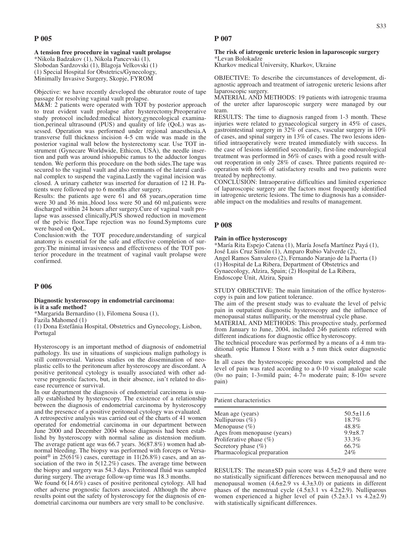#### **P 005**

#### **A tension free procedure in vaginal vault prolapse**

\*Nikola Badzakov (1), Nikola Pancevski (1), Slobodan Sardzovski (1), Blagoja Velkovski (1) (1) Special Hospital for Obstetrics/Gynecology, Minimally Invasive Surgery, Skopje, FYROM

Objective: we have recently developed the obturator route of tape passage for resolving vaginal vault prolapse.

M&M: 2 patients were operated with TOT by posterior approach to treat evident vault prolapse after hysterectomy.Preoperative study protocol included:medical history,gynecological examination,perineal ultrasound (PUS) and quality of life (QoL) was assessed. Operation was performed under regional anaesthesia.A transverse full thickness incision 4-5 cm wide was made in the posterior vaginal wall below the hysterectomy scar. Use TOT instrument (Gynecare Worldwide, Ethicon, USA), the needle insertion and path was around ishiopubic ramus to the adductor longus tendon. We perform this procedure on the both sides.The tape was secured to the vaginal vault and also remnants of the lateral cardinal complex to suspend the vagina.Lastly the vaginal incision was closed. A urinary catheter was inserted for duraation of 12 H. Patients were followed up to 6 months after surgery.

Results: the patients age were 61 and 68 yuears,operation time were 30 and 36 min.,blood loss were 50 and 60 ml,patients were discharged within 24 hours after surgery.Cure of vaginal vault prolapse was assessed clinically,PUS showed reduction in movement of the pelvic floor.Tape rejection was no found.Symptoms cure were based on QoL.

Conclusion:with the TOT procedure,understanding of surgical anatomy is essential for the safe and effective completion of surgery.The minimal invasiveness and effectiveness of the TOT posterior procedure in the treatment of vaginal vault prolapse were confirmed.

# **P 006**

#### **Diagnostic hysteroscopy in endometrial carcinoma: is it a safe method?**

\*Margarida Bernardino (1), Filomena Sousa (1),

Fazila Mahomed (1)

(1) Dona Estefânia Hospital, Obstetrics and Gynecology, Lisbon, Portugal

Hysteroscopy is an important method of diagnosis of endometrial pathology. Its use in situations of suspicious malign pathology is still controversial. Various studies on the dissemination of neoplastic cells to the peritoneum after hysteroscopy are discordant. A positive peritoneal cytology is usually associated with other adverse prognostic factors, but, in their absence, isn't related to disease recurrence or survival.

In our department the diagnosis of endometrial carcinoma is usually established by hysteroscopy. The existence of a relationship between the diagnosis of endometrial carcinoma by hysteroscopy and the presence of a positive peritoneal cytology was evaluated.

A retrospective analysis was carried out of the charts of 41 women operated for endometrial carcinoma in our department between June 2000 and December 2004 whose diagnosis had been establishd by hysteroscopy with normal saline as distension medium. The average patient age was 66.7 years. 36(87.8%) women had abnormal bleeding. The biopsy was performed with forceps or Versapoint<sup>®</sup> in 25(61%) cases, curettage in 11(26.8%) cases, and an association of the two in  $5(12.2\%)$  cases. The average time between the biopsy and surgery was 54.3 days. Peritoneal fluid was sampled during surgery. The average follow-up time was 18.3 months.

We found  $6(14.6\%)$  cases of positive peritoneal cytology. All had other adverse prognostic factors associated. Although the above results point out the safety of hysteroscopy for the diagnosis of endometrial carcinoma our numbers are very small to be conclusive.

# **P 007**

#### **The risk of iatrogenic ureteric lesion in laparoscopic surgery** \*Levan Bolokadze

Kharkov medical University, Kharkov, Ukraine

OBJECTIVE: To describe the circumstances of development, diagnostic approach and treatment of iatrogenic ureteric lesions after laparoscopic surgery.

MATERIAL AND METHODS: 19 patients with iatrogenic trauma of the ureter after laparoscopic surgery were managed by our team.

RESULTS: The time to diagnosis ranged from 1-3 month. These injuries were related to gynaecological surgery in 45% of cases, gastrointestinal surgery in 32% of cases, vascular surgery in 10% of cases, and spinal surgery in 13% of cases. The two lesions identified intraoperatively were treated immediately with success. In the case of lesions identified secondarily, first-line endourological treatment was performed in 56% of cases with a good result without reoperation in only 28% of cases. Three patients required reoperation with 66% of satisfactory results and two patients were treated by nephrectomy.

CONCLUSION: Intraoperative difficulties and limited experience of laparoscopic surgery are the factors most frequently identified in iatrogenic ureteric lesions. The time to diagnosis has a considerable impact on the modalities and results of management.

# **P 008**

#### **Pain in office hysteroscopy**

\*María Rita Espejo Catena (1), María Josefa Martínez Payá (1), José Luis Cruz Simón (1), Amparo Rubio Valverde (2), Angel Ramos Sanvalero (2), Fernando Naranjo de la Puerta (1) (1) Hospital de La Ribera, Department of Obstetrics and Gynaecology, Alzira, Spain; (2) Hospital de La Ribera, Endoscope Unit, Alzira, Spain

STUDY OBJECTIVE: The main limitation of the office hysteroscopy is pain and low patient tolerance.

The aim of the present study was to evaluate the level of pelvic pain in outpatient diagnostic hysteroscopy and the influence of menopausal status nulliparity, or the menstrual cycle phase.

MATERIAL AND METHODS: This prospective study, performed from January to June, 2004, included 246 patients referred with different indications for diagnostic office hysteroscopy.

The technical procedure was performed by a means of a 4 mm traditional optic Hamou I Storz with a 5 mm thick outer diagnostic sheath.

In all cases the hysteroscopic procedure was completed and the level of pain was rated according to a 0-10 visual analogue scale (0= no pain; 1-3=mild pain; 4-7= moderate pain; 8-10= severe pain)

| Patient characteristics     |                 |  |
|-----------------------------|-----------------|--|
| Mean age (years)            | $50.5 \pm 11.6$ |  |
| Nulliparous $(\%)$          | 18.7%           |  |
| Menopause $(\% )$           | 48.8%           |  |
| Ages from menopause (years) | $9.9 \pm 8.7$   |  |
| Proliferative phase $(\%)$  | 33.3%           |  |
| Secretory phase $(\%)$      | 66.7%           |  |
| Pharmacological preparation | 24%             |  |

RESULTS: The mean±SD pain score was 4.5±2.9 and there were no statistically significant differences between menopausal and no menopausal women (4.6±2.9 vs 4.3±3.0) or patients in different phases of the menstrual cycle (4.5±3.1 vs 4.2±2.9). Nulliparous women experienced a higher level of pain  $(5.2\pm3.1 \text{ vs } 4.2\pm2.9)$ with statistically significant differences.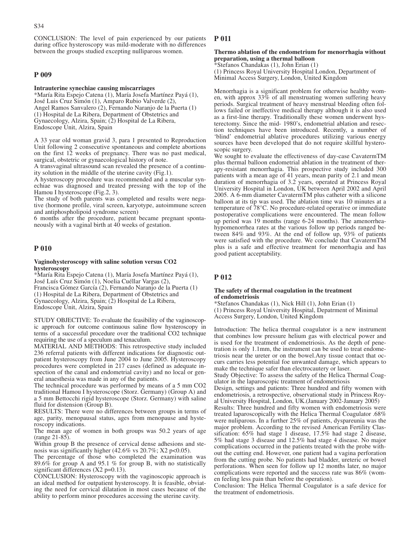CONCLUSION: The level of pain experienced by our patients during office hysteroscopy was mild-moderate with no differences between the groups studied excepting nulliparous women.

# **P 009**

#### **Intrauterine synechiae causing miscarriages**

\*María Rita Espejo Catena (1), María Josefa Martínez Payá (1), José Luis Cruz Simón (1), Amparo Rubio Valverde (2), Angel Ramos Sanvalero (2), Fernando Naranjo de la Puerta (1) (1) Hospital de La Ribera, Department of Obstetrics and Gynaecology, Alzira, Spain; (2) Hospital de La Ribera, Endoscope Unit, Alzira, Spain

A 33 year old woman gravid 3, para 1 presented to Reproduction Unit following 2 consecutive spontaneous and complete abortions on the first 12 weeks of pregnancy. There was no past medical, surgical, obstetric or gynaecological history of note.

A transvaginal ultrasound scan revealed the presence of a continuity solution in the middle of the uterine cavity (Fig.1).

A hysteroscopy procedure was recommended and a muscular synechiae was diagnosed and treated pressing with the top of the Hamou I hysteroscope (Fig.2, 3).

The study of both parents was completed and results were negative (hormone profile, viral screen, karyotype, autoimmune screen and antiphospholipoid syndrome screen)

6 months after the procedure, patient became pregnant spontaneously with a vaginal birth at 40 weeks of gestation.

# **P 010**

#### **Vaginohysteroscopy with saline solution versus CO2 hysteroscopy**

\*María Rita Espejo Catena (1), María Josefa Martínez Payá (1), José Luís Cruz Simón (1), Noelia Cuéllar Vargas (2), Francisca Gómez García (2), Fernando Naranjo de la Puerta (1) (1) Hospital de La Ribera, Department of Obstetrics and Gynaecology, Alzira, Spain; (2) Hospital de La Ribera, Endoscope Unit, Alzira, Spain

STUDY OBJECTIVE: To evaluate the feasibility of the vaginoscopic approach for outcome continuous saline flow hysteroscopy in terms of a successful procedure over the traditional CO2 technique requiring the use of a speculum and tenaculum.

MATERIAL AND METHODS: This retrospective study included 236 referral patients with different indications for diagnostic outpatient hysteroscopy from June 2004 to June 2005. Hysteroscopy procedures were completed in 217 cases (defined as adequate inspection of the canal and endometrial cavity) and no local or general anaesthesia was made in any of the patients.

The technical procedure was performed by means of a 5 mm CO2 traditional Hamou I hysteroscope (Storz. Germany) (Group A) and a 5 mm Bettocchi rigid hysteroscope (Storz. Germany) with saline fluid for distension (Group B).

RESULTS: There were no differences between groups in terms of age, parity, menopausal status, ages from menopause and hysteroscopy indications.

The mean age of women in both groups was 50.2 years of age (range 21-85).

Within group B the presence of cervical dense adhesions and stenosis was significantly higher  $(42.6\% \text{ vs } 20.7\%; X2 \text{ p} < 0.05)$ .

The percentage of those who completed the examination was 89.6% for group A and 95.1 % for group B, with no statistically significant differences  $(X2 p=0.13)$ .

CONCLUSION: Hysteroscopy with the vaginoscopic approach is an ideal method for outpatient hysteroscopy. It is feasible, obviating the need for cervical dilatation in most cases because of the ability to perform minor procedures accessing the uterine cavity.

# **P 011**

# **Thermo ablation of the endometrium for menorrhagia without preparation, using a thermal balloon**

\*Stefanos Chandakas (1), John Erian (1) (1) Princess Royal University Hospital London, Department of Minimal Access Surgery, London, United Kingdom

Menorrhagia is a significant problem for otherwise healthy women, with approx  $33\%$  of all menstruating women suffering heavy periods. Surgical treatment of heavy menstrual bleeding often follows failed or ineffective medical therapy although it is also used as a first-line therapy. Traditionally these women underwent hysterectomy. Since the mid- 1980's, endometrial ablation and resection techniques have been introduced. Recently, a number of 'blind' endometrial ablative procedures utilizing various energy sources have been developed that do not require skillful hysteroscopic surgery.

We sought to evaluate the effectiveness of day-case CavatermTM plus thermal balloon endometrial ablation in the treatment of therapy-resistant menorrhagia. This prospective study included 300 patients with a mean age of 41 years, mean parity of 2.1 and mean duration of menorrhagia of 3.2 years, operated at Princess Royal University Hospital in London, UK between April 2002 and April 2005. A 6-mm diameter CavatermTM plus catheter with a silicone balloon at its tip was used. The ablation time was 10 minutes at a temperature of 78°C. No procedure-related operative or immediate postoperative complications were encountered. The mean follow up period was 19 months (range 6-24 months). The amenorrheahypomenorrhea rates at the various follow up periods ranged between 84% and 93%. At the end of follow up, 93% of patients were satisfied with the procedure. We conclude that CavatermTM plus is a safe and effective treatment for menorrhagia and has good patient acceptability.

# **P 012**

#### **The safety of thermal coagulation in the treatment of endometriosis**

\*Stefanos Chandakas (1), Nick Hill (1), John Erian (1) (1) Princess Royal University Hospital, Depatrment of Minimal Access Surgery, London, United Kingdom

Introduction: The helica thermal coagulator is a new instrument that combines low pressure helium gas with electrical power and is used for the treatment of endometriosis. As the depth of penetration is only 1.1mm, the instrument can be used to treat endometriosis near the ureter or on the bowel.Any tissue contact that occurs carries less potential foe unwanted damage, which appears to make the technique safer than electrocautery or laser.

Study Objective: To assess the safety of the Helica Thermal Coagulator in the laparoscopic treatment of endometriosis

Design, settings and patients: Three hundred and fifty women with endometriosis, a retrospective, observational study in Princess Royal University Hospital, London, UK.(January 2002-January 2005)

Results: Three hundred and fifty women with endometriosis were treated laparoscopically with the Helica Thermal Coagulator .68% were nuliparous. In a further 25% of patients, dyspareunia was the major problem. According to the revised American Fertility Classification: 65% had stage 1 disease, 17.5% had stage 2 disease, 5% had stage 3 disease and 12.5% had stage 4 disease. No major complications occurred in the patients treated with the probe without the cutting end. However, one patient had a vagina perforation from the cutting probe. No patients had bladder, ureteric or bowel perforations. When seen for follow up 12 months later, no major complications were reported and the success rate was 86% (women feeling less pain than before the operation).

Conclusion: The Helica Thermal Coagulator is a safe device for the treatment of endometriosis.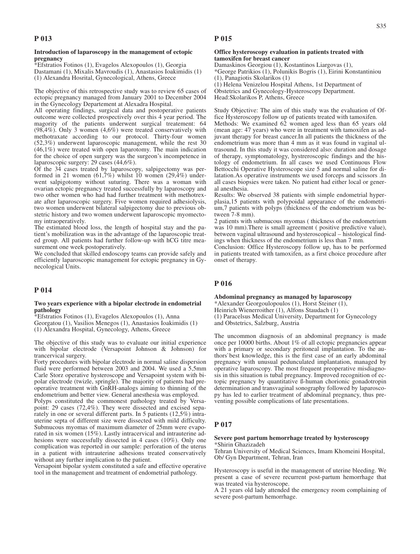#### **Introduction of laparoscopy in the management of ectopic pregnancy**

\*Efstratios Fotinos (1), Evagelos Alexopoulos (1), Georgia Dastamani (1), Mixalis Mavroudis (1), Anastasios Ioakimidis (1) (1) Alexandra Hosrital, Gynecological, Athens, Greece

#### The objective of this retrospective study was to review 65 cases of ectopic pregnancy managed from January 2001 to December 2004 in the Gynecology Departement at Alexadra Hospital.

All operating findings, surgical data and postoperative patients outcome were collected prospectively over this 4 year period. The magority of the patients underwent surgical treatement: 64 (98,4%). Only 3 women (4,6%) were treated conservatively with methotraxate according to our protocol. Thirty-four women (52,3%) underwent laparoscopic management, while the rest 30 (46,1%) were treated with open laparotomy. The main indication for the choice of open surgery was the surgeon's incompetence in laparoscopic surgery: 29 cases (44,6%).

Of the 34 cases treated by laparoscopy, salpigectomy was performed in 21 women  $(61.7\%)$  whilst 10 women  $(29.4\%)$  underwent salpigotomy without suturing. There was a woman with ovarian ectopic pregnancy treated successfully by laparoscopy and two other women who had had further treatment with methotrexate after laparoscopic surgery. Five women required adhesiolysis, two women underwent bilateral salpigectomy due to previous obstetric history and two women underwent laparoscopic myomectomy intraoperatively.

The estimated blood loss, the length of hospital stay and the patient's mobilization was in the advantage of the laparoscopic treated group. All patients had further follow-up with hCG titre measurement one week postoperatively.

We concluded that skilled endoscopy teams can provide safely and efficiently laparoscopic management for ectopic pregnancy in Gynecological Units.

# **P 014**

#### **Two years experience with a bipolar electrode in endometrial pathology**

\*Efstratios Fotinos (1), Evagelos Alexopoulos (1), Anna Georgatou (1), Vasilios Menegos (1), Anastasios Ioakimidis (1) (1) Alexandra Hospital, Gynecology, Athens, Greece

The objective of this study was to evaluate our initial experience with bipolar electrode (Versapoint Johnson & Johnson) for trancervical surgery.

Forty procedures with bipolar electrode in normal saline dispersion fluid were performed between 2003 and 2004. We used a 5,5mm Carle Storz operative hysteroscope and Versapoint system with bipolar electrode (twizle, springle). The majority of patients had preoperative treatment with GnRH-analogs aiming to thinning of the endometrium and better view. General anesthesia was employed.

Polyps constituted the commonest pathology treated by Versapoint: 29 cases (72,4%). They were dissected and excised separately in one or several different parts. In 5 patients (12,5%) intrauterine septa of different size were dissected with mild difficulty. Submucous myomas of maximum diameter of 25mm were evaporated in six women (15%). Lastly intracervical and intrauterine adhesions were successfully dissected in 4 cases (10%). Only one complication was reported in our sample: perforation of the uterus in a patient with intrauterine adhesions treated conservatively without any further implication to the patient.

Versapoint bipolar system constituted a safe and effective operative tool in the management and treatment of endometrial pathology.

# **P 015**

#### **Office hysteroscopy evaluation in patients treated with tamoxifen for breast cancer**

Damaskinos Georgiou (1), Kostantinos Liargovas (1),

\*George Patrikios (1), Polunikis Bogris (1), Eirini Konstantiniou (1), Panagiotis Skolarikos (1)

(1) Helena Venizelou Hospital Athens, 1st Department of Obstetrics and Gynecology-Hysteroscopy Department. Head:Skolarikos P, Athens, Greece

Study Objective: The aim of this study was the evaluation of Office Hysteroscopy follow up of patients treated with tamoxifen. Methods: We examined 62 women aged less than 65 years old (mean age: 47 years) who were in treatment with tamoxifen as adjuvant therapy for breast cancer.In all patients the thickness of the endometrium was more than 4 mm as it was found in vaginal ultrasound. In this study it was considered also: duration and dosage of therapy, symptomatology, hystreroscopic findings and the histology of endometrium. In all cases we used Continuous Flow Bettocchi Operative Hysteroscope size 5 and normal saline for dilatation.As operative instruments we used forceps and scissors .In all cases biopsies were taken. No patient had either local or general anesthesia.

Results: We observed 38 patients with simple endometrial hyperplasia,15 patients with polypoidal appearance of the endometrium,7 patients with polyps (thickness of the endometrium was between 7-8 mm).

2 patients with submucous myomas ( thickness of the endometrium was 10 mm).There is small agreement ( positive predictive value), between vaginal ultrasound and hysteroscopical – histological findings when thickness of the endometrium is less than 7 mm.

Conclusion: Office Hysteroscopy follow up, has to be performed in patients treated with tamoxifen, as a first choice procedure after onset of therapy.

# **P 016**

# **Abdominal pregnancy as managed by laparoscopy**

\*Alexander Georgoulopoulos (1), Horst Steiner (1), Heinrich Wienerroither (1), Alfons Staudach (1) (1) Paracelsus Medical University, Department for Gynecology and Obstetrics, Salzburg, Austria

The uncommon diagnosis of an abdominal pregnancy is made once per 10000 births. About 1% of all ectopic pregnancies appear with a primary or secondary peritoneal implantation. To the authors`best knowledge, this is the first case of an early abdominal pregnancy with unusual pedunculated implantation, managed by operative laparoscopy. The most frequent preoperative misdiagnosis in this situation is tubal pregnancy. Improved recognition of ectopic pregnancy by quantitative ß-human chorionic gonadotropin determination and transvaginal sonography followed by laparoscopy has led to earlier treatment of abdominal pregnancy, thus preventing possible complications of late presentations.

# **P 017**

#### **Severe post partum hemorrhage treated by hysteroscopy** \*Shirin Ghazizadeh

Tehran University of Medical Sciences, Imam Khomeini Hospital, Ob/ Gyn Department, Tehran, Iran

Hysteroscopy is useful in the management of uterine bleeding. We present a case of severe recurrent post-partum hemorrhage that was treated via hysteroscope.

A 21 years old lady attended the emergency room complaining of severe post-partum hemorrhage.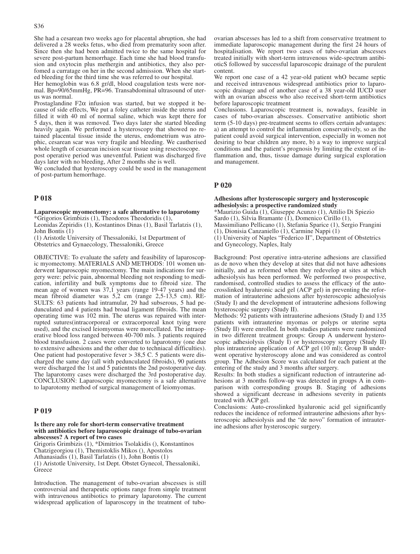She had a cesarean two weeks ago for placental abruption, she had delivered a 28 weeks fetus, who died from prematurity soon after. Since then she had been admitted twice to the same hospital for severe post-partum hemorrhage. Each time she had blood transfusion and oxytocin plus methergin and antibiotics, they also perfomed a curratage on her in the second admission. When she started bleeding for the third time she was referred to our hospital.

Her hemoglobin was 6.8 gr/dl, blood coagulation tests were normal. Bp=90/65mmHg, PR=96. Transabdominal ultrasound of uterus was normal.

Prostaglandine F2 $\alpha$  infusion was started, but we stopped it because of side effects, We put a foley catheter inside the uterus and filled it with 40 ml of normal saline, which was kept there for 5 days, then it was removed. Two days later she started bleeding heavily again. We performed a hysteroscopy that showed no retained placental tissue inside the uterus, endometrium was atrophic, cesarean scar was very fragile and bleeding. We cautherised whole length of cesarean incision scar tissue using resectoscope.

post operative period was uneventful. Patient was discharged five days later with no bleeding, After 2 months she is well.

We concluded that hysteroscopy could be used in the management of post-partum hemorrhage.

# **P 018**

**Laparoscopic myomectomy: a safe alternative to laparotomy** \*Grigorios Grimbizis (1), Theodoros Theodoridis (1),

Leonidas Zepiridis (1), Kostantinos Dinas (1), Basil Tarlatzis (1), John Bontis (1)

(1) Aristotle University of Thessaloniki, 1st Department of Obstetrics and Gynaecology, Thessaloniki, Greece

OBJECTIVE: To evaluate the safety and feasibility of laparoscopic myomectomy. MATERIALS AND METHODS: 101 women underwent laparoscopic myomectomy. The main indications for surgery were: pelvic pain, abnormal bleeding not responding to medication, infertility and bulk symptoms due to fibroid size. The mean age of women was 37,1 years (range 19-47 years) and the mean fibroid diameter was 5,2 cm (range 2,5-13,5 cm). RE-SULTS: 63 patients had intramular, 29 had subserous, 5 had pedunculated and 4 patients had broad ligament fibroids. The mean operating time was 102 min. The uterus was repaired with interrupted sutures(intracorporeal or extracorporeal knot tying were used), and the excised leiomyomas were morcellated. The intraoperative blood loss ranged between 40-700 mls. 3 patients required blood transfusion. 2 cases were converted to laparotomy (one due to extensive adhesions and the other due to techniacal difficulties). One patient had postoperative fever > 38,5 C. 5 patients were discharged the same day (all with pedunculated fibroids), 90 patients were discharged the 1st and 5 patientnts the 2nd postoperative day. The laparotomy cases were discharged the 3rd postoperative day. CONCLUSION: Laparoscopic myomectomy is a safe alternative to laparotomy method of surgical management of leiomyomas.

# **P 019**

#### **Is there any role for short-term conservative treatment with antibiotics before laparoscopic drainage of tubo-ovarian abscesses? A report of two cases**

Grigoris Grimbizis (1), \*Dimitrios Tsolakidis (), Konstantinos Chatzigeorgiou (1), Themistoklis Mikos (), Apostolos Athanasiadis (1), Basil Tarlatzis (1), John Bontis (1) (1) Aristotle University, 1st Dept. Obstet Gynecol, Thessaloniki, Greece

Introduction. The management of tubo-ovarian abscesses is still controversial and therapeutic options range from simple treatment with intravenous antibiotics to primary laparotomy. The current widespread application of laparoscopy in the treatment of tuboovarian abscesses has led to a shift from conservative treatment to immediate laparoscopic management during the first 24 hours of hospitalisation. We report two cases of tubo-ovarian abscesses treated initially with short-term intravenous wide-spectrum antibioticS followed by successful laparoscopic drainage of the purulent content.

We report one case of a 42 year-old patient whO became septic and received intravenous widespread antibiotics prior to laparoscopic drainage and of another case of a 38 year-old IUCD user with an ovarian abscess who also received short-term antibiotics before laparoscopic treatment

Conclusions. Laparoscopic treatment is, nowadays, feasible in cases of tubo-ovarian abscesses. Conservative antibiotic short term (5-10 days) pre-treatment seems to offers certain advantages: a) an attempt to control the inflammation conservatively, so as the patient could avoid surgical intervention, especially in women not desiring to bear children any more, b) a way to improve surgical conditions and the patient's prognosis by limiting the extent of inflammation and, thus, tissue damage during surgical exploration and management.

# **P 020**

**Adhesions after hysteroscopic surgery and hysteroscopic adhesiolysis: a prospective randomized study** \*Maurizio Guida (1), Giuseppe Acunzo (1), Attilio Di Spiezio Sardo (1), Silvia Bramante (1), Domenico Cirillo (1), Massimiliano Pellicano (1), Stefania Sparice (1), Sergio Frangini (1), Dionisia Canzaniello (1), Carmine Nappi (1) (1) University of Naples "Federico II", Department of Obstetrics and Gynecology, Naples, Italy

Background: Post operative intra-uterine adhesions are classified as de novo when they develop at sites that did not have adhesions initially, and as reformed when they redevelop at sites at which adhesiolysis has been performed. We performed two prospective, randomised, controlled studies to assess the efficacy of the autocrosslinked hyaluronic acid gel (ACP gel) in preventing the reformation of intrauterine adhesions after hysteroscopic adhesiolysis (Study I) and the development of intrauterine adhesions following hysteroscopic surgery (Study II).

Methods: 92 patients with intrauterine adhesions (Study I) and 135 patients with intrauterine myomas or polyps or uterine septa (Study II) were enrolled. In both studies patients were randomized in two different treatment groups: Group A underwent hysteroscopic adhesiolysis (Study I) or hysteroscopy surgery (Study II) plus intrauterine application of ACP gel (10 ml); Group B underwent operative hysteroscopy alone and was considered as control group. The Adhesion Score was calculated for each patient at the entering of the study and 3 months after surgery.

Results: In both studies a significant reduction of intrauterine adhesions at 3 months follow-up was detected in groups A in comparison with corresponding groups B. Staging of adhesions showed a significant decrease in adhesions severity in patients treated with ACP gel.

Conclusions: Auto-crosslinked hyaluronic acid gel significantly reduces the incidence of reformed intrauterine adhesions after hysteroscopic adhesiolysis and the "de novo" formation of intrauterine adhesions after hysteroscopic surgery.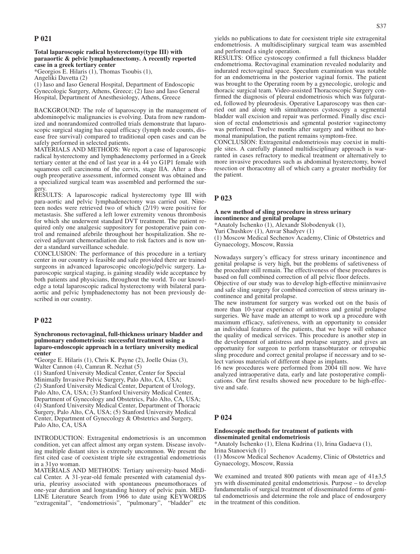# **P 021**

#### **Total laparoscopic radical hysterectomy(type III) with paraaortic & pelvic lymphadenectomy. A recently reported case in a greek tertiary center**

\*Georgios E. Hilaris (1), Thomas Tsoubis (1),

Angeliki Davetta (2)

(1) Iaso and Iaso General Hospital, Department of Endoscopic Gynecologic Surgery, Athens, Greece; (2) Iaso and Iaso General Hospital, Department of Anesthesiology, Athens, Greece

BACKGROUND: The role of laparoscopy in the management of abdominopelvic malignancies is evolving. Data from new randomized and nonrandomized controlled trials demonstrate that laparoscopic surgical staging has equal efficacy (lymph node counts, disease free survival) compared to traditional open cases and can be safely performed in selected patients.

MATERIALS AND METHODS: We report a case of laparoscopic radical hysterectomy and lymphadenectomy performed in a Greek tertiary center at the end of last year in a 44 yo G1P1 female with squamous cell carcinoma of the cervix, stage IIA. After a thorough preoperative assessment, informed consent was obtained and a specialized surgical team was assembled and performed the surgery.

RESULTS: A laparoscopic radical hysterectomy type III with para-aortic and pelvic lymphadenectomy was carried out. Nineteen nodes were retrieved two of which (2/19) were positive for metastasis. She suffered a left lower extremity venous thrombosis for which she underwent standard DVT treatment. The patient required only one analgesic suppository for postoperative pain control and remained afebrile throughout her hospitalization. She received adjuvant chemoradiation due to risk factors and is now under a standard surveillance schedule.

CONCLUSION: The performance of this procedure in a tertiary center in our country is feasible and safe provided there are trained surgeons in advanced laparoscopic oncologic/pelvic surgery. Laparoscopic surgical staging, is gaining steadily wide acceptance by both patients and physicians, throughout the world. To our knowledge a total laparoscopic radical hysterectomy with bilateral paraaortic and pelvic lymphadenectomy has not been previously described in our country.

# **P 022**

#### **Synchronous rectovaginal, full-thickness urinary bladder and pulmonary endometriosis: successful treatment using a laparo-endoscopic approach in a tertiary university medical center**

\*George E. Hilaris (1), Chris K. Payne (2), Joelle Osias (3), Walter Cannon (4), Camran R. Nezhat (5)

(1) Stanford University Medical Center, Center for Special Minimally Invasive Pelvic Surgery, Palo Alto, CA, USA; (2) Stanford University Medical Center, Departent of Urology, Palo Alto, CA, USA; (3) Stanford University Medical Center, Department of Gynecology and Obstetrics, Palo Alto, CA, USA; (4) Stanford University Medical Center, Department of Thoracic Surgery, Palo Alto, CA, USA; (5) Stanford University Medical Center, Department of Gynecology & Obstetrics and Surgery, Palo Alto, CA, USA

INTRODUCTION: Extragenital endometriosis is an uncommon condition, yet can affect almost any organ system. Disease involving multiple distant sites is extremely uncommon. We present the first cited case of coexistent triple site extragential endometriosis in a 31yo woman.

MATERIALS AND METHODS: Tertiary university-based Medical Center. A 31-year-old female presented with catamenial dysuria, pleurisy associated with spontaneous pneumothoraces of one-year duration and longstanding history of pelvic pain. MED-LINE Literature Search from 1966 to date using KEYWORDS "extragenital", "endometriosis", "pulmonary", "bladder" etc yields no publications to date for coexistent triple site extragenital endometriosis. A multidisciplinary surgical team was assembled and performed a single operation.

RESULTS: Office cystoscopy confirmed a full thickness bladder endometrioma. Rectovaginal examination revealed nodularity and indurated rectovaginal space. Speculum examination was notable for an endometrioma in the posterior vaginal fornix. The patient was brought to the Operating room by a gynecologic, urologic and thoracic surgical team. Video-assisted Thoracoscopic Surgery confirmed the diagnosis of pleural endometriosis which was fulgurated, followed by pleurodesis. Operative Laparoscopy was then carried out and along with simultaneous cystoscopy a segmental bladder wall excision and repair was performed. Finally disc excision of rectal endometriosis and sgmental posterior vaginectomy was performed. Twelve months after surgery and without no hormonal manipulation, the patient remains symptom-free.

CONCLUSION: Extragenital endometriosis may coexist in multiple sites. A carefully planned multidisciplinary approach is warranted in cases refractory to medical treatment or alternatively to more invasive procedures such as abdominal hysterectomy, bowel resection or thoracotmy all of which carry a greater morbidity for the patient.

# **P 023**

#### **A new method of sling procedure in stress urinary incontinence and genital prolapse**

\*Anatoly Ischenko (1), Alexandr Slobodenyuk (1),

Yuri Chushkov (1), Anvar Shadyev (1)

(1) Moscow Medical Sechenov Academy, Clinic of Obstetrics and Gynaecology, Moscow, Russia

Nowadays surgery's efficacy for stress urinary incontinence and genital prolapse is very high, but the problems of safetiveness of the procedure still remain. The effectiveness of these procedures is based on full combined correction of all pelvic floor defects.

Objective of our study was to develop high-effective miniinvasive and safe sling surgery for combined correction of stress urinary incontinence and genital prolapse.

The new instrument for surgery was worked out on the basis of more than 10-year experience of antistress and genital prolapse surgeries. We have made an attempt to work up a procedure with maximum efficacy, safetiveness, with an opportunity to consider an individual features of the patients, that we hope will enhance the quality of medical services. This procedure is another step in the development of antistress and prolapse surgery, and gives an opportunity for surgeon to perform transobturator or retropubic sling procedure and correct genital prolapse if necessary and to select various materials of different shape as implants.

16 new procedures were performed from 2004 till now. We have analyzed intraoperative data, early and late postoperative complications. Our first results showed new procedure to be high-effective and safe.

# **P 024**

#### **Endoscopic methods for treatment of patients with disseminated genital endometriosis**

\*Anatoly Ischenko (1), Elena Kudrina (1), Irina Gadaeva (1), Irina Stanoevich (1)

(1) Moscow Medical Sechenov Academy, Clinic of Obstetrics and Gynaecology, Moscow, Russia

We examined and treated 800 patients with mean age of  $41\pm3.5$ yrs with disseminated genital endometriosis. Purpose – to develop fundamentalis of surgical treatment of disseminated forms of genital endometriosis and determine the role and place of endosurgery in the treatment of this condition.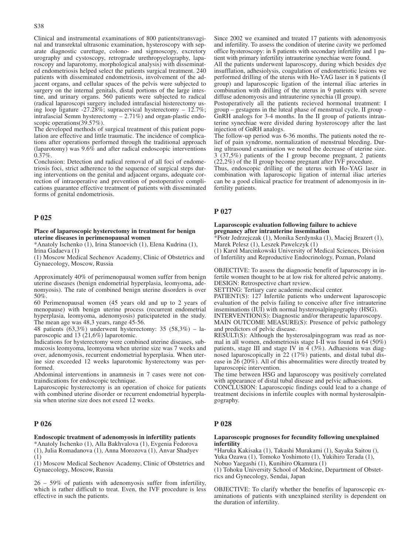Clinical and instrumental examinations of 800 patients(transvaginal and transrektal ultrasonic examination, hysteroscopy with separate diagnostic curettage, colono- and sigmoscopy, excretory urography and cystoscopy, retrograde urethropyelography, laparoscopy and laparotomy, morphological analysis) with disseminated endometriosis helped select the patients surgical treatment. 240 patients with disseminated endometriosis, involvement of the adjacent organs, and cellular spaces of the pelvis were subjected to surgery on the internal genitals, distal portions of the large intestine, and urinary organs. 560 patients were subjected to radical (radical laparoscopi surgery included intrafascial histerectomy using loop ligature -27.28%; supracervical hysterectomy  $-12.7\%$ ; intrafascial Semm hysterectomy  $-2.71\%$ ) and organ-plastic endoscopic operations (39.57%).

The developed methods of surgical treatment of this patient population are effective and little traumatic. The incidence of complications after operations performed through the traditional approach (laparotomy) was 9.6% and after radical endoscopic interventions  $0.37\%$ .

Conclusion: Detection and radical removal of all foci of endometriosis foci, strict adherence to the sequence of surgical steps during interventions on the genital and adjacent organs, adequate correction of intraoperative and prevention of postoperative complications guarantee effective treatment of patients with disseminated forms of genital endometriosis.

# **P 025**

#### **Place of laparoscopic hysterectomy in treatment for benign uterine diseases in perimenopausal women**

\*Anatoly Ischenko (1), Irina Stanoevich (1), Elena Kudrina (1), Irina Gadaeva (1)

(1) Moscow Medical Sechenov Academy, Clinic of Obstetrics and Gynaecology, Moscow, Russia

Approximately 40% of perimenopausal women suffer from benign uterine diseases (benign endometrial hyperplasia, leomyoma, adenomyosis). The rate of combined benign uterine disorders is over 50%.

60 Perimenopausal women (45 years old and up to 2 years of menopause) with benign uterine process (recurrent endometrial hyperplasia, leomyoma, adenomyosis) paticipateted in the study. The mean age was 48,3 years, range 45-56.

48 patients (63,3%) underwent hysterectomy: 35 (58,3%) – laparoscopic and 13 (21,6%) laparotomic.

Indications for hysterectomy were combined uterine diseases, submucosis leomyoma, leomyoma when uterine size was 7 weeks and over, adenomyosis, recurrent endometrial hyperplasia. When uterine size exceeded 12 weeks laparotomic hysterectomy was performed.

Abdominal interventions in anamnesis in 7 cases were not contraindications for endoscopic technique.

Laparoscopic hysterectomy is an operation of choice for patients with combined uterine disorder or recurrent endometrial hyperplasia when uterine size does not exeed 12 weeks.

# **P 026**

**Endoscopic treatment of adenomyosis in infertility patients** \*Anatoly Ischenko (1), Alla Bakhvalova (1), Evgenia Fedorova (1), Julia Romadanova (1), Anna Morozova (1), Anvar Shadyev (1)

(1) Moscow Medical Sechenov Academy, Clinic of Obstetrics and Gynaecology, Moscow, Russia

26 – 59% of patients with adenomyosis suffer from infertility, which is rather difficult to treat. Even, the IVF procedure is less effective in such the patients.

Since 2002 we examined and treated 17 patients with adenomyosis and infertility. To assess the condition of uterine cavity we perfomed office hysteroscopy: in 8 patients with secondary infertility and 1 patient with primary infertility intrauterine synechiae were found.

All the patients underwent laparoscopy, during which besides dye insufflation, adhesiolysis, coagulation of endometriotic lesions we performed drilling of the uterus with Ho-YAG laser in 8 patients (I group) and laparoscopic ligation of the internal iliac arteries in combination with drilling of the uterus in 9 patients with severe diffuse adenomyosis and intrauterine synechia (II group).

Postoperatively all the patients recieved hormonal treatment: I group – gestagens in the luteal phase of menstrual cycle, II group - GnRH analogs for 3-4 months. In the II group of patients intrauterine synechiae were divided during hysteroscopy after the last injection of GnRH analogs.

The follow-up period was 6-36 months. The patients noted the relief of pain syndrome, normalization of menstrual bleeding. During ultrasound examination we noted the decrease of uterine size. 3 (37,5%) patients of the I group become pregnant, 2 patients (22,2%) of the II group become pregnant after IVF procedure.

Thus, endoscopic drilling of the uterus with Ho-YAG laser in combination with laparoscopic ligation of internal iliac arteries can be a good clinical practice for treatment of adenomyosis in infertility patients.

# **P 027**

#### **Laparoscopic evaluation following failure to achieve pregnancy after intrauterine insemination**

\*Piotr Jedrzejczak (1), Monika Serdynska (1), Maciej Brazert (1), Marek Pelesz (1), Leszek Pawelczyk (1)

(1) Karol Marcinkowski University of Medical Sciences, Division of Infertility and Reproductive Endocrinology, Poznan, Poland

OBJECTIVE: To assess the diagnostic benefit of laparoscopy in infertile women thought to be at low risk for altered pelvic anatomy. DESIGN: Retrospective chart review.

SETTING: Tertiary care academic medical center.

PATIENT(S): 127 Infertile patients who underwent laparoscopic evaluation of the pelvis failing to conceive after five intrauterine inseminations (IUI) with normal hysterosalpingography (HSG).

INTERVENTION(S): Diagnostic and/or therapeutic laparoscopy. MAIN OUTCOME MEASURE(S): Presence of pelvic pathology and predictors of pelvic disease.

RESULT(S): Although the hysterosalpingogram was read as normal in all women, endometriosis stage I-II was found in 64 (50%) patients, stage III and stage IV in 4 (3%). Adhaesions was diagnosed laparoscopically in 22 (17%) patients, and distal tubal disease in 26 (20%). All of this abnormalities were directly treated by laparoscopic intervention.

The time between HSG and laparoscopy was positively correlated with appearance of distal tubal disease and pelvic adhaesions. CONCLUSION: Laparoscopic findings could lead to a change of treatment decisions in infertile couples with normal hysterosalpingography.

# **P 028**

#### **Laparoscopic prognoses for fecundity following unexplained infertility**

\*Haruka Kakisaka (1), Takashi Murakami (1), Sayaka Saitou (), Yuka Ozawa (1), Tomoko Yoshimoto (1), Yukihiro Terada (1), Nobuo Yaegashi (1), Kunihiro Okamura (1)

(1) Tohoku University School of Medcine, Department of Obstetrics and Gynecology, Sendai, Japan

OBJECTIVE: To clarify whether the benefits of laparoscopic examinations of patients with unexplained sterility is dependent on the duration of infertility.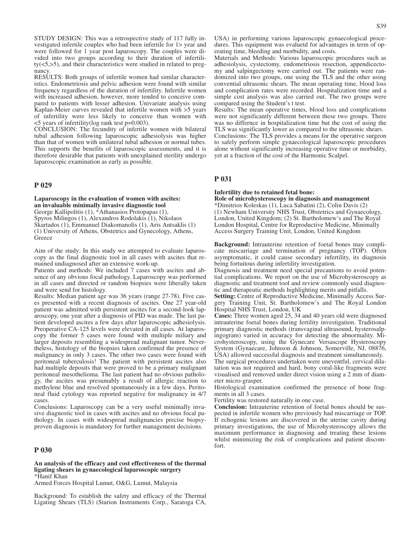STUDY DESIGN: This was a retrospective study of 117 fully investigated infertile couples who had been infertile for 1> year and were followed for 1 year post laparoscopy. The couples were divided into two groups according to their duration of infertili $ty(<5, >5)$ , and their characteristics were studied in related to pregnancy.

RESULTS: Both groups of infertile women had similar characteristics. Endometriosis and pelvic adhesion were found with similar frequency regardless of the duration of infertility. Infertile women with increased adhesion, however, more tended to conceive compared to patients with lesser adhesion. Univariate analysis using Kaplan-Meier curves revealed that infertile women with >5 years of infertility were less likely to conceive than women with <5 years of infertility(log rank test p=0.003).

CONCLUSION: The fecundity of infertile women with bilateral tubal adhesion following laparoscopic adhesiolysis was higher than that of women with unilateral tubal adhesion or normal tubes. This supports the benefits of laparoscopic assessments, and it is therefore desirable that patients with unexplained sterility undergo laparoscopic examination as early as possible.

# **P 029**

**Laparoscopy in the evaluation of women with ascites: an invaluable minimally invasive diagnostic tool** George Kallipolitis (1), \*Athanasios Protopapas (1), Spyros Milingos (1), Alexandros Rodolakis (1), Nikolaos Skartados (1), Emmanuel Diakomanolis (1), Aris Antsaklis (1) (1) University of Athens, Obstetrics and Gynecology, Athens, **Greece** 

Aim of the study: In this study we attempted to evaluate laparoscopy as the final diagnostic tool in all cases with ascites that remained undiagnosed after an extensive work-up.

Patients and methods: We included 7 cases with ascites and absence of any obvious focal pathology. Laparoscopy was performed in all cases and directed or random biopsies were liberally taken and were send for histology.

Results: Median patient age was 36 years (range 27-78). Five cases presented with a recent diagnosis of ascites. One 27 year-old patient was admitted with persistent ascites for a second-look laparoscopy, one year after a diagnosis of PID was made. The last patient developed ascites a few days after laparoscopic adhesiolysis. Preoperative CA-125 levels were elevated in all cases. At laparoscopy the former 5 cases were found with multiple miliary and larger deposits resembling a widespread malignant tumor. Nevertheless, histology of the biopsies taken confirmed the presence of malignancy in only 3 cases. The other two cases were found with peritoneal tuberculosis! The patient with persistent ascites also had multiple deposits that were proved to be a primary malignant peritoneal mesothelioma. The last patient had no obvious pathology, the ascites was presumably a result of allergic reaction to methylene blue and resolved spontaneously in a few days. Peritoneal fluid cytology was reported negative for malignancy in 4/7 cases.

Conclusions: Laparoscopy can be a very useful minimally invasive diagnostic tool in cases with ascites and no obvious focal pathology. In cases with widespread malignancies precise biopsyproven diagnosis is mandatory for further management decisions.

# **P 030**

**An analysis of the efficacy and cost effectiveness of the thermal ligating shears in gynaecological laparoscopic surgery** \*Hanif Khan

Armed Forces Hospital Lumut, O&G, Lumut, Malaysia

Background: To establish the safety and efficacy of the Thermal Ligating Shears (TLS) (Starion Instruments Corp., Saratoga CA, USA) in performing various laparoscopic gynaecological procedures. This equipment was evaluetd for advantages in term of operating time, bleeding and morbidity, and costs.

Materials and Methods: Various laparoscopic procedures such as adhesiolysis, cystectomy, endometriosis resection, appendicectomy and salpingectomy were carried out. The patients were randomized into two groups, one using the TLS and the other using convential ultrasonic shears. The mean operating time, blood loss and complication rates were recorded. Hospitalization time and a simple cost analysis was also carried out. The two groups were compared using the Student's t test.

Results: The mean operative times, blood loss and complications were not significantly different between these two groups. There was no differnce in hospitalization time but the cost of using the TLS was significantly lower as compared to the ultrasonic shears.

Conclusions: The TLS provides a means for the operative surgeon to safely perform simple gynaecological laparoscopic procedures alone without significantly increasing operative time or morbidity, yet at a fraction of the cost of the Harmonic Scalpel.

# **P 031**

# **Infertility due to retained fetal bone:**

**Role of microhysteroscopy in diagnosis and management** \*Dimitrios Koleskas (1), Luca Sabatini (2), Colin Davis (2) (1) Newham University NHS Trust, Obstetrics and Gynaecology, London, United Kingdom; (2) St. Bartholomew's and The Royal London Hospital, Centre for Reproductive Medicine, Minimally Access Surgery Training Unit, London, United Kingdom

**Background:** Intrauterine retention of foetal bones may complicate miscarriage and termination of pregnancy (TOP). Often asymptomatic, it could cause secondary infertility, its diagnosis being fortuitous during infertility investigation.

Diagnosis and treatment need special precautions to avoid potential complications. We report on the use of Microhysteroscopy as diagnostic and treatment tool and review commonly used diagnostic and therapeutic methods highlighting merits and pitfalls.

**Setting:** Centre of Reproductive Medicine, Minimally Access Surgery Training Unit, St. Bartholomew's and The Royal London Hospital NHS Trust, London, UK

**Cases:** Three women aged 25, 34 and 40 years old were diagnosed intrauterine foetal bones during fertility investigation. Traditional primary diagnostic methods (transvaginal ultrasound, hysterosalpingogram) varied in accuracy for detecting the abnormality. Microhysteroscopy, using the Gynecare Versascope Hysteroscopy System (Gynaecare, Johnson & Johnson, Somerville, NJ, 08876, USA) allowed successful diagnosis and treatment simultaneously. The surgical procedures undertaken were uneventful, cervical dilatation was not required and hard, bony coral-like fragments were visualised and removed under direct vision using a 2 mm of diameter micro-grasper.

Histological examination confirmed the presence of bone fragments in all 3 cases.

Fertility was restored naturally in one case.

**Conclusion:** Intrauterine retention of foetal bones should be suspected in infertile women who previously had miscarriage or TOP. If echogenic lesions are discovered in the uterine cavity during primary investigations, the use of Microhysteroscopy allows the maximum performance in diagnosing and treating these lesions whilst minimizing the risk of complications and patient discomfort.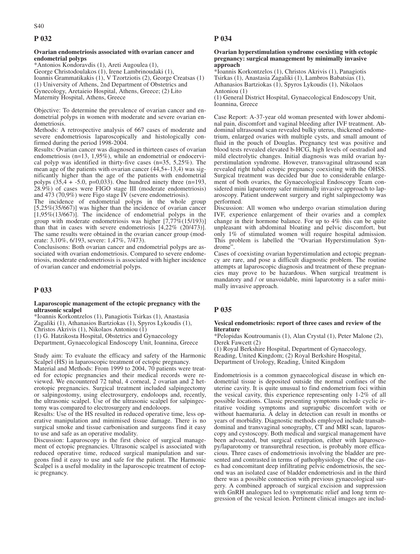# **P 032**

#### **Ovarian endometriosis associated with ovarian cancer and endometrial polyps**

\*Antonios Kondoravdis (1), Areti Augoulea (1), George Christodoulakos (1), Irene Lambrinoudaki (1), Ioannis Grammatikakis (1), V Tzortziotis (2), George Creatsas (1) (1) University of Athens, 2nd Department of Obstetrics and Gynecology, Aretaieio Hospital, Athens, Greece; (2) Lito Maternity Hospital, Athens, Greece

Objective: To determine the prevalence of ovarian cancer and endometrial polyps in women with moderate and severe ovarian endometriosis.

Methods: A retrospective analysis of 667 cases of moderate and severe endometriosis laparoscopically and histologically confirmed during the period 1998-2004.

Results: Ovarian cancer was diagnosed in thirteen cases of ovarian endometriosis (n=13, 1,95%), while an endometrial or endocervical polyp was identified in thirty-five cases (n=35, 5,25%). The mean age of the patients with ovarian cancer (44,5+-13,4) was significantly higher than the age of the patients with endometrial polyps  $(35, 4 + -5.0, p=0, 033)$ . One hundred ninety three  $(n=193,$ 28.9%) of cases were FIGO stage III (moderate endometriosis) and 473 (70,9%) were Figo stage IV (severe endometriosis).

The incidence of endometrial polyps in the whole group [5,25%(35/667)] was higher than the incidence of ovarian cancer [1,95%(13/667)]. The incidence of endometrial polyps in the group with moderate endometriosis was higher [7,77%(15/193)] than that in cases with severe endometriosis [4,22% (20/473)]. The same results were obtained in the ovarian cancer group (moderate: 3,10%, 6/193, severe: 1,47%, 7/473).

Conclusisons: Both ovarian cancer and endometrial polyps are associated with ovarian endometriosis. Compared to severe endometriosis, moderate endometriosis is associated with higher incidence of ovarian cancer and endometrial polyps.

# **P 033**

#### **Laparoscopic management of the ectopic pregnancy with the ultrasonic scalpel**

\*Ioannis Korkontzelos (1), Panagiotis Tsirkas (1), Anastasia

Zagaliki (1), Athanasios Bartziokas (1), Spyros Lykoudis (1),

Christos Akrivis (1), Nikolaos Antoniou (1)

(1) G. Hatzikosta Hospital, Obstetrics and Gynaecology

Department, Gynaecological Endoscopy Unit, Ioannina, Greece

Study aim: To evaluate the efficacy and safety of the Harmonic Scalpel (HS) in laparoscopic treatment of ectopic pregnancy.

Material and Methods: From 1999 to 2004, 70 patients were treated for ectopic pregnancies and their medical records were reviewed. We encountered 72 tubal, 4 corneal, 2 ovarian and 2 heterotopic pregnancies. Surgical treatment included salpingectomy or salpingostomy, using electrosurgery, endoloops and, recently, the ultrasonic scalpel. Use of the ultrasonic scalpel for salpingectomy was compared to electrosurgery and endoloops.

Results: Use of the HS resulted in reduced operative time, less operative manipulation and minimised tissue damage. There is no surgical smoke and tissue carbonisation and surgeons find it easy to use and safe as an operative modality.

Discussion: Laparoscopy is the first choice of surgical management of ectopic pregnancies. Ultrasonic scalpel is associated with reduced operative time, reduced surgical manipulation and surgeons find it easy to use and safe for the patient. The Harmonic Scalpel is a useful modality in the laparoscopic treatment of ectopic pregnancy.

# **P 034**

#### **Ovarian hyperstimulation syndrome coexisting with ectopic pregnancy: surgical management by minimally invasive approach**

\*Ioannis Korkontzelos (1), Christos Akrivis (1), Panagiotis Tsirkas (1), Anastasia Zagaliki (1), Lambros Babatsias (1), Athanasios Bartziokas (1), Spyros Lykoudis (1), Nikolaos Antoniou (1)

(1) General District Hospital, Gynaecological Endoscopy Unit, Ioannina, Greece

Case Report: A-37-year old woman presented with lower abdominal pain, discomfort and vaginal bleeding after IVF treatment. Abdominal ultrasound scan revealed bulky uterus, thickened endometrium, enlarged ovaries with multiple cysts, and small amount of fluid in the pouch of Douglas. Pregnancy test was positive and blood tests revealed elevated b-HCG, high levels of oestradiol and mild electrolytic changes. Initial diagnosis was mild ovarian hyperstimulation syndrome. However, transvaginal ultrasound scan revealed right tubal ectopic pregnancy coexisting with the OHSS. Surgical treatment was decided bur due to considerable enlargement of both ovaries, the Gynaecological Endoscopy Team considered mini laparotomy safer minimally invasive approach to laparoscopy. Patient underwent surgery and right salpingectomy was performed.

Discussion: All women who undergo ovarian stimulation during IVF, experience enlargement of their ovaries and a complex change in their hormone balance. For up to 4% this can be quite unpleasant with abdominal bloating and pelvic discomfort, but only 1% of stimulated women will require hospital admission. This problem is labelled the "Ovarian Hyperstimulation Syndrome".

Cases of coexisting ovarian hyperstimulation and ectopic pregnancy are rare, and pose a difficult diagnostic problem. The routine attempts at laparoscopic diagnosis and treatment of these pregnancies may prove to be hazardous. When surgical treatment is mandatory and / or unavoidable, mini laparotomy is a safer minimally invasive approach.

# **P 035**

# **Vesical endometriosis: report of three cases and review of the literature**

\*Pelopidas Koutroumanis (1), Alan Crystal (1), Peter Malone (2), Derek Fawcett (2)

(1) Royal Berkshire Hospital, Department of Gynaecology, Reading, United Kingdom; (2) Royal Berkshire Hospital, Department of Urology, Reading, United Kingdom

Endometriosis is a common gynaecological disease in which endometrial tissue is deposited outside the normal confines of the uterine cavity. It is quite unusual to find endometrium foci within the vesical cavity, this experience representing only 1-2% of all possible locations. Classic presenting symptoms include cyclic irritative voiding symptoms and suprapubic discomfort with or without haematuria. A delay in detection can result in months or years of morbidity. Diagnostic methods employed include transabdominal and transvaginal sonography, CT and MRI scan, laparoscopy and cystoscopy. Both medical and surgical management have been advocated, but surgical extirpation, either with laparoscopy/laparotomy or transurethral resection, is probably more efficacious. Three cases of endometriosis involving the bladder are presented and contrasted in terms of pathophysiology. One of the cases had concomitant deep infiltrating pelvic endometriosis, the second was an isolated case of bladder endometriosis and in the third there was a possible connection with previous gynaecological surgery. A combined approach of surgical excision and suppression with GnRH analogues led to symptomatic relief and long term regression of the vesical lesion. Pertinent clinical images are includ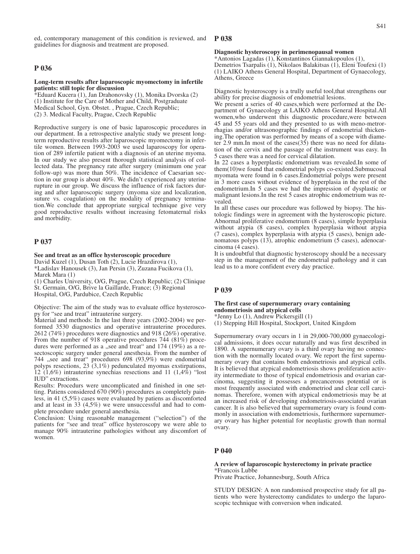ed, contemporary management of this condition is reviewed, and guidelines for diagnosis and treatment are proposed.

# **P 036**

#### **Long-term results after laparoscopic myomectomy in infertile patients: still topic for discussion**

\*Eduard Kucera (1), Jan Drahonovsky (1), Monika Dvorska (2) (1) Institute for the Care of Mother and Child, Postgraduate Medical School, Gyn. Obstet. , Prague, Czech Republic; (2) 3. Medical Faculty, Prague, Czech Republic

Reproductive surgery is one of basic laparoscopic procedures in our department. In a retrospective analytic study we present longterm reproductive results after laparoscopic myomectomy in infertile women. Between 1993-2003 we used laparoscopy for operation of 289 infertile patient with a diagnosis of an uterine myoma. In our study we also present thorough statistical analysis of collected data. The pregnancy rate after surgery (minimum one year follow-up) was more than 50%. The incidence of Caesarian section in our group is about 40%. We didn't experienced any uterine rupture in our group. We discuss the influence of risk factors during and after laparoscopic surgery (myoma size and localization, suture vs. coagulation) on the modality of pregnancy termination.We conclude that appropriate surgical technique give very good reproductive results without increasing fetomaternal risks and morbidity.

# **P 037**

# **See and treat as an office hysteroscopic procedure**

David Kuzel (1), Dusan Toth (2), Lucie Hrazdirova (1), \*Ladislav Hanousek (3), Jan Persin (3), Zuzana Fucikova (1), Marek Mara (1)

(1) Charles University, O/G, Prague, Czech Republic; (2) Clinique St. Germain, O/G, Brive la Gaillarde, France; (3) Regional Hospital, O/G, Pardubice, Czech Republic

Objective: The aim of the study was to evaluate office hysteroscopy for "see and treat" intrauterine surgery.

Material and methods: In the last three years (2002-2004) we performed 3530 diagnostics and operative intrauterine procedures. 2612 (74%) procedures were diagnostics and 918 (26%) operative. From the number of 918 operative procedures 744 (81%) procedures were performed as a  $,$  see and treat and 174 (19%) as a resectoscopic surgery under general anesthesia. From the number of 744 "see and treat" procedures 698 (93,9%) were endometrial polyps resections, 23  $(3,1\%)$  pedunculated myomas exstirpations, 12 (1,6%) intrauterine synechias resections and 11 (1,4%) "lost IUD" extractions.

Results: Procedurs were uncomplicated and finished in one setting. Patiens considered 670 (90%) procedures as completely painless, in 41 (5,5%) cases were evaluated by patiens as discomforted and at least in 33 (4,5%) we were unsuccessful and had to complete procedure under general anesthesia.

Conclusion: Using reasonable management ("selection") of the patients for "see and treat" office hysteroscopy we were able to manage 90% intrauterine pathologies without any discomfort of women.

# **P 038**

# **Diagnostic hysteroscopy in perimenopausal women**

\*Antonios Lagadas (1), Konstantinos Giannakopoulos (1), Demetrios Tsarpalis (1), Nikolaos Balakitsas (1), Eleni Toufexi (1) (1) LAIKO Athens General Hospital, Department of Gynaecology, Athens, Greece

Diagnostic hysteroscopy is a trully useful tool,that strengthens our ability for precise diagnosis of endometrial lesions.

We present a series of 40 cases,which were performed at the Department of Gynaecology at LAIKO Athens General Hospital.All women,who underwent this diagnostic procedure,were between 45 and 55 years old and they presented to us with meno-metrorrhagias and/or ultrasonographic findings of endometrial thickening.The operation was performed by means of a scope with diameter 2.9 mm.In most of the cases(35) there was no need for dilatation of the cervix and the passage of the instrument was easy. In 5 cases there was a need for cervical dilatation.

In 22 cases a hyperplastic endometrium was revealed.In some of them(10)we found that endometrial polyps co-existed.Submucosal myomata were found in 6 cases.Endometrial polyps were present in 3 more cases without evidence of hyperplasia in the rest of the endometrium.In 5 cases we had the impression of dysplastic or malignant lesions.In the rest 5 cases atrophic endometrium was revealed.

In all these cases our procedure was followed by biopsy. The histologic findings were in agreement with the hysteroscopic picture. Abnormal proliferative endometrium (8 cases), simple hyperplasia without atypia (8 cases), complex hyperplasia without atypia (7 cases), complex hyperplasia with atypia (5 cases), benign adenomatous polyps (13), atrophic endometrium (5 cases), adenocarcinoma (4 cases).

It is undoubtful that diagnostic hysteroscopy should be a necessary step in the management of the endometrial pathology and it can lead us to a more confident every day practice.

# **P 039**

# **The first case of supernumerary ovary containing endometriosis and atypical cells**

\*Jenny Lo (1), Andrew Pickersgill (1) (1) Stepping Hill Hospital, Stockport, United Kingdom

Supernumerary ovary occurs in 1 in 29,000-700,000 gynaecological admissions, it does occur naturally and was first described in 1890. A supernumerary ovary is a third ovary having no connection with the normally located ovary. We report the first supernumerary ovary that contains both endometriosis and atypical cells. It is believed that atypical endometriosis shows proliferation activity intermediate to those of typical endometriosis and ovarian carcinoma, suggesting it possesses a precancerous potential or is most frequently associated with endometriod and clear cell carcinomas. Therefore, women with atypical endometriosis may be at an increased risk of developing endometriosis-associated ovarian cancer. It is also believed that supernumerary ovary is found commonly in association with endometriosis, furthermore supernumerary ovary has higher potential for neoplastic growth than normal ovary.

# **P 040**

#### **A review of laparoscopic hysterectomy in private practice** \*Francois Lubbe

Private Practice, Johannesburg, South Africa

STUDY DESIGN: A non randomised prospective study for all patients who were hysterectomy candidates to undergo the laparoscopic technique with conversion when indicated.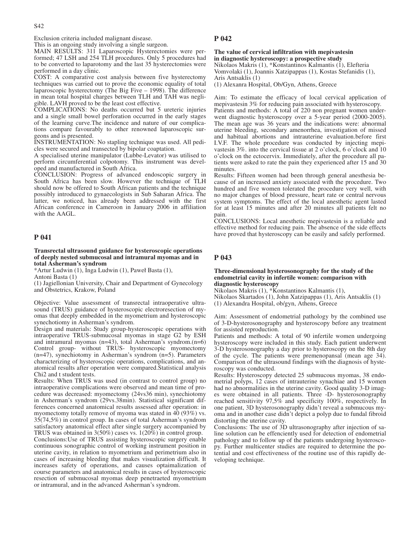Exclusion criteria included malignant disease.

This is an ongoing study involving a single surgeon.

MAIN RESULTS: 311 Laparoscopic Hysterectomies were performed; 47 LSH and 254 TLH procedures. Only 5 procedures had to be converted to laparotomy and the last 35 hysterectomies were performed in a day clinic.

COST: A comparative cost analysis between five hysterectomy techniques was carried out to prove the economic equality of total laparoscopic hysterectomy (The Big Five – 1998). The difference in mean total hospital charges between TLH and TAH was negligible. LAVH proved to be the least cost effective.

COMPLICATIONS: No deaths occurred but 5 ureteric injuries and a single small bowel perforation occurred in the early stages of the learning curve.The incidence and nature of our complications compare favourably to other renowned laparoscopic surgeons and is presented.

INSTRUMENTATION: No stapling technique was used. All pedicles were secured and transected by bipolar coaptation.

A specialised uterine manipulator (Lubbe-Levator) was utilised to perform circumferential colpotomy. This instrument was developed and manufactured in South Africa.

CONCLUSION: Progress of advanced endoscopic surgery in South Africa has been slow. However the technique of TLH should now be offered to South African patients and the technique possibly introduced to gynaecologists in Sub Saharan Africa. The latter, we noticed, has already been addressed with the first African conference in Cameroon in January 2006 in affiliation with the AAGL.

# **P 041**

**Transrectal ultrasound guidance for hysteroscopic operations of deeply nested submucosal and intramural myomas and in total Asherman's syndrom**

\*Artur Ludwin (1), Inga Ludwin (1), Paweł Basta (1),

Antoni Basta (1)

(1) Jagiellonian University, Chair and Department of Gynecology and Obstetrics, Krakow, Poland

Objective: Value assessment of transrectal intraoperative ultrasound (TRUS) guidance of hysteroscopic electroresection of myomas that deeply embedded in the myometrium and hysteroscopic synechotiomy in Asherman's syndrom.

Design and materials: Study group-hysteroscopic operations with intraoperative TRUS-submucosal myomas in stage G2 by ESH and intramural myomas (n=43), total Asherman's syndrom.(n=6) Control group- without TRUS- hysteroscopic myomectomy (n=47), synechiotomy in Asherman's syndrom (n=5). Parameters characterizing of hysteroscopic operations, complications, and anatomical results after operation were compared.Statistical analysis Chi2 and t student tests.

Results: When TRUS was used (in contrast to control group) no intraoperative complications were observed and mean time of procedure was decreased: myomectomy (24vs36 min), synechiotomy in Asherman's syndrom (29vs.38min). Statistical significant differences concerned anatomical results assessed after operation: in myomectomy totally remove of myoma was stated in 40 (93%) vs. 35(74,5%) in control group. In cases of total Asherman's syndrom satisfactory anatomical effect after single surgery accompanied by TRUS was obtained in 3(50%) cases vs. 1(20%) in control group.

Conclusions:Use of TRUS assisting hysteroscopic surgery enable continuous sonographic control of working instrument position in uterine cavity, in relation to myometrium and perimetrium also in cases of increasing bleeding that makes visualization difficult. It increases safety of operations, and causes optaimalization of course parameters and anatomical results in cases of hysteroscopic resection of submucosal myomas deep penetraeted myometrium or intramural, and in the advanced Asherman's syndrom.

# **P 042**

#### **The value of cervical infiltration with mepivastesin in diagnostic hysteroscopy: a prospective study**

Nikolaos Makris (1), \*Konstantinos Kalmantis (1), Elefteria Vomvolaki (1), Joannis Xatzipappas (1), Kostas Stefanidis (1), Aris Antsaklis (1)

(1) Alexanra Hospital, Ob/Gyn, Athens, Greece

Aim: To estimate the efficacy of local cervical application of mepivastesin 3% for reducing pain associated with hysteroscopy. Patients and methods: A total of 220 non pregnant women underwent diagnostic hysteroscopy over a 5-year period (2000-2005). The mean age was 36 years and the indications were: abnormal uterine bleeding, secondary amenorrhea, investigation of missed and habitual abortions and intrauterine evaluation.before first I.V.F. The whole procedure was conducted by injecting mepivastesin 3%. into the cervical tissue at 2 o'clock, 6 o'clock and 10 o'clock on the ectocervix. Immediately, after the procedure all patients were asked to rate the pain they experienced after 15 and 30 minutes.

Results: Fifteen women had been through general anesthesia because of an increased anxiety associated with the procedure. Two hundred and five women tolerated the procedure very well, with no major changes of blood pressure, heart rate or central nervous system symptoms. The effect of the local anesthetic agent lasted for at least 15 minutes and after 20 minutes all patients felt no pain.

CONCLUSIONS: Local anesthetic mepivastesin is a reliable and effective method for reducing pain. The absence of the side effects have proved that hysteroscopy can be easily and safely performed.

# **P 043**

#### **Three-dimensional hysterosonography for the study of the endometrial cavity in infertile women: comparison with diagnostic hysteroscopy**

Nikolaos Makris (1), \*Konstantinos Kalmantis (1),

Nikolaos Skartados (1), John Xatzipappas (1), Aris Antsaklis (1)

(1) Alexandra Hospital, ob/gyn, Athens, Greece

Aim: Assessment of endometrial pathology by the combined use of 3-D-hysterosonography and hysteroscopy before any treatment for assisted reproduction.

Patients and methods: A total of 90 infertile women undergoing hysteroscopy were included in this study. Each patient underwent 3-D hysterosonography a day prior to hysteroscopy on the 8th day of the cycle. The patients were premenopansal (mean age 34). Comparison of the ultrasound findings with the diagnosis of hysteroscopy was conducted.

Results: Hysteroscopy detected 25 submucous myomas, 38 endometrial polyps, 12 cases of intrauterine synachiae and 15 women had no abnormalities in the uterine cavity. Good quality 3-D images were obtained in all patients. Three -D- hysterosonography reached sensitivity 97,5% and specificity 100%, respectively. In one patient, 3D hysterosonography didn't reveal a submucous myoma and in another case didn't depict a polyp due to fundal fibroid distorting the uterine cavity.

Conclusions: The use of 3D ultrasonography after injection of saline solution can be effenciently used for detection of endometrial pathology and to follow up of the patients undergoing hysteroscopy. Further multicenter studies are required to determine the potential and cost effectiveness of the routine use of this rapidly developing technique.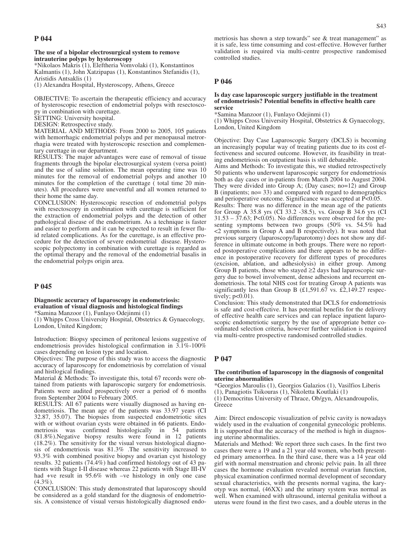#### **The use of a bipolar electrosurgical system to remove intrauterine polyps by hysteroscopy**

\*Nikolaos Makris (1), Eleftheria Vomvolaki (1), Konstantinos Kalmantis (1), John Xatzipapas (1), Konstantinos Stefanidis (1), Aristidis Antsaklis (1)

(1) Alexandra Hospital, Hysteroscopy, Athens, Greece

OBJECTIVE: To ascertain the therapeutic efficiency and accuracy of hysteroscopic resection of endometrial polyps with resectoscopy in combination with curettage.

SETTING: University hospital.

DESIGN: Retrospective study.

MATERIAL AND METHODS: From 2000 to 2005, 105 patients with hemorrhagic endometrial polyps and per menopausal metrorrhagia were treated with hysteroscopic resection and complementary curettage in our department.

RESULTS: The major advantages were ease of removal of tissue fragments through the bipolar electrosurgical system (versa point) and the use of saline solution. The mean operating time was 10 minutes for the removal of endometrial polyps and another 10 minutes for the completion of the curettage ( total time 20 minutes). All procedures were uneventful and all women returned to their home the same day.

CONCLUSION: Hysteroscopic resection of endometrial polyps with resectoscopy in combination with curettage is sufficient for the extraction of endometrial polyps and the detection of other pathological disease of the endometrium. As a technique is faster and easier to perform and it can be expected to result in fewer fluid related complications. As for the curettage, is an effective procedure for the detection of severe endometrial disease. Hysteroscopic polypectomy in combination with curettage is regarded as the optimal therapy and the removal of the endometrial basalis in the endometrial polyps origin area.

# **P 045**

# **Diagnostic accuracy of laparoscopy in endometriosis: evaluation of visual diagnosis and histological findings**

\*Samina Manzoor (1), Funlayo Odejinmi (1)

(1) Whipps Cross University Hospital, Obstetrics & Gynaecology, London, United Kingdom;

Introduction: Biopsy specimen of peritoneal lesions suggestive of endometriosis provides histological confirmation in 3.1%-100% cases depending on lesion type and location.

Objectives: The purpose of this study was to access the diagnostic accuracy of laparoscopy for endometriosis by correlation of visual and histlogical findings.

Material & Methods: To investigate this, total 67 records were obtained from patients with laparoscopic surgery for endometriosis. Patients were audited prospectively over a period of 6 months from September 2004 to February 2005.

RESULTS: All 67 patients were visually diagnosed as having endometriosis. The mean age of the patients was 33.97 years (CI 32.87, 35.07). The biopsies from suspected endometriotic sites with or without ovarian cysts were obtained in 66 patients. Endometriosis was confirmed histologically in 54 patients (81.8%).Negative biopsy results were found in 12 patients (18.2%). The sensitivity for the visual versus histological diagnosis of endometriosis was 81.3% .The sensitivity increased to 93.3% with combined positive biopsy and ovarian cyst histology results. 32 patients (74.4%) had confirmed histology out of 43 patients with Stage I-II disease whereas 22 patients with Stage III-IV had +ve result in 95.6% with -ve histology in only one case  $(4.3\%)$ .

CONCLUSION: This study demonstrated that laparoscopy should be considered as a gold standard for the diagnosis of endometriosis. A consistence of visual versus histologically diagnosed endometriosis has shown a step towards" see & treat management" as it is safe, less time consuming and cost-effective. However further validation is required via multi-centre prospective randomised controlled studies.

# **P 046**

#### **Is day case laparoscopic surgery justifiable in the treatment of endometriosis? Potential benefits in effective health care service**

\*Samina Manzoor (1), Funlayo Odejinmi (1)

(1) Whipps Cross University Hospital, Obstetrics & Gynaecology, London, United Kingdom

Objective: Day Case Laparoscopic Surgery (DCLS) is becoming an increasingly popular way of treating patients due to its cost effectiveness and secured outcome. However, its feasibility in treating endometriosis on outpatient basis is still debateable.

Aims and Methods: To investigate this, we studied retrospectively 50 patients who underwent laparoscopic surgery for endometriosis both as day cases or in-patients from March 2004 to August 2004. They were divided into Group A; (Day cases; no=12) and Group B (inpatients; no= 33) and compared with regard to demographics and perioperative outcome. Significance was accepted at P<0.05.

Results: There was no difference in the mean age of the patients for Group A 35.8 yrs (CI 33.2 -38.5), vs. Group B 34.6 yrs (CI  $31.53 - 37.63$ ; P<0.05). No differences were observed for the presenting symptoms between two groups (50% vs. 54.5% had <2 symptoms in Group A and B respectively). It was noted that previous surgery (laparoscopy/laparotomy) does not show any difference in ultimate outcome in both groups. There were no reported postoperative complications and there appears to be no difference in postoperative recovery for different types of procedures (excision, ablation, and adhesiolysis) in either group. Among Group B patients, those who stayed ≥2 days had laparoscopic surgery due to bowel involvement, dense adhesions and recurrent endometriosis. The total NHS cost for treating Group A patients was significantly less than Group B  $(£1,591.67 \text{ vs. } £2,149.27 \text{ respectively})$ tively;  $p<0.01$ ).

Conclusion: This study demonstrated that DCLS for endometriosis is safe and cost-effective. It has potential benefits for the delivery of effective health care services and can replace inpatient laparoscopic endometriotic surgery by the use of appropriate better coordinated selection criteria, however further validation is required via multi-centre prospective randomised controlled studies.

# **P 047**

#### **The contribution of laparoscopy in the diagnosis of congenital uterine abnormalities**

\*Georgios Maroulis (1), Georgios Galazios (1), Vasilfios Liberis (1), Panagiotis Tsikouras (1), Nikoletta Koutlaki (1)

(1) Democritus University of Thrace, Ob/gyn, Alexandroupolis, **Greece** 

Aim: Direct endoscopic visualization of pelvic cavity is nowadays widely used in the evaluation of congenital gynecologic problems. It is supported that the accuracy of the method is high in diagnosing uterine abnormalities.

Materials and Method: We report three such cases. In the first two cases there were a 19 and a  $2\overline{1}$  year old women, who both presented primary amenorrhea. In the third case, there was a 14 year old girl with normal menstruation and chronic pelvic pain. In all three cases the hormone evaluation revealed normal ovarian function, physical examination confirmed normal development of secondary sexual characteristics, with the presents normal vagina, the karyotyp was normal, (46XX) and the urinary system was normal as well. When examined with ultrasound, internal genitalia without a uterus were found in the first two cases, and a double uterus in the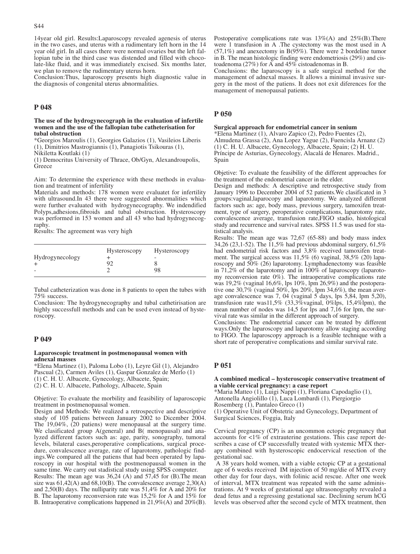14year old girl. Results:Laparoscopy revealed agenesis of uterus in the two cases, and uterus with a rudimentary left horn in the 14 year old girl. In all cases there were normal ovaries but the left fallopian tube in the third case was distended and filled with chocolate-like fluid, and it was immediately excised. Six months later, we plan to remove the rudimentary uterus horn.

Conclusion:Thus, laparoscopy presents high diagnostic value in the diagnosis of congenital uterus abnormalities.

# **P 048**

#### **The use of the hydrogynecograph in the evaluation of infertile women and the use of the fallopian tube catheterisation for tubal obstruction**

\*Georgios Maroulis (1), Georgios Galazios (1), Vasileios Liberis (1), Dimitrios Mastrogiannis (1), Panagiotis Tsikouras (1),

Nikiletta Koutlaki (1)

(1) Democritus University of Thrace, Ob/Gyn, Alexandroupolis, **Greece** 

Aim: To determine the experience with these methods in evaluation and treatment of infertility

Materials and methods: 178 women were evaluatet for infertility with ultrasound.In 43 there were suggested abnormalities which were further evaluated with hydrogynecography. We indendified Polyps,adhesions,fibroids and tubal obstruction. Hysteroscopy was performed in 153 women and all 43 who had hydrogynecography.

Results: The agreement was very high

Tubal catheterization was done in 8 patients to open the tubes with 75% success.

Conclusion: The hydrogynecography and tubal cathetirisation are highly successfull methods and can be used even instead of hysteroscopy.

#### **P 049**

#### **Laparoscopic treatment in postmenopausal women with adnexal masses**

\*Elena Martinez (1), Paloma Lobo (1), Leyre Gil (1), Alejandro Pascual (2), Carmen Aviles (1), Gaspar Gonzalez de Merlo (1) (1) C. H. U. Albacete, Gynecology, Albacete, Spain; (2) C. H. U. Albacete, Pathology, Albacete, Spain

Objetive: To evaluate the morbility and feasibility of laparoscopic treatment in postmenopausal women.

Design and Methods: We realized a retrospective and descriptive study of 105 patiens between January 2002 to Dicember 2004. The 19,04%, (20 patiens) were menopausal at the surgery time. We clasificated group A(general) and B( menopausal) and analyzed different factors such as: age, parity, sonography, tumoral levels, bilateral cases,peroperative complications, surgical procedure, convalescence average, rate of laparotomy, pathologic findings.We compared all the patiens that had been operated by laparoscopy in our hospital with the postmenopausal women in the same time. We carry out stadistical study using SPSS computer.

Results: The mean age was 36,24 (A) and 57,45 for (B).The mean size was  $61,42(A)$  and  $68,10(B)$ . The convalescence average  $2,30(A)$ and 2,50(B) days. The nulliparity rate was 51,4% for A and 20% for B. The laparotomy reconversion rate was 15,2% for A and 15% for B. Intraoperative complications happened in 21,9%(A) and 20%(B).

Postoperative complications rate was  $13\%$ (A) and  $25\%$ (B). There were 1 transfusion in A .The cystectomy was the most used in A (57,1%) and anexectomy in B(95%). There were 2 bordeline tumor in B. The mean histologic finding were endometriosis (29%) and cistoadenoma (27%) for A and 45% cistoadenomas in B.

Conclusions: the laparoscopy is a safe surgical method for the management of adnexal masses. It allows a minimal invasive surgery in the most of the patiens. It does not exit diferences for the management of menopausal patients.

#### **P 050**

# **Surgical approach for endometrial cancer in senium**

\*Elena Martinez (1), Alvaro Zapico (2), Pedro Fuentes (2), Almudena Grassa (2), Ana Lopez Yague (2), Fuencisla Arnanz (2) (1) C. H. U. Albacete, Gynecology, Albacete, Spain; (2) H. U. Príncipe de Asturias, Gynecology, Alacalá de Henares. Madrid., Spain

Objetive: To evaluate the feasibility of the different approaches for the treatment of the endometrial cancer in the elder.

Design and methods: A descriptive and retrospective study from January 1996 to December 2004 of 52 patients.We clasificated in 3 groups:vaginal,laparocopy and laparotomy. We analyzed different factors such as: age, body mass, previous surgery, tamoxifen treatment, type of surgery, peroperative complications, laparotomy rate, convalescence average, transfusion rate,FIGO stadio, histological study and recurrence and survival rates. SPSS 11.5 was used for statistical analysis.

Results: The mean age was 72,67 (65-88) and body mass index 34,26 (23,1-52). The 11,5% had previous abdominal surgery, 61,5% had endometrial risk factors and 3,8% received tamoxifen treatment. The surgical access was 11,5% (6) vaginal, 38,5% (20) laparoscopy and 50% (26) laparotomy. Lymphadenectomy was feasible in 71,2% of the laparotomy and in 100% of laparoscopy (laparotomy reconversion rate 0%). The intraoperative complications rate was 19,2% (vaginal 16,6%, lps 10%, lpm 26,9%) and the postoperative one  $30,7\%$  (vaginal  $50\%$ , lps  $20\%$ , lpm  $34,6\%$ ), the mean average convalescence was 7, 04 (vaginal 5 days, lps 5,84, lpm 5,20), transfusion rate was11,5% (33,3%vaginal, 0%lps, 15,4%lpm), the mean number of nodes was 14,5 for lps and 7,16 for lpm, the survival rate was similar in the different approach of surgery.

Conclusions: The endometrial cancer can be treated by different ways.Only the laparoscopy and laparotomy allow staging according to FIGO. The laparoscopy approach is a feasible technique with a short rate of peroperative complications and similar survival rate.

# **P 051**

#### **A combined medical – hysteroscopic conservative treatment of a viable cervical pregnancy: a case report**

\*Maria Matteo (1), Luigi Nappi (1), Floriana Capodaglio (1), Antonella Angiolillo (1), Luca Lombardi (1), Piergiorgio Rosemberg (1), Pantaleo Greco (1)

(1) Operative Unit of Obstetric and Gynecology, Department of Surgical Sciences, Foggia, Italy

Cervical pregnancy (CP) is an uncommon ectopic pregnancy that accounts for <1% of extrauterine gestations. This case report describes a case of CP successfully treated with systemic MTX therapy combined with hysteroscopic endocervical resection of the gestational sac.

A 38 years hold women, with a viable ectopic CP at a gestational age of 6 weeks received IM injection of 50 mg/die of MTX every other day for four days, with folinic acid rescue. After one week of interval, MTX treatment was repeated with the same administrations. At 9 weeks of gestational age ultrasonography revealed a dead fetus and a regressing gestational sac. Declining serum hCG levels was observed after the second cycle of MTX treatment, then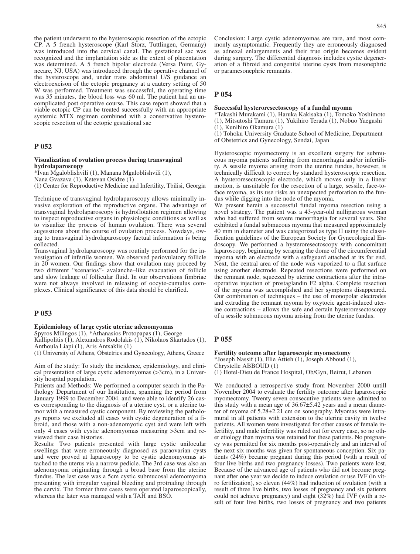the patient underwent to the hysteroscopic resection of the ectopic CP. A 5 french hysteroscope (Karl Storz, Tuttlingen, Germany) was introduced into the cervical canal. The gestational sac was recognized and the implantation side as the extent of placentation was determined. A 5 french bipolar electrode (Versa Point, Gynecare, NJ, USA) was introduced through the operative channel of the hysteroscope and, under trans abdominal U/S guidance an electroexcison of the ectopic pregnancy at a cautery setting of 50 W was performed. Treatment was successful, the operating time was 35 minutes, the blood loss was 60 ml. The patient had an uncomplicated post operative course. This case report showed that a viable ectopic CP can be treated successfully with an appropriate systemic MTX regimen combined with a conservative hysteroscopic resection of the ectopic gestational sac

# **P 052**

#### **Visualization of ovulation process during transvaginal hydrolaparoscopy**

\*Ivan Mgaloblishvili (1), Manana Mgaloblishvili (1), Nana Gvazava (1), Ketevan Osidze (1)

(1) Center for Reproductive Medicine and Infertility, Tbilisi, Georgia

Technique of transvaginal hydrolaparoscopy allows minimally invasive exploration of the reproductive organs. The advantage of transvaginal hydrolaparoscopy is hydroflotation regimen allowing to inspect reproductive organs in physiologic conditions as well as to visualize the process of human ovulation. There was several sugesstions about the course of ovulation process. Nowdays, owing to transvaginal hydrolaparoscopy factual information is being collected.

Transvaginal hydrolaparoscopy was routinly performed for the investigation of infertile women. We observed periovulatory follicle in 20 women. Our findings show that ovulation may proceed by two different "scenarios"- avalanche–like evacuation of follicle and slow leakage of follicular fluid. In our observations fimbriae were not always involved in releasing of oocyte-cumulus complexes. Clinical significance of this data should be clarified.

# **P 053**

#### **Epidemiology of large cystic uterine adenomyomas**

Spyros Milingos (1), \*Athanasios Protopapas (1), George Kallipolitis (1), Alexandros Rodolakis (1), Nikolaos Skartados (1),

Anthoula Liapi (1), Aris Antsaklis (1) (1) University of Athens, Obstetrics and Gynecology, Athens, Greece

Aim of the study: To study the incidence, epidemiology, and clinical presentation of large cystic adenomyomas (>3cm), in a University hospital population.

Patients and Methods: We performed a computer search in the Pathology Department of our Institution, spanning the period from January 1999 to December 2004, and were able to identify 26 cases corresponding to the diagnosis of a uterine cyst, or a uterine tumor with a measured cystic component. By reviewing the pathology reports we excluded all cases with cystic degeneration of a fibroid, and those with a non-adenomyotic cyst and were left with only 4 cases with cystic adenomyomas measuring >3cm and reviewed their case histories.

Results: Two patients presented with large cystic unilocular swellings that were erroneously diagnosed as paraovarian cysts and were proved at laparoscopy to be cystic adenomyomas attached to the uterus via a narrow pedicle. The 3rd case was also an adenomyoma originating through a broad base from the uterine fundus. The last case was a 5cm cystic submucosal ademomyoma presenting with irregular vaginal bleeding and protruding through the cervix. The former three cases were operated laparoscopically, whereas the later was managed with a TAH and BSO.

Conclusion: Large cystic adenomyomas are rare, and most commonly asymptomatic. Frequently they are erroneously diagnosed as adnexal enlargements and their true origin becomes evident during surgery. The differential diagnosis includes cystic degeneration of a fibroid and congenital uterine cysts from mesonephric or paramesonephric remnants.

# **P 054**

#### **Successful hysteroresectoscopy of a fundal myoma**

\*Takashi Murakami (1), Haruka Kakisaka (1), Tomoko Yoshimoto (1), Mitsutoshi Tamura (1), Yukihiro Terada (1), Nobuo Yaegashi (1), Kunihiro Okamura (1)

(1) Tohoku University Graduate School of Medicine, Department of Obstetrics and Gynecology, Sendai, Japan

Hysteroscopic myomectomy is an excellent surgery for submucous myoma patients suffering from menorrhagia and/or infertility. A sessile myoma arising from the uterine fundus, however, is technically difficult to correct by standard hysteroscopic resection. A hysteroresectoscopic electrode, which moves only in a linear motion, is unsuitable for the resection of a large, sessile, face-toface myoma, as its use risks an unexpected perforation to the fundus while digging into the node of the myoma.

We present herein a successful fundal myoma resection using a novel strategy. The patient was a 43-year-old nulliparous woman who had suffered from severe menorrhagia for several years. She exhibited a fundal submucous myoma that measured approximately 40 mm in diameter and was categorized as type II using the classification guidelines of the European Society for Gynecological Endoscopy. We performed a hysteroresectoscopy with concomitant laparoscopy, beginning by scraping the dome of the circumferential myoma with an electrode with a safeguard attached at its far end. Next, the central area of the node was vaporized to a flat surface using another electrode. Repeated resections were performed on the remnant node, squeezed by uterine contractions after the intraoperative injection of prostaglandin F2 alpha. Complete resection of the myoma was accomplished and her symptoms disappeared. Our combination of techniques – the use of monopolar electrodes and extruding the remnant myoma by oxytocic agent-induced uterine contractions – allows the safe and certain hysteroresectoscopy of a sessile submucous myoma arising from the uterine fundus.

# **P 055**

# **Fertility outcome after laparoscopic myomectomy**

\*Joseph Nassif (1), Elie Attieh (1), Joseph Abboud (1), Chrystelle ABBOUD (1)

(1) Hotel-Dieu de France Hospital, Ob/Gyn, Beirut, Lebanon

We conducted a retrospective study from November 2000 untill November 2004 to evaluate the fertility outcome after laparoscopic myomectomy. Twenty seven consecutive patients were admitted to this study with a mean age of 36.67±5.42 years and a mean diameter of myoma of 5.28±2.21 cm on sonography. Myomas were intramural in all patients with extension to the uterine cavity in twelve patients. All women were investigated for other causes of female infertility, and male infertility was ruled out for every case, so no other etiology than myoma was retained for these patients. No pregnancy was permitted for six months post-operatively and an interval of the next six months was given for spontaneous conception. Six patients (24%) became pregnant during this period (with a result of four live births and two pregnancy losses). Two patients were lost. Because of the advanced age of patients who did not become pregnant after one year we decide to induce ovulation or use IVF (in vitro fertilization), so eleven (44%) had induction of ovulation (with a result of three live births, two losses of pregnancy and six patients could not achieve pregnancy) and eight (32%) had IVF (with a result of four live births, two losses of pregnancy and two patients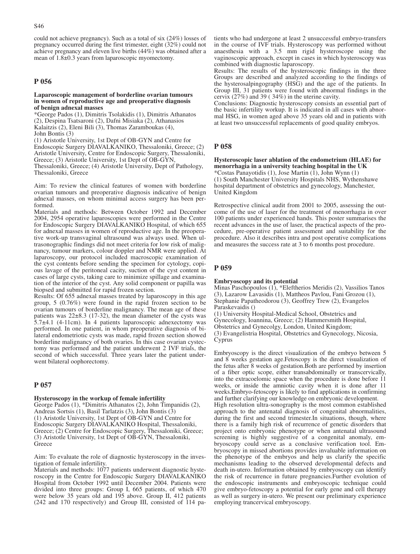could not achieve pregnancy). Such as a total of six (24%) losses of pregnancy occurred during the first trimester, eight (32%) could not achieve pregnancy and eleven live births (44%) was obtained after a mean of 1.8±0.3 years from laparoscopic myomectomy.

# **P 056**

#### **Laparoscopic management of borderline ovarian tumours in women of reproductive age and preoperative diagnosis of benign adnexal masses**

\*George Pados (1), Dimitris Tsolakidis (1), Dimitris Athanatos (2), Despina Tsatsaroni (2), Dafni Misiaka (2), Athanasios Kalaitzis (2), Eleni Bili (3), Thomas Zaramboukas (4), John Bontis (3)

(1) Aristotle University, 1st Dept of OB-GYN and Centre for Endoscopic Surgery DIAVALKANIKO, Thessaloniki, Greece; (2) Aristotle University, Centre for Endoscopic Surgery, Thessaloniki, Greece; (3) Aristotle University, 1st Dept of OB-GYN,

Thessaloniki, Greece; (4) Aristotle University, Dept of Pathology, Thessaloniki, Greece

Aim: To review the clinical features of women with borderline ovarian tumours and preoperative diagnosis indicative of benign adnexal masses, on whom minimal access surgery has been performed.

Materials and methods: Between October 1992 and December 2004, 2954 operative laparoscopies were performed in the Centre for Endoscopic Surgery DIAVALKANIKO Hospital, of which 655 for adnexal masses in women of reproductive age. In the preoperative work-up transvaginal ultrasound was always used. When ultrasonographic findings did not meet criteria for low risk of malignancy, tumour markers, colour doppler and NMR were applied. At laparoscopy, our protocol included macroscopic examination of the cyst contents before sending the specimen for cytology, copious lavage of the peritoneal cacity, suction of the cyst content in cases of large cysts, taking care to minimize spillage and examination of the interior of the cyst. Any solid component or papilla was biopsed and submitted for rapid frozen section.

Results: Of 655 adnexal masses treated by laparoscopy in this age group, 5 (0.76%) were found in the rapid frozen section to be ovarian tumours of borderline malignancy. The mean age of these patients was  $22\pm8.3$  (17-32), the mean diameter of the cysts was 5.7±4.1 (4-11cm). In 4 patients laparoscopic adnexectomy was performed. In one patient, in whom preoperative diagnosis of bilateral endometriotic cysts was made, rapid frozen section showed borderline malignancy of both ovaries. In this case ovarian cystectomy was performed and the patient underwent 2 IVF trials, the second of which successful. Three years later the patient underwent bilateral oophorectomy.

# **P 057**

#### **Hysteroscopy in the workup of female infertility**

George Pados (1), \*Dimitris Athanatos (2), John Timpanidis (2), Andreas Sortsis (1), Basil Tarlatzis (3), John Bontis (3) (1) Aristotle University, 1st Dept of OB-GYN and Centre for Endoscopic Surgery DIAVALKANIKO Hospital, Thessaloniki, Greece; (2) Centre for Endoscopic Surgery, Thessaloniki, Greece; (3) Aristotle University, 1st Dept of OB-GYN, Thessaloniki, Greece

Aim: To evaluate the role of diagnostic hysteroscopy in the investigation of female infertility.

Materials and methods: 1077 patients underwent diagnostic hysteroscopy in the Centre for Endoscopic Surgery DIAVALKANIKO Hospital from October 1992 until December 2004. Patients were divided into three groups: Group I, 665 patients, of which 470 were below 35 years old and 195 above. Group II, 412 patients (242 and 170 respectively) and Group III, consisted of 114 patients who had undergone at least 2 unsuccessful embryo-transfers in the course of IVF trials. Hysteroscopy was performed without anaesthesia with a 3.5 mm rigid hysteroscope using the vaginoscopic approach, except in cases in which hysteroscopy was combined with diagnostic laparoscopy.

Results: The results of the hysteroscopic findings in the three Groups are described and analyzed according to the findings of the hysterosalpingography (HSG) and the age of the patients. In Group III, 31 patients were found with abnormal findings in the cervix (27%) and 39 ( 34%) in the uterine cavity.

Conclusions: Diagnostic hysteroscopy consists an essential part of the basic infertility workup. It is indicated in all cases with abnormal HSG, in women aged above 35 years old and in patients with at least two unsuccessful replacements of good quality embryos.

# **P 058**

# **Hysteroscopic laser ablation of the endometrium (HLAE) for menorrhagia in a university teaching hospital in the UK**

\*Costas Panayotidis (1), Jose Martin (1), John Wynn (1) (1) South Manchester University Hospitals NHS, Wythenshawe hospital department of obstetrics and gynecology, Manchester, United Kingdom

Retrospective clinical audit from 2001 to 2005, assessing the outcome of the use of laser for the treatment of menorrhagia in over 100 patients under experienced hands. This poster summarises the recent advances in the use of laser, the practical aspects of the procedure, pre-operative patient assessment and suitability for the procedure. Also it describes intra and post operative complications and measures the success rate at 3 to 6 months post procedure.

# **P 059**

#### **Embryoscopy and its potential**

Minas Paschopoulos (1), \*Eleftherios Meridis (2), Vassilios Tanos (3), Lazarow Lavasidis (1), Mattheos Pavlou, Fani Grozou (1), Stephanie Papatheodorou (3), Geoffrey Trew (2), Evangelos Paraskevaidis ()

(1) University Hospital-Medical School, Obstetrics and Gynecology, Ioannina, Greece; (2) Hammersmith Hospital, Obstetrics and Gynecolgy, London, United Kingdom; (3) Evangelistria Hospital, Obstetrics and Gynecology, Nicosia, Cyprus

Embryoscopy is the direct visualization of the embryo between 5 and 8 weeks gestation age.Fetoscopy is the direct visualization of the fetus after 8 weeks of gestation.Both are performed by insertion of a fiber optic scope, either transabdominally or transcervically, into the extracoelomic space when the procedure is done before 11 weeks, or inside the amniotic cavity when it is done after 11 weeks.Embryo-fetoscopy is likely to find applications in confirming and further clarifying our knowledge on embryonic development. High resolution ultra-sonography is the most common established approach to the antenatal diagnosis of congenital abnormalities, during the first and second trimester.In situations, though, where there is a family high risk of recurrence of genetic disorders that project onto embryonic phenotype or when antenatal ultrasound screening is highly suggestive of a congenital anomaly, embryoscopy could serve as a conclusive verification tool. Embryoscopy in missed abortions provides invaluable information on the phenotype of the embryos and help us clarify the specific mechanisms leading to the observed developmental defects and death in-utero. Information obtained by embryoscopy can identify the risk of recurrence in future pregnancies.Further evolution of the endoscopic instruments and embryoscopic technique could give embryo-fetoscopy a potential for early gene and cell therapy as well as surgery in-utero. We present our preliminary experience employing trancervical embryoscopy.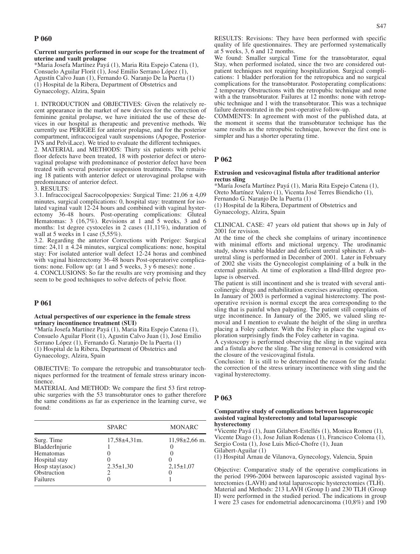#### **P 060**

#### **Current surgeries performed in our scope for the treatment of uterine and vault prolapse**

\*Maria Josefa Martínez Payá (1), Maria Rita Espejo Catena (1), Consuelo Aguilar Florit (1), José Emilio Serrano López (1), Agustín Calvo Juan (1), Fernando G. Naranjo De la Puerta (1) (1) Hospital de la Ribera, Department of Obstetrics and Gynaecology, Alzira, Spain

1. INTRODUCTION and OBJECTIVES: Given the relatively recent appearance in the market of new devices for the correction of feminine genital prolapse, we have initiated the use of these devices in our hospital as therapeutic and preventive methods. We currently use PERIGEE for anterior prolapse, and for the posterior compartment, infraccocigeal vault suspensions (Apogee, Posterior-IVS and PelviLace). We tried to evaluate the different techniques.

2. MATERIAL and METHODS: Thirty six patients with pelvic floor defects have been treated, 18 with posterior defect or uterovaginal prolapse with predominance of posterior defect have been treated with several posterior suspension treatments. The remaining 18 patients with anterior defect or uterovaginal prolapse with predominance of anterior defect.

3. RESULTS:

3.1. Infraccocigeal Sacrocolpopexies: Surgical Time: 21,06 ± 4,09 minutes, surgical complications: 0, hospital stay: treatment for isolated vaginal vault 12-24 hours and combined with vaginal hysterectomy 36-48 hours. Post-operating complications: Gluteal Hematomas: 3 (16,7%). Revisions at 1 and 5 weeks, 3 and 6 months: 1st degree cystoceles in 2 cases (11,11%), induration of wall at 5 weeks in 1 case  $(5,55\%)$ .

3.2. Regarding the anterior Corrections with Perigee: Surgical time:  $24,11 \pm 4.24$  minutes, surgical complications: none, hospital stay: For isolated anterior wall defect 12-24 horas and combined with vaginal histerectomy 36-48 hours Post-operatorive complications: none. Follow up: (at 1 and 5 weeks, 3 y 6 meses): none

4. CONCLUSIONS: So far the results are very promising and they seem to be good techniques to solve defects of pelvic floor.

# **P 061**

#### **Actual perspectives of our experience in the female stress urinary incontinence treatment (SUI)**

\*María Josefa Martínez Payá (1), Maria Rita Espejo Catena (1), Consuelo Aguilar Florit (1), Agustin Calvo Juan (1), José Emilio Serrano López (1), Fernando G. Naranjo De la Puerta (1) (1) Hospital de la Ribera, Department of Obstetrics and Gynaecology, Alzira, Spain

OBJECTIVE: To compare the retropubic and transobturator techniques performed for the treatment of female stress urinary incontinence.

MATERIAL And METHOD: We compare the first 53 first retropubic surgeries with the 53 transobturator ones to gather therefore the same conditions as far as experience in the learning curve, we found:

|                                                                                                          | <b>SPARC</b>                                          | <b>MONARC</b>                      |
|----------------------------------------------------------------------------------------------------------|-------------------------------------------------------|------------------------------------|
| Surg. Time<br>BladderInjurie<br>Hematomas<br>Hospital stay<br>Hosp stay(asoc)<br>Obstruction<br>Failures | $17,58\pm4,31$ m.<br>$2.35 \pm 1.30$<br>$\mathcal{O}$ | $11,98\pm2,66$ m.<br>$2,15\pm1,07$ |
|                                                                                                          |                                                       |                                    |

RESULTS: Revisions: They have been performed with specific quality of life questionnaires. They are performed systematically at 5 weeks, 3, 6 and 12 months.

We found: Smaller surgical Time for the transobturator, equal Stay, when performed isolated, since the two are considered outpatient techniques not requiring hospitalization. Surgical complications: 1 bladder perforation for the retropubica and no surgical complications for the transobturator. Postoperating complications: 2 temporary Obstructions with the retropubic technique and none with a the transobturator. Failures at 12 months: none with retropubic technique and 1 with the transobturator. This was a technique failure demonstrated in the post-operative follow-up.

COMMENTS: In agreement with most of the published data, at the moment it seems that the transobturator technique has the same results as the retropubic technique, however the first one is simpler and has a shorter operating time.

# **P 062**

#### **Extrusion and vesicovaginal fistula after traditional anterior rectus sling**

\*María Josefa Martínez Payá (1), Maria Rita Espejo Catena (1), Oreto Martínez Valero (1), Vicenta José Terres Biendicho (1), Fernando G. Naranjo De la Puerta (1)

(1) Hospital de la Ribera, Department of Obstetrics and

Gynaecology, Alzira, Spain

CLINICAL CASE: 47 years old patient that shows up in July of 2001 for revision.

At the time of the check she complains of urinary incontinence with minimal efforts and mictional urgency. The urodinamic study, shows stable bladder and deficient uretral sphincter. A suburetral sling is performed in December of 2001. Later in February of 2002 she visits the Gynecologist complaining of a bulk in the external genitals. At time of exploration a IInd-IIIrd degree prolapse is observed.

The patient is still incontinent and she is treated with several anticolinergic drugs and rehabilitation exercises awaiting operation.

In January of 2003 is performed a vaginal histerectomy. The postoperative revision is normal except the area corresponding to the sling that is painful when palpating. The patient still complains of urge incontinence. In January of the 2005, we valued sling removal and I mention to evaluate the height of the sling in urethra placing a Foley catheter. With the Foley in place the vaginal exploration surprisingly finds the Foley catheter in vagina.

A cystoscopy is performed observing the sling in the vaginal area and a fistula above the sling. The sling removal is considered with the closure of the vesicovaginal fistula.

Conclusion: It is still to be determined the reason for the fistula: the correction of the stress urinary incontinence with sling and the vaginal hysterectomy.

# **P 063**

#### **Comparative study of complications between laparoscopic assisted vaginal hysterectomy and total laparoscopic hysterectomy**

\*Vicente Payá (1), Juan Gilabert-Estellés (1), Monica Romeu (1), Vicente Diago (1), Jose Julian Rodenas (1), Francisco Coloma (1), Sergio Costa (1), Jose Luis Micó-Chofre (1), Juan Gilabert-Aguilar (1)

(1) Hospital Arnau de Vilanova, Gynecology, Valencia, Spain

Objective: Comparative study of the operative complications in the period 1996-2004 between laparoscopic assisted vaginal hysterectomies (LAVH) and total laparoscopic hysterectomies (TLH). Material and Methods: 213 LAVH (Group I) and 230 TLH (Group II) were performed in the studied period. The indications in group I were 23 cases for endometrial adenocarcinoma (10,8%) and 190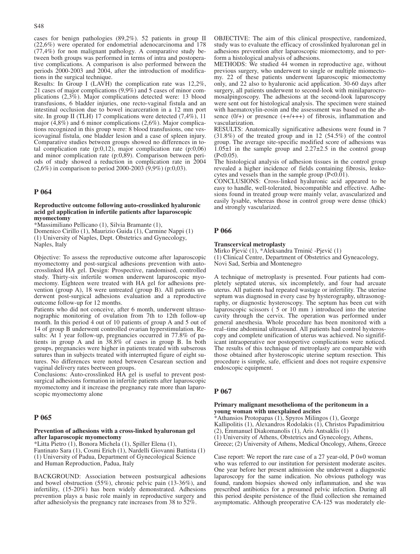cases for benign pathologies (89,2%). 52 patients in group II (22,6%) were operated for endometrial adenocarcinoma and 178 (77,4%) for non malignant pathology. A comparative study between both groups was performed in terms of intra and postoperative complications. A comparison is also performed between the periods 2000-2003 and 2004, after the introduction of modifications in the surgical technique.

Results: In Group I (LAVH) the complication rate was 12,2%, 21 cases of major complications (9,9%) and 5 cases of minor complications (2,3%). Major complications detected were: 13 blood transfusions, 6 bladder injuries, one recto-vaginal fistula and an intestinal occlusion due to bowel incarceration in a 12 mm port site. In group II (TLH) 17 complications were detected (7,4%), 11 major (4,8%) and 6 minor complications (2,6%). Major complications recognized in this group were: 8 blood transfusions, one vesicovaginal fistula, one bladder lesion and a case of spleen injury. Comparative studies between groups showed no differences in total complication rate (p:0,12), major complication rate (p:0,06) and minor complication rate (p:0,89). Comparison between periods of study showed a reduction in complication rate in 2004 (2,6%) in comparison to period 2000-2003 (9,9%) (p:0,03).

# **P 064**

#### **Reproductive outcome following auto-crosslinked hyaluronic acid gel application in infertile patients after laparoscopic myomectomy**

\*Massimiliano Pellicano (1), Silvia Bramante (1),

Domenico Cirillo (1), Maurizio Guida (1), Carmine Nappi (1) (1) University of Naples, Dept. Obstetrics and Gynecology, Naples, Italy

Objective: To assess the reproductive outcome after laparoscopic myomectomy and post-surgical adhesions prevention with autocrosslinked HA gel. Design: Prospective, randomised, controlled study. Thirty-six infertile women underwent laparoscopic myomectomy. Eighteen were treated with HA gel for adhesions prevention (group A), 18 were untreated (group B). All patients underwent post-surgical adhesions evaluation and a reproductive outcome follow-up for 12 months.

Patients who did not conceive, after 6 month, underwent ultrasonographic monitoring of ovulation from 7th to 12th follow-up month. In this period 4 out of 10 patients of group A and 5 out of 14 of group B underwent controlled ovarian hyperstimulation. Results: At 1 year follow-up, pregnancies occurred in 77.8% of patients in group A and in 38.8% of cases in group B. In both groups, pregnancies were higher in patients treated with subserous sutures than in subjects treated with interrupted figure of eight sutures. No differences were noted between Cesarean section and vaginal delivery rates beetween groups.

Conclusions: Auto-crosslinked HA gel is useful to prevent postsurgical adhesions formation in infertile patients after laparoscopic myomectomy and it increase the pregnancy rate more than laparoscopic myomectomy alone

# **P 065**

#### **Prevention of adhesions with a cross-linked hyaluronan gel after laparoscopic myomectomy**

\*Litta Pietro (1), Bonora Michela (1), Spiller Elena (1), Fantinato Sara (1), Cosmi Erich (1), Nardelli Giovanni Battista (1) (1) University of Padua, Department of Gynecological Science and Human Reproduction, Padua, Italy

BACKGROUND: Association between postsurgical adhesions and bowel obstruction (55%), chronic pelvic pain (13-36%), and infertility, (15-20%) has been widely demonstrated. Adhesions prevention plays a basic role mainly in reproductive surgery and after adhesiolysis the pregnancy rate increases from 38 to 52%.

OBJECTIVE: The aim of this clinical prospective, randomized, study was to evaluate the efficacy of crosslinked hyaluronan gel in adhesions prevention after laparoscopic miomectomy, and to perform a histological analysis of adhesions.

METHODS: We studied 44 women in reproductive age, without previous surgery, who underwent to single or multiple miomectomy. 22 of these patients underwent laparoscopic miomectomy only, and 22 also to hyaluronic acid application. 30-60 days after surgery, all patients underwent to second-look with minilaparocromosalpingoscopy. The adhesions at the second-look laparoscopy were sent out for histological analysis. The specimen were stained with haematoxylin-eosin and the assessment was based on the absence  $(0/+)$  or presence  $(++/++)$  of fibrosis, inflammation and vascularization.

RESULTS: Anatomically significative adhesions were found in 7 (31.8%) of the treated group and in 12 (54.5%) of the control group. The average site-specific modified score of adhesions was 1.05 $\pm$ 1 in the sample group and 2.27 $\pm$ 2.5 in the control group  $(P<0.05)$ .

The histological analysis of adhesion tissues in the control group revealed a higher incidence of fields containing fibrosis, leukocytes and vessels than in the sample group  $(P<0.01)$ .

CONCLUSIONS: Cross-linked hyaluronic acid appeared to be easy to handle, well-tolerated, biocompatible and effective. Adhesions found in treated group were mainly velar, avascularized and easily lysable, whereas those in control group were dense (thick) and strongly vascularized.

#### **P 066**

#### **Transcervical metroplasty**

Mirko Pjević (1), \*Aleksandra Trninić -Pjević (1) (1) Clinical Centre, Department of Obstetrics and Gyneacology, Novi Sad, Serbia and Montenegro

A technique of metroplasty is presented. Four patients had completely septated uterus, six incompletely, and four had arcuate uterus. All patients had repeated wastage or infertility. The uterine septum was diagnosed in every case by hysterography, ultrasonography, or diagnostic hysteroscopy. The septum has been cut with laparoscopic scissors ( 5 or 10 mm ) introduced into the uterine cavity through the cervix. The operation was performed under general anesthesia. Whole procedure has been monitored with a real–time abdominal ultrasound. All patients had control hysteroscopy and complete unification of uterus was achieved. No signifificant intraoperative nor postopertive complications were noticed. The results of this technique of metroplasty are comparable with those obtained after hysteroscopic uterine septum resection. This procedure is simple, safe, efficient and does not require expensive endoscopic equipment.

# **P 067**

#### **Primary malignant mesothelioma of the peritoneum in a young woman with unexplained ascites**

\*Athansios Protopapas (1), Spyros Milingos (1), George Kallipolitis (1), Alexandros Rodolakis (1), Christos Papadimitriou (2), Emmanuel Diakomanolis (1), Aris Antsaklis (1) (1) University of Athens, Obstetrics and Gynecology, Athens, Greece; (2) University of Athens, Medical Oncology, Athens, Greece

Case report: We report the rare case of a 27 year-old, P 0+0 woman who was referred to our institution for persistent moderate ascites. One year before her present admission she underwent a diagnostic laparoscopy for the same indication. No obvious pathology was found, random biopsies showed only inflammation, and she was prescribed antibiotics for a presumed pelvic infection. During all this period despite persistence of the fluid collection she remained asymptomatic. Although preoperative CA-125 was moderately ele-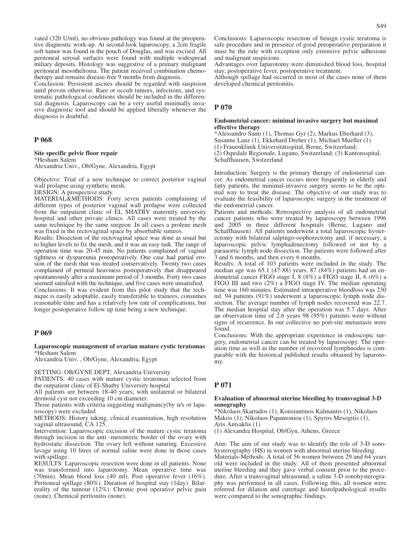vated (320 U/ml), no obvious pathology was found at the preoperative diagnostic work-up. At second-look laparoscopy, a 2cm fragile soft tumor was found in the pouch of Douglas, and was excised. All peritoneal serosal surfaces were found with multiple widespread miliary deposits. Histology was suggestive of a primary malignant peritoneal mesothelioma. The patient received combination chemotherapy and remains disease-free 9 months from diagnosis.

Conclusion: Persistent ascites should be regarded with suspision until proven otherwise. Rare or occult tumors, infections, and systematic pathological conditions should be included in the differential diagnosis. Laparoscopy can be a very useful minimally invasive diagnostic tool and should be applied liberally whenever the diagnosis is doubtful.

#### **P 068**

# **Site specific pelvic floor repair** \*Hesham Salem

Alexandria Univ., Ob/Gyne, Alexandria, Egypt

Objective: Trial of a new technique to correct posterior vaginal wall prolapse using synthetic mesh.

DESIGN: A prospective study.

MATERIAL&METHODS: Forty seven patients complaining of different types of posterior vaginal wall prolapse were collected from the outpatient clinic of EL SHATBY maternity university hospital and other private clinics. All cases were treated by the same technique by the same surgeon .In all cases a prolene mesh was fixed in the rectovaginal space by absorbable sutures.

Results: Dissection of the rectovaginal space was done as usual but to higher levels to fix the mesh, and it was an easy task. The range of operation time was 20-45 min. No patients complained of vaginal tightness or dyspareunia postoperatively. One case had partial erosion of the mesh that was treated conservatively. Twenty two cases complained of perineal heaviness postoperatively that disappeared spontaneously after a maximum period of 3 months. Forty two cases seemed satisfied with the technique, and five cases were unsatisfied. Conclusions: It was evident from this pilot study that the technique is easily adoptable, easily transferable to trainees, consumes reasonable time and has a relatively low rate of complications, but longer postoperative follow up time being a new technique.

# **P 069**

#### **Laparoscopic management of ovarian mature cystic teratomas** \*Hesham Salem

Alexandria Univ. , Ob/Gyne, Alexandria, Egypt

SETTING: OB/GYNE DEPT, Alexandria University

PATIENTS: 40 cases with mature cystic teratomas selected from the outpatient clinic of El-Shatby University hospital

All patients are between 18-40 years, with unilateral or bilateral dermoid cyst not exceeding 10 cm diameter.

Those patients with criteria suggesting malignancy(by u/s or laparoscopy) were excluded

METHODS: History taking, clinical examination, high resolution vaginal ultrasound, CA 125.

Intervention: Laparoscopic excision of the mature cystic teratoma through incision in the anti -mesenteric border of the ovary with hydrostatic dissection. The ovary left without suturing. Excessive lavage using 10 litres of normal saline were done in those cases with spillage.

RESULTS: Laparoscopic resection were done in all patients. None was transformed into laparotomy. Mean operative time was (70min). Mean blood loss (40 ml). Post operative fever (16%). Peritoneal spillage (80%). Duration of hospital stay (1day). Bilaterality of the tumour (12%). Chronic post operative pelvic pain (none). Chemical peritonitis (none).

Conclusions: Laparoscopic resection of benign cystic teratoma is safe procedure and in presence of good preoperative preparation it must be the rule with exception only extensive pelvic adhesions and malignant suspicions.

Advantages over laparotomy were diminished blood loss, hospital stay, postoperative fever, postoperative treatment.

Although spillage had occurred in most of the cases none of them developed chemical peritonitis.

# **P 070**

#### **Endometrial cancer: minimal invasive surgery but maximal effective therapy**

\*Alessandro Santi (1), Thomas Gyr (2), Markus Eberhard (3), Susanne Lanz (1), Ekkehard Dreher (1), Michael Mueller (1) (1) Frauenklinik Universitätsspital, Berne, Switzerland; (2) Ospedale Regionale, Lugano, Switzerland; (3) Kantonsspital, Schaffhausen, Switzerland

Introduction: Surgery is the primary therapy of endometrial cancer. As endometrial cancer occurs more frequently in elderly and fatty patients, the minimal-invasive surgery seems to be the optimal way to treat the disease. The objective of our study was to evaluate the feasibility of laparoscopic surgery in the treatment of the endometrial cancer.

Patients and methods: Retrospective analysis of all endometrial cancer patients who were treated by laparoscopy between 1996 and 2005 in three different hospitals (Berne, Lugano and Schaffhausen). All patients underwent a total laparoscopic hysterectomy with bilateral salpingo-oophorectomy and, if necessary, a laparoscopic pelvic lymphadenectomy followed or not by a paraaortic lymph node dissection. The patients were followed after 3 and 6 months, and then every 6 months.

Results: A total of 103 patients were included in the study. The median age was 65.1 (47-88) years. 87 (84%) patients had an endometrial cancer FIGO stage I, 8 (8%) a FIGO stage II, 6 (6%) a FIGO III and two (2%) a FIGO stage IV. The median operating time was 160 minutes. Estimated intraoperative bloodloss was 230 ml. 94 patients (91%) underwent a laparoscopic lymph node dissection. The average number of lymph nodes recovered was 22.7. The median hospital stay after the operation was 5.7 days. After an observation time of  $2.6$  years 98 (95%) patients were without signs of recurrence. In our collective no port-site metastasis were found.

Conclusions: With the appropriate experience in endoscopic surgery, endometrial cancer can be treated by laparoscopy. The operation time as well as the number of recovered lymphnodes is comparable with the historical published results obtained by laparotomy.

# **P 071**

#### **Evaluation of abnormal uterine bleeding by transvaginal 3-D sonography**

\*Nikolaos Skartados (1), Konstantinos Kalmantis (1), Nikolaos Makris (1), Nikolaos Papantoniou (1), Spyros Mesogitis (1), Aris Antsaklis (1)

(1) Alexandra Hospital, Ob/Gyn, Athens, Greece

Aim: The aim of our study was to identify the role of 3-D sonohysterography (HS) in women with abnormal uterine bleeding. Materials-Methods: A total of 56 women between 29 and 64 years old were included in the study. All of them presented abnormal uterine bleeding and they gave verbal consent prior to the procedure. After a transvaginal ultrasound, a saline 3-D sonohysterography was performed in all cases. Following this, all women were referred for dilation and curettage and histolpathological results were compared to the sonographic findings.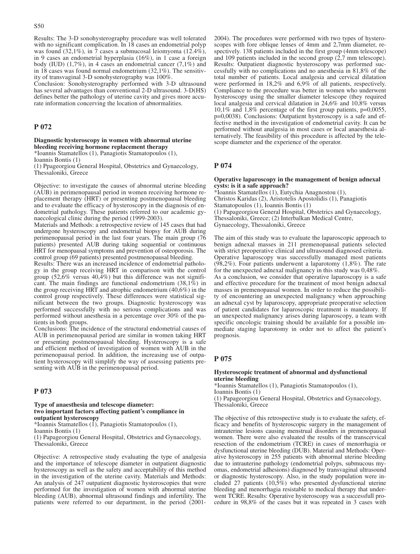Results: The 3-D sonohysterography procedure was well tolerated with no significant complication. In 18 cases an endometrial polyp was found (32,1%), in  $\overline{7}$  cases a submucosal leiomyoma (12.4%), in 9 cases an endometrial hyperplasia (16%), in 1 case a foreign body (IUD) (1,7%), in 4 cases an endometrial cancer (7,1%) and in 18 cases was found normal endometrium (32,1%). The sensitivity of transvaginal 3-D sonohysterography was 100%.

Conclusion: Sonohysterography performed with 3-D ultrasound has several advantages than conventional 2-D ultrasound. 3-D(HS) defines better the pathology of uterine cavity and gives more accurate information concerving the location of abnormalities.

# **P 072**

#### **Diagnostic hysteroscopy in women with abnormal uterine bleeding receiving hormone replacement therapy**

\*Ioannis Stamatellos (1), Panagiotis Stamatopoulos (1),

Ioannis Bontis (1)

(1) Ppageorgiou General Hospital, Obstetrics and Gynaecology, Thessaloniki, Greece

Objective: to investigate the causes of abnormal uterine bleeding (AUB) in perimenopausal period in women receiving hormone replacement therapy (HRT) or presenting postmenopausal bleeding and to evaluate the efficacy of hysteroscopy in the diagnosis of endometrial pathology. These patients referred to our academic gynaecological clinic during the period (1999-2003).

Materials and Methods: a retrospective review of 145 cases that had undergone hysteroscopy and endometrial biopsy for AUB during perimenopausal period in the last four years. The main group (76 patients) presented AUB during taking sequential or continuous HRT for menopausal symptoms and prevention of osteoporosis. The control group (69 patients) presented postmenopausal bleeding.

Results: There was an increased incidence of endometrial pathology in the group receiving HRT in comparison with the control group  $(52,6\%$  versus  $40,4\%$ ) but this difference was not significant. The main findings are functional endometrium (38,1%) in the group receiving HRT and atrophic endometrium (40,6%) in the control group respectively. These differences were statistical significant between the two groups. Diagnostic hysteroscopy was performed successfully with no serious complications and was performed without anesthesia in a percentage over 30% of the patients in both groups.

Conclusions: The incidence of the structural endometrial causes of AUB in perimenopausal period are similar in women taking HRT or presenting postmenopausal bleeding. Hysteroscopy is a safe and efficient method of investigation of women with AUB in the perimenopausal period. In addition, the increasing use of outpatient hysteroscopy will simplify the way of assessing patients presenting with AUB in the perimenopausal period.

# **P 073**

# **Type of anaesthesia and telescope diameter: two important factors affecting patient's compliance in outpatient hysteroscopy**

\*Ioannis Stamatellos (1), Panagiotis Stamatopoulos (1), Ioannis Bontis (1)

(1) Papageorgiou General Hospital, Obstetrics and Gynaecology, Thessaloniki, Greece

Objective: A retrospective study evaluating the type of analgesia and the importance of telescope diameter in outpatient diagnostic hysteroscopy as well as the safety and acceptability of this method in the investigation of the uterine cavity. Materials and Methods: An analysis of 247 outpatient diagnostic hysteroscopies that were performed for the investigation of women with abnormal uterine bleeding (AUB), abnormal ultrasound findings and infertility. The patients were referred to our department, in the period (20012004). The procedures were performed with two types of hysteroscopes with fore oblique lenses of 4mm and 2,7mm diameter, respectively. 138 patients included in the first group (4mm telescope) and 109 patients included in the second group  $(2,7 \text{ mm}$  telescope). Results: Outpatient diagnostic hysteroscopy was performed successfully with no complications and no anesthesia in 81,8% of the total number of patients. Local analgesia and cervical dilatation were performed in 18,2% and 6,9% of all patients, respectively. Compliance to the procedure was better in women who underwent hysteroscopy using the smaller diameter telescope (they required local analgesia and cervical dilatation in 24,6% and 10,8% versus 10,1% and 1,8% percentage of the first group patients, p=0,0055, p=0,0038). Conclusions: Outpatient hysteroscopy is a safe and effective method in the investigation of endometrial cavity. It can be performed without analgesia in most cases or local anaesthesia alternatively. The feasibility of this procedure is affected by the telescope diameter and the experience of the operator.

# **P 074**

#### **Operative laparoscopy in the management of benign adnexal cysts: is it a safe approach?**

\*Ioannis Stamatellos (1), Eutychia Anagnostou (1), Christos Karidas (2), Aristotelis Apostolidis (1), Panagiotis Stamatopoulos (1), Ioannis Bontis (1) (1) Papageorgiou General Hospital, Obstetrics and Gynaecology, Thessaloniki, Greece; (2) Interbalkan Medical Centre, Gynaecology, Thessaloniki, Greece

The aim of this study was to evaluate the laparoscopic approach to benign adnexal masses in 211 premenopausal patients selected with strict preoperative clinical and ultrasound diagnosed criteria. Operative laparoscopy was successfully managed most patients (98,2%). Four patients underwent a laparotomy (1,8%). The rate for the unexpected adnexal malignancy in this study was 0,48%. As a conclusion, we consider that operative laparoscopy is a safe and effective procedure for the treatment of most benign adnexal masses in premenopausal women. In order to reduce the possibility of encountering an unexpected malignancy when approaching an adnexal cyst by laparoscopy, appropriate preoperative selection of patient candidates for laparoscopic treatment is mandatory. If an unexpected malignancy arises during laparoscopy, a team with specific oncologic training should be available for a possible immediate staging laparotomy in order not to affect the patient's prognosis.

# **P 075**

#### **Hysteroscopic treatment of abnormal and dysfunctional uterine bleeding**

\*Ioannis Stamatellos (1), Panagiotis Stamatopoulos (1), Ioannis Bontis (1)

(1) Papageorgiou General Hospital, Obstetrics and Gynaecology, Thessaloniki, Greece

The objective of this retrospective study is tο evaluate the safety, efficacy and benefits of hysteroscopic surgery in the management of intrauterine lesions causing menstrual disorders in premenopausal women. There were also evaluated the results of the transcervical resection of the endometrium (TCRE) in cases of menorrhagia or dysfunctional uterine bleeding (DUB). Material and Methods: Operative hysteroscopy in 255 patients with abnormal uterine bleeding due to intrauterine pathology (endometrial polyps, submucous myomas, endometrial adhesions) diagnosed by transvaginal ultrasound or diagnostic hysteroscopy. Also, in the study population were included 27 patients (10,5%) who presented dysfunctional uterine bleeding and menorrhagia resistable to medical therapy that underwent TCRE. Results: Operative hysteroscopy was a successfull procedure in 98,8% of the cases but it was repeated in 3 cases with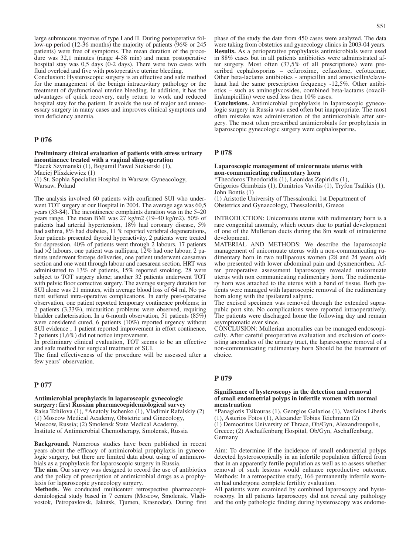large submucous myomas of type I and II. During postoperative follow-up period (12-36 months) the majority of patients (96% or 245 patients) were free of symptoms. The mean duration of the procedure was 32,1 minutes (range 4-58 min) and mean postoperative hospital stay was 0,5 days (0-2 days). There were two cases with fluid overload and five with postoperative uterine bleeding.

Conclusion: Hysteroscopic surgery is an effective and safe method for the management of the benign intracavitary pathology or the treatment of dysfunctional uterine bleeding. In addition, it has the advantages of quick recovery, early return to work and reduced hospital stay for the patient. It avoids the use of major and unnecessary surgery in many cases and improves clinical symptoms and iron deficiency anemia.

# **P 076**

**Preliminary clinical evaluation of patients with stress urinary incontinence treated with a vaginal sling-operation** \*Jacek Szymanski (1), Bogumil Pawel Siekierski (1), Maciej Pliszkiewicz (1)

(1) St. Sophia Specialist Hospital in Warsaw, Gyneacology, Warsaw, Poland

The analysis involved 60 patients with confirmed SUI who underwent TOT surgery at our Hospital in 2004. The average age was 60,5 years (33-84). The incontinence complaints duration was in the 5–20 years range. The mean BMI was 27 kg/m2 (19–40 kg/m2). 50% of patients had arterial hypertension, 18% had coronary disease, 5% had asthma, 8% had diabetes, 11 % reported vertebral degenerations, four patients presented thyroid hyperactivity, 2 patients were treated for depression. 40% of patients went through 2 labours, 17 patients had  $>2$  labours, one patient was nullipara, 12% had one labour, 2 patients underwent forceps deliveries, one patient underwent caesarean section and one went through labour and caesarean section. HRT was administered to 13% of patients, 15% reported smoking. 28 were subject to TOT surgery alone; another 32 patients underwent TOT with pelvic floor corrective surgery. The average surgery duration for SUI alone was 21 minutes, with average blood loss of 64 ml. No patient suffered intra-operative complications. In early post-operative observation, one patient reported temporary continence problems; in 2 patients (3,33%), micturition problems were observed, requiring bladder catheterisation. In a 6-month observation, 51 patients (85%) were considered cured, 6 patients (10%) reported urgency without SUI evidence , 1 patient reported improvement in effort continence, 2 patients (1,6%) did not notice improvement.

In preliminary clinical evaluation, TOT seems to be an effective and safe method for surgical treatment of SUI.

The final effectiveness of the procedure will be assessed after a few years' observation.

# **P 077**

#### **Antimicrobial prophylaxis in laparoscopic gynecologic surgery: first Russian pharmacoepidemiological survey**

Raisa Tchilova (1), \*Anatoly Ischenko (1), Vladimir Rafalskiy (2) (1) Moscow Medical Academy, Obstetric and Ginecology, Moscow, Russia; (2) Smolensk State Medical Academy, Institute of Antimicrobial Chemotherapy, Smolensk, Russia

**Background.** Numerous studies have been published in recent years about the efficacy of antimicrobial prophylaxis in gynecologic surgery, but there are limited data about using of antimicrobials as a prophylaxis for laparoscopic surgery in Russia.

**The aim.** Our survey was designed to record the use of antibiotics and the policy of prescription of antimicrobial drugs as a prophylaxis for laparoscopic gynecology surgery.

**Methods.** We conducted multicenter retrospective pharmacoepidemiological study based in 7 centers (Moscow, Smolensk, Vladivostok, Petropavlovsk, Jakutsk, Tjumen, Krasnodar). During first phase of the study the date from 450 cases were analyzed. The data were taking from obstetrics and gynecology clinics in 2003-04 years. **Results.** As a perioperative prophylaxis antimicrobials were used in 88% cases but in all patients antibiotics were administrated after surgery. Most often (37,5% of all prescriptions) were prescribed cephalosporins – cefuroxime, cefazolone, cefotaxime. Other beta-lactams antibiotics - ampicillin and amoxicillin/clavulanat had the same prescription frequency -12,5%. Other antibiotics – such as aminoglycosides, combined beta-lactams (oxacillin/ampicillin) were used less then 10% cases.

**Conclusions.** Antimicrobial prophylaxis in laparoscopic gynecologic surgery in Russia was used often but inappropriate. The most often mistake was administration of the antimicrobials after surgery. The most often prescribed antimicrobials for prophylaxis in laparoscopic gynecologic surgery were cephalosporins.

# **P 078**

#### **Laparoscopic management of unicornuate uterus with non-communicating rudimentary horn**

\*Theodoros Theodoridis (1), Leonidas Zepiridis (1), Grigorios Grimbizis (1), Dimitrios Vavilis (1), Tryfon Tsalikis (1), John Bontis (1)

(1) Aristotle University of Thessaloniki, 1st Department of Obstetrics and Gynaecology, Thessaloniki, Greece

INTRODUCTION: Unicornuate uterus with rudimentary horn is a rare congenital anomaly, which occurs due to partial development of one of the Mullerian ducts during the 8tn week of intrauterine development.

MATERIAL AND METHODS: We describe the laparoscopic management of unicornuate uterus with a non-communicating rudimentary horn in two nulliparous women (28 and 24 years old) who presented with lower abdominal pain and dysmenorrhea. After preoperative assessment laparoscopy revealed unicornuate uterus with non communicating rudimentary horn. The rudimentary horn was attached to the uterus with a band of tissue. Both patients were managed with laparoscopic removal of the rudimentary horn along with the ipsilateral salpinx.

The excised specimen was removed through the extended suprapubic port site. No complications were reported intraoperatively. The patients were discharged home the following day and remain asymptomatic ever since.

CONCLUSION: Mullerian anomalies can be managed endoscopically. After careful preoperative evaluation and exclusion of coexisting anomalies of the urinary tract, the laparoscopic removal of a non-communicating rudimentary horn Should be the treatment of choice.

#### **P 079**

#### **Significance of hysteroscopy in the detection and removal of small endometrial polyps in infertile women with normal menstruation**

\*Panagiotis Tsikouras (1), Georgios Galazios (1), Vasileios Liberis (1), Asterios Fotos (1), Alexander Tobias Teichmann (2) (1) Democritus University of Thrace, Ob/Gyn, Alexandroupolis, Greece; (2) Aschaffenburg Hospital, Ob/Gyn, Aschaffenburg, Germany

Aim: To determine if the incidence of small endometrial polyps detected hysteroscopically in an infertile population differed from that in an apparently fertile population as well as to assess whether removal of such lesions would enhance reproductive outcome. Methods: In a retrospective study, 166 permanently infertile women had undergone complete fertility evaluation.

All patients were examined by combined laparoscopy and hysteroscopy. In all patients laparoscopy did not reveal any pathology and the only pathologic finding during hysteroscopy was endome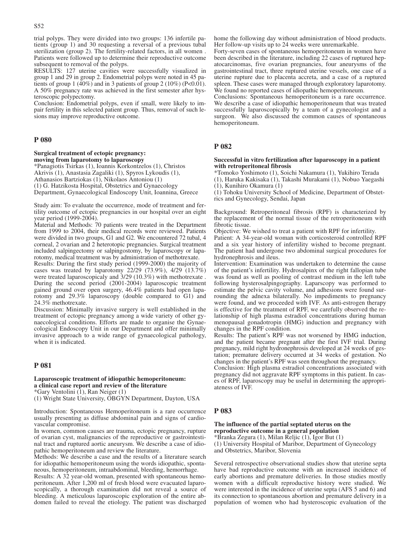trial polyps. They were divided into two groups: 136 infertile patients (group 1) and 30 requesting a reversal of a previous tubal sterilization (group 2). The fertility-related factors, in all women . Patients were followed up to determine their reproductive outcome subsequent to removal of the polyps.

RESULTS: 127 uterine cavities were successfully visualized in group 1 and 29 in group 2. Endometrial polyps were noted in 45 patients of group 1 (40%) and in 3 patients of group 2 (10%) (P<0.01). A 50% pregnancy rate was achieved in the first semester after hysteroscopic polypectomy.

Conclusion: Endometrial polyps, even if small, were likely to impair fertility in this selected patient group. Thus, removal of such lesions may improve reproductive outcome.

# **P 080**

#### **Surgical treatment of ectopic pregnancy: moving from laparotomy to laparoscopy**

\*Panagiotis Tsirkas (1), Ioannis Korkontzelos (1), Christos Akrivis (1), Anastasia Zagaliki (1), Spyros Lykoudis (1), Athanasios Bartziokas (1), Nikolaos Antoniou (1) (1) G. Hatzikosta Hospital, Obstetrics and Gynaecology Department, Gynaecological Endoscopy Unit, Ioannina, Greece

Study aim: To evaluate the occurrence, mode of treatment and fertility outcome of ectopic pregnancies in our hospital over an eight year period (1999-2004).

Material and Methods: 70 patients were treated in the Department from 1999 to 2004, their medical records were reviewed. Patients were divided in two groups, G1 and G2. We encountered 72 tubal, 4 corneal, 2 ovarian and 2 heterotopic pregnancies. Surgical treatment included salpingectomy or salpingostomy, by laparoscopy or laparotomy, medical treatment was by administration of methotrexate.

Results: During the first study period (1999-2000) the majority of cases was treated by laparotomy 22/29 (73.9%), 4/29 (13.7%) were treated laparoscopicaly and 3/29 (10.3%) with methotrexate . During the second period (2001-2004) laparoscopic treatment gained ground over open surgery, 46.4% patients had open laparotomy and 29.3% laparoscopy (double compared to G1) and 24.3% methotrexate.

Discussion: Minimally invasive surgery is well established in the treatment of ectopic pregnancy among a wide variety of other gynaecological conditions. Efforts are made to organise the Gynaecological Endoscopy Unit in our Department and offer minimally invasive approach to a wide range of gynaecological pathology, when it is indicated.

# **P 081**

#### **Laparoscopic treatment of idiopathic hemoperitoneum: a clinical case report and review of the literature**

\*Gary Ventolini (1), Ran Neiger (1)

(1) Wright State University, OBGYN Department, Dayton, USA

Introduction: Spontaneous Hemoperitoneum is a rare occurrence usually presenting as diffuse abdominal pain and signs of cardiovascular compromise.

In women, common causes are trauma, ectopic pregnancy, rupture of ovarian cyst, malignancies of the reproductive or gastrointestinal tract and ruptured aortic aneurysm. We describe a case of idiopathic hemoperitoneum and review the literature.

Methods: We describe a case and the results of a literature search for idiopathic hemoperitoneum using the words idiopathic, spontaneous, hemoperitoneum, intraabdominal, bleeding, hemorrhage.

Results: A 32 year-old woman, presented with spontaneous hemoperitoneum. After 1,200 ml of fresh blood were evacuated laparoscopically, a thorough examination did not reveal a source of bleeding. A meticulous laparoscopic exploration of the entire abdomen failed to reveal the etiology. The patient was discharged home the following day without administration of blood products. Her follow-up visits up to 24 weeks were unremarkable.

Forty-seven cases of spontaneous hemoperitoneum in women have been described in the literature, including 22 cases of ruptured hepatocarcinomas, five ovarian pregnancies, four aneurysms of the gastrointestinal tract, three ruptured uterine vessels, one case of a uterine rupture due to placenta accreta, and a case of a ruptured spleen. These cases were managed through exploratory laparotomy. We found no reported cases of idiopathic hemoperitoneum.

Conclusions: Spontaneous hemoperitoneum is a rare occurrence. We describe a case of idiopathic hemoperitoneum that was treated successfully laparoscopically by a team of a gynecologist and a surgeon. We also discussed the common causes of spontaneous hemoperitoneum.

# **P 082**

#### **Successful in vitro fertilization after laparoscopy in a patient with retroperitoneal fibrosis**

\*Tomoko Yoshimoto (1), Soichi Nakamura (1), Yukihiro Terada (1), Haruka Kakisaka (1), Takashi Murakami (1), Nobuo Yaegashi (1), Kunihiro Okamura (1)

(1) Tohoku University School of Medicine, Department of Obstetrics and Gynecology, Sendai, Japan

Background: Retroperitoneal fibrosis (RPF) is characterized by the replacement of the normal tissue of the retroperitoneum with fibrotic tissue.

Objective: We wished to treat a patient with RPF for infertility.

Patient: A 34-year-old woman with corticosteroid controlled RPF and a six year history of infertility wished to become pregnant. The patient had undergone two abdominal surgical procedures for hydronephrosis and ileus.

Intervention: Examination was undertaken to determine the cause of the patient's infertility. Hydrosalpinx of the right fallopian tube was found as well as pooling of contrast medium in the left tube following hysterosalpingography. Laparscopy was performed to estimate the pelvic cavity volume, and adhesions were found surrounding the adnexa bilaterally. No impediments to pregnancy were found, and we proceeded with IVF. As anti-estrogen therapy is effective for the treatment of RPF, we carefully observed the relationship of high plasma estradiol concentrations during human menopausal gonadotropin (HMG) induction and pregnancy with changes in the RPF condition.

Results: The patient's RPF was not worsened by HMG induction, and the patient became pregnant after the first IVF trial. During pregnancy, mild right hydronephrosis developed at 24 weeks of gestation; premature delivery occurred at 34 weeks of gestation. No changes in the patient's RPF was seen throughout the pregnancy.

Conclusion: High plasma estradiol concentrations associated with pregnancy did not aggravate RPF symptoms in this patient. In cases of RPF, laparoscopy may be useful in determining the appropriateness of IVF.

# **P 083**

#### **The influence of the partial septated uterus on the reproductive outcome in a general population**

\*Branka Zegura (1), Milan Reljic (1), Igor But (1) (1) University Hospital of Maribor, Department of Gynecology and Obstetrics, Maribor, Slovenia

Several retrospective observational studies show that uterine septa have bad reproductive outcome with an increased incidence of early abortions and premature deliveries. In those studies mostly women with a difficult reproductive history were studied. We were interested in the incidence of uterine septa (AFS 5 and 6) and its connection to spontaneous abortion and premature delivery in a population of women who had hysteroscopic evaluation of the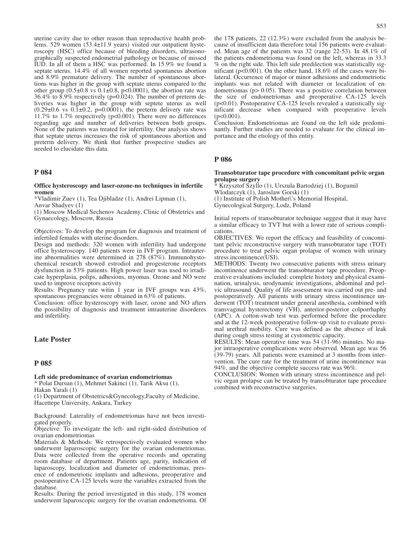uterine cavity due to other reason than reproductive health problems. 529 women (53.4±11.9 years) visited our outpatient hysteroscopy (HSC) office because of bleeding disorders, ultrasonographically suspected endometrial pathology or because of missed IUD. In all of them a HSC was performed. In 15.9% we found a septate uterus. 14.4% of all women reported spontaneus abortion and 8.9% premature delivery. The number of spontaneous abortions was higher in the group with septate uterus compared to the other group  $(0.5\pm0.8 \text{ vs } 0.1\pm0.8, \text{ p} < 0.0001)$ , the abortion rate was 36.4% to 8.9% respectively (p=0.024). The number of preterm deliveries was higher in the group with septete uterus as well  $(0.29\pm0.6 \text{ vs } 0.1\pm0.2, \text{ p= }0.0001)$ , the preterm delivery rate was 11.7% to 1.7% respectively (p<0.001). There were no differences regarding age and number of deliveries between both groups. None of the patients was treated for infertility. Our analysis shows that septate uterus increases the risk of spontaneous abortion and preterm delivery. We think that further prospective studies are needed to elucidate this data.

# **P 084**

#### **Office hysteroscopy and laser-ozone-no techniques in infertile women**

\*Vladimir Zuev (1), Tea Djibladze (1), Andrei Lipman (1), Anvar Shadyev (1)

(1) Moscow Medical Sechenov Academy, Clinic of Obstetrics and Gynaecology, Moscow, Russia

Objectives: To develop the program for diagnosis and treatment of infertiled females with uterine disorders.

Design and methods: 320 women with infertility had undergone office hysteroscopy. 140 patients were in IVF program. Intrauterine abnormalities were determined in 278 (87%). Immunohystochemical research showed estrodiol and progesterone receptors dysfunction in 53% patients. High power laser was used to irradicate hyperplasia, polips, adhesions, myomas. Ozone and NO were used to improve receptors activity

Results: Pregnancy rate witin 1 year in IVF groups was 43%, spontaneous pregnancies were obtained in 63% of patients.

Conclusion: office hysteroscopy with laser, ozone and NO afters the possibility of diagnosis and treatment intrauterine disorderes and infertility.

# **Late Poster**

# **P 085**

#### **Left side predominance of ovarian endometriomas**

\* Polat Dursun (1), Mehmet Sakinci (1), Tarik Aksu (1), Hakan Yarali (1)

(1) Department of Obstetrics&Gynecology,Faculty of Medicine, Hacettepe University, Ankara, Turkey

Background: Laterality of endometriomas have not been investigated properly.

Objective: To investigate the left- and right-sided distribution of ovarian endometriomas

Materials & Methods: We retrospectively evaluated women who underwent laparoscopic surgery for the ovarian endometriomas. Data were collected from the operative records and operating room database of department. Patients age, parity, indication of laparoscopy, localization and diameter of endometriomas, presence of endometriotic implants and adhesions, preoperative and postoperative CA-125 levels were the variables extracted from the database.

Results: During the period investigated in this study, 178 women underwent laparoscopic surgery for the ovarian endometrioma. Of

the 178 patients, 22 (12.3%) were excluded from the analysis because of insufficient data therefore total 156 patients were evaluated. Mean age of the patients was 32 (range 22-53). In 48.1% of the patients endometrioma was found on the left, whereas in 33.3 % on the right side. This left side predilection was statistically significant (p<0.001). On the other hand, 18.6% of the cases were bilateral. Occurrence of major or minor adhesions and endometriotic implants was not related with diameter or localization of endometriomas (p> 0.05). There was a positive correlation between the size of endometriomas and preoperative CA-125 levels (p<0.01). Postoperative CA-125 levels revealed a statistically significant decrease when compared with preoperative levels  $(p<0.001)$ .

Conclusion: Endometriomas are found on the left side predominantly. Further studies are needed to evaluate for the clinical importance and the etiology of this entity.

# **P 086**

**Transobturator tape procedure with concomitant pelvic organ prolapse surgery**

\* Krzysztof Szyllo (1), Urszula Bartodziej (1), Bogumil Wlodarczyk (1), Jaroslaw Gorski (1)

(1) Institute of Polish Mother\'s Memorial Hospital, Gynecological Surgery, Lodz, Poland

Initial reports of transobturator technique suggest that it may have a similar efficacy to TVT but with a lower rate of serious complications.

OBJECTIVES: We report the efficacy and feasibility of concomitant pelvic reconstructive surgery with transobturator tape (TOT) procedure to treat pelvic organ prolapse of women with urinary stress incontinence(USI).

METHODS: Twenty two consecutive patients with stress urinary incontinence underwent the transobturator tape procedure. Preoperative evaluations included: complete history and physical examination, urinalysis, urodynamic investigations, abdominal and pelvic ultrasound. Quality of life assessment was carried out pre- and postoperatively. All patients with urinary stress incontinence underwent (TOT) treatment under general anesthesia, combined with transvaginal hysterectomy (VH), anterior-posterior colporrhaphy (APC). A cotton-swab test was performed before the procedure and at the 12-week postoperative follow-up visit to evaluate proximal urethral mobility. Cure was defined as the absence of leak during cough stress testing at cystometric capacity.

RESULTS: Mean operative time was 54 (31-96) minutes. No major intraoperative complications were observed. Mean age was 56 (39-79) years. All patients were examined at 3 months from intervention. The cure rate for the treatment of urine incontinence was 94%, and the objective complete success rate was 96%.

CONCLUSION: Women with urinary stress incontinence and pelvic organ prolapse can be treated by transobturator tape procedure combined with reconstructive surgeries.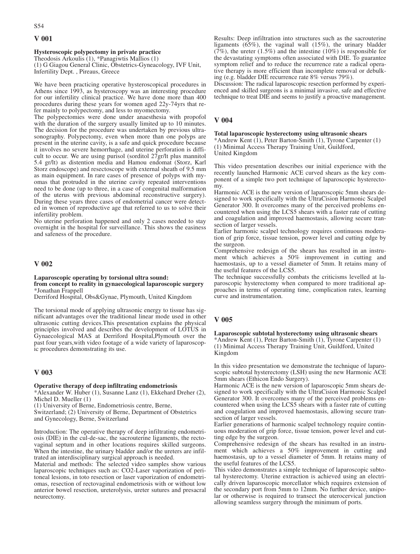# **V 001**

# **Hysteroscopic polypectomy in private practice**

Theodosis Arkoulis (1), \*Panagiwtis Mallios (1)

(1) G Giagou General Clinic, Obstetrics-Gyneacology, IVF Unit, Infertility Dept. , Pireaus, Greece

We have been practicing operative hysteroscopical procedures in Athens since 1993, as hysteroscopy was an interesting procedure for our infertility clinical practice. We have done more than 400 procedures during these years for women aged 22y-74yrs that refer mainly to polypectomy, and less to myomectomy.

The polypectomies were done under anaesthesia with propofol with the duration of the surgery usually limited up to 10 minutes. The decision for the procedure was undertaken by previous ultrasonography. Polypectomy, even when more than one polyps are present in the uterine cavity, is a safe and quick procedure because it involves no severe hemorrhage, and uterine perforation is difficult to occur. We are using purisol (sorditol 27gr/lt plus mannitol 5.4 gr/lt) as distention media and Hamou endomat (Storz, Karl Storz endoscope) and resectoscope with external sheath of 9.5 mm as main equipment. In rare cases of presence of polyps with myomas that protruded in the uterine cavity repeated interventions need to be done (up to three, in a case of congenital malformation of the uterus with previous abdominal reconstructive surgery). During these years three cases of endometrial cancer were detected in women of reproductive age that referred to us to solve their infertility problem.

No uterine perforation happened and only 2 cases needed to stay overnight in the hospital for surveillance. This shows the easiness and safeness of the procedure.

# **V 002**

#### **Laparoscopic operating by torsional ultra sound: from concept to reality in gynaecological laparoscopic surgery** \*Jonathan Frappell

Derriford Hospital, Obs&Gynae, Plymouth, United Kingdom

The torsional mode of applying ultrasonic energy to tissue has significant advantages over the traditional linear mode used in other ultrasonic cutting devices.This presentation explains the physical principles involved and describes the development of LOTUS in Gynaecological MAS at Derriford Hospital,Plymouth over the past four years,with video footage of a wide variety of laparoscopic procedures demonstrating its use.

# **V 003**

#### **Operative therapy of deep infiltrating endometriosis**

\*Alexander W. Huber (1), Susanne Lanz (1), Ekkehard Dreher (2), Michel D. Mueller (1)

(1) University of Berne, Endometriosis centre, Berne,

Switzerland; (2) University of Berne, Department of Obstetrics and Gynecology, Berne, Switzerland

Introduction: The operative therapy of deep infiltrating endometriosis (DIE) in the cul-de-sac, the sacrouterine ligaments, the rectovaginal septum and in other locations requires skilled surgeons. When the intestine, the urinary bladder and/or the ureters are infiltrated an interdisciplinary surgical approach is needed.

Material and methods: The selected video samples show various laparoscopic techniques such as: CO2-Laser vaporization of peritoneal lesions, in toto resection or laser vaporization of endometriomas, resection of rectovaginal endometriosis with or without low anterior bowel resection, ureterolysis, ureter sutures and presacral neurectomy.

Results: Deep infiltration into structures such as the sacrouterine ligaments (65%), the vaginal wall (15%), the urinary bladder  $(7\%)$ , the ureter  $(1.5\%)$  and the intestine  $(10\%)$  is responsible for the devastating symptoms often associated with DIE. To guarantee symptom relief and to reduce the recurrence rate a radical operative therapy is more efficient than incomplete removal or debulking (e.g. bladder DIE recurrence rate 8% versus 79%).

Discussion: The radical laparoscopic resection performed by experienced and skilled surgeons is a minimal invasive, safe and effective technique to treat DIE and seems to justify a proactive management.

# **V 004**

#### **Total laparoscopic hysterectomy using ultrasonic shears**

\*Andrew Kent  $(1)$ , Peter Barton-Smith  $(1)$ , Tyrone Carpenter  $(1)$ (1) Minimal Access Therapy Training Unit, Guildford, United Kingdom

This video presentation describes our initial experience with the recently launched Harmonic ACE curved shears as the key component of a simple two port technique of laparoscopic hysterectomy.

Harmonic ACE is the new version of laparoscopic 5mm shears designed to work specifically with the UltraCision Harmonic Scalpel Generator 300. It overcomes many of the perceived problems encountered when using the LCS5 shears with a faster rate of cutting and coagulation and improved haemostasis, allowing secure transection of larger vessels.

Earlier harmonic scalpel technology requires continuous moderation of grip force, tissue tension, power level and cutting edge by the surgeon.

Comprehensive redesign of the shears has resulted in an instrument which achieves a 50% improvement in cutting and haemostasis, up to a vessel diameter of 5mm. It retains many of the useful features of the LCS5.

The technique successfully combats the criticisms levelled at laparoscopic hysterectomy when compared to more traditional approaches in terms of operating time, complication rates, learning curve and instrumentation.

# **V 005**

#### **Laparoscopic subtotal hysterectomy using ultrasonic shears** \*Andrew Kent (1), Peter Barton-Smith (1), Tyrone Carpenter (1) (1) Minimal Access Therapy Training Unit, Guildford, United Kingdom

In this video presentation we demonstrate the technique of laparoscopic subtotal hysterectomy (LSH) using the new Harmonic ACE 5mm shears (Ethicon Endo Surgery).

Harmonic ACE is the new version of laparoscopic 5mm shears designed to work specifically with the UltraCision Harmonic Scalpel Generator 300. It overcomes many of the perceived problems encountered when using the LCS5 shears with a faster rate of cutting and coagulation and improved haemostasis, allowing secure transection of larger vessels.

Earlier generations of harmonic scalpel technology require continuous moderation of grip force, tissue tension, power level and cutting edge by the surgeon.

Comprehensive redesign of the shears has resulted in an instrument which achieves a 50% improvement in cutting and haemostasis, up to a vessel diameter of 5mm. It retains many of the useful features of the LCS5.

This video demonstrates a simple technique of laparoscopic subtotal hysterectomy. Uterine extraction is achieved using an electrically driven laparoscopic morcellator which requires extension of the secondary port from 5mm to 12mm. No further device, unipolar or otherwise is required to transect the uterocervical junction allowing seamless surgery through the minimum of ports.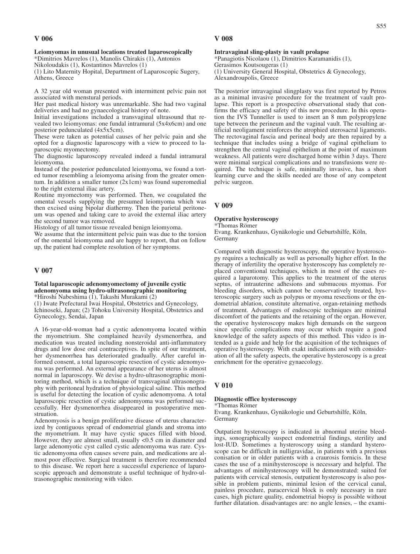#### **Leiomyomas in unusual locations treated laparoscopically** \*Dimitrios Mavrelos (1), Manolis Chirakis (1), Antonios

Nikoloudakis (1), Kostantinos Mavrelos (1)

(1) Lito Maternity Hopital, Department of Laparoscopic Sugery, Athens, Greece

A 32 year old woman presented with intermittent pelvic pain not associated with menstural periods.

Her past medical history was unremarkable. She had two vaginal deliveries and had no gynaecological history of note.

Initial investigations included a transvaginal ultrasound that revealed two leiomyomas: one fundal intramural (5x4x6cm) and one posterior pedunculated (4x5x5cm).

These were taken as potential causes of her pelvic pain and she opted for a diagnostic laparoscopy with a view to proceed to laparoscopic myomectomy.

The diagnostic laparoscopy revealed indeed a fundal intramural leiomyoma.

Instead of the posterior pedunculated leiomyoma, we found a torted tumor resembling a leiomyoma arising from the greater omentum. In addition a smaller tumor (2x1cm) was found superomedial to the right external iliac artery.

Routine myomectomy was performed. Then, we coagulated the omental vessels supplying the presumed leiomyoma which was then excised using bipolar diathermy. Then the parietal peritoneum was opened and taking care to avoid the external iliac artery the second tumor was removed.

Histology of all tumor tissue revealed benign leiomyoma.

We assume that the intermittent pelvic pain was due to the torsion of the omental leiomyoma and are happy to report, that on follow up, the patient had complete resolution of her symptoms.

# **V 007**

#### **Total laparoscopic adenomyomectomy of juvenile cystic adenomyoma using hydro-ultrasonographic monitoring** \*Hiroshi Nabeshima (1), Takashi Murakami (2)

(1) Iwate Prefectural Iwai Hospital, Obstetrics and Gynecology, Ichinoseki, Japan; (2) Tohoku University Hospital, Obstetrics and Gynecology, Sendai, Japan

A 16-year-old-woman had a cystic adenomyoma located within the myometrium. She complained heavily dysmenorrhea, and medication was treated including nonsteroidal anti-inflammatory drugs and low dose oral contraceptives. In spite of our treatment, her dysmenorrhea has deteriorated gradually. After careful informed consent, a total laparoscopic resection of cystic adenomyoma was performed. An external appearance of her uterus is almost normal in laparoscopy. We devise a hydro-ultrasonographic monitoring method, which is a technique of transvaginal ultrasonography with peritoneal hydration of physiological saline. This method is useful for detecting the location of cystic adenomyoma. A total laparoscopic resection of cystic adenomyoma was performed successfully. Her dysmenorrhea disappeared in postoperative menstruation.

Adenomyosis is a benign proliferative disease of uterus characterized by contiguous spread of endometrial glands and stroma into the myometrium. It may have cystic spaces filled with blood. However, they are almost small, usually <0.5 cm in diameter and large adenomyotic cyst called cystic adenomyoma was rare. Cystic adenomyoma often causes severe pain, and medications are almost poor effective. Surgical treatment is therefore recommended to this disease. We report here a successful experience of laparoscopic approach and demonstrate a useful technique of hydro-ultrasonographic monitoring with video.

# **V 008**

#### **Intravaginal sling-plasty in vault prolapse**

\*Panagiotis Nicolaou (1), Dimitrios Karamanidis (1), Gerasimos Koutsougeras (1) (1) University General Hospital, Obstetrics & Gynecology, Alexandroupolis, Greece

The posterior intravaginal slingplasty was first reported by Petros as a minimal invasive procedure for the treatment of vault prolapse. This report is a prospective observational study that confirms the efficacy and safety of this new procedure. In this operation the IVS Tunneller is used to insert an 8 mm polypropylene tape between the perineum and the vaginal vault. The resulting artificial neoligament reinforces the atrophied uterosacral ligaments. The rectovaginal fascia and perineal body are then repaired by a technique that includes using a bridge of vaginal epithelium to strengthen the central vaginal epithelium at the point of maximum weakness. All patients were discharged home within 3 days. There were minimal surgical complications and no transfusions were required. The technique is safe, minimally invasive, has a short learning curve and the skills needed are those of any competent pelvic surgeon.

# **V 009**

# **Operative hysteroscopy**

\*Thomas Römer

Evang. Krankenhaus, Gynäkologie und Geburtshilfe, Köln, Germany

Compared with diagnostic hysteroscopy, the operative hysteroscopy requires a technically as well as personally higher effort. In the therapy of infertility the operative hysteroscopy has completely replaced conventional techniques, which in most of the cases required a laparotomy. This applies to the treatment of the uterus septus, of intrauterine adhesions and submucous myomas. For bleeding disorders, which cannot be conservatively treated, hysteroscopic surgery such as polypus or myoma resections or the endometrial ablation, constitute alternative, organ-retaining methods of treatment. Advantages of endoscopic techniques are minimal discomfort of the patients and the retaining of the organ. However, the operative hysteroscopy makes high demands on the surgeon since specific complications may occur which require a good knowledge of the safety aspects of this method. This video is intended as a guide and help for the acquisition of the techniques of operative hysteroscopy. With exakt indications and with consideration of all the safety aspects, the operative hysteroscopy is a great enrichment for the operative gynaecology.

# **V 010**

# **Diagnostic office hysteroscopy**

\*Thomas Römer

Evang. Krankenhaus, Gynäkologie und Geburtshilfe, Köln, Germany

Outpatient hysteroscopy is indicated in abnormal uterine bleedings, sonographically suspect endometrial findings, sterility and lost-IUD. Sometimes a hysteroscopy using a standard hysteroscope can be difficult in nulligravidae, in patients with a previous conisation or in older patients with a craurosis fornicis. In these cases the use of a minihysteroscope is necessary and helpful. The advantages of minihysteroscopy will be demonstrated: suited for patients with cervical stenosis, outpatient hysteroscopy is also possible in problem patients, minimal lesion of the cervical canal, painless procedure, paracervical block is only necessary in rare cases, high picture quality, endometrial biopsy is possible without further dilatation. disadvantages are: no angle lenses, – the exami